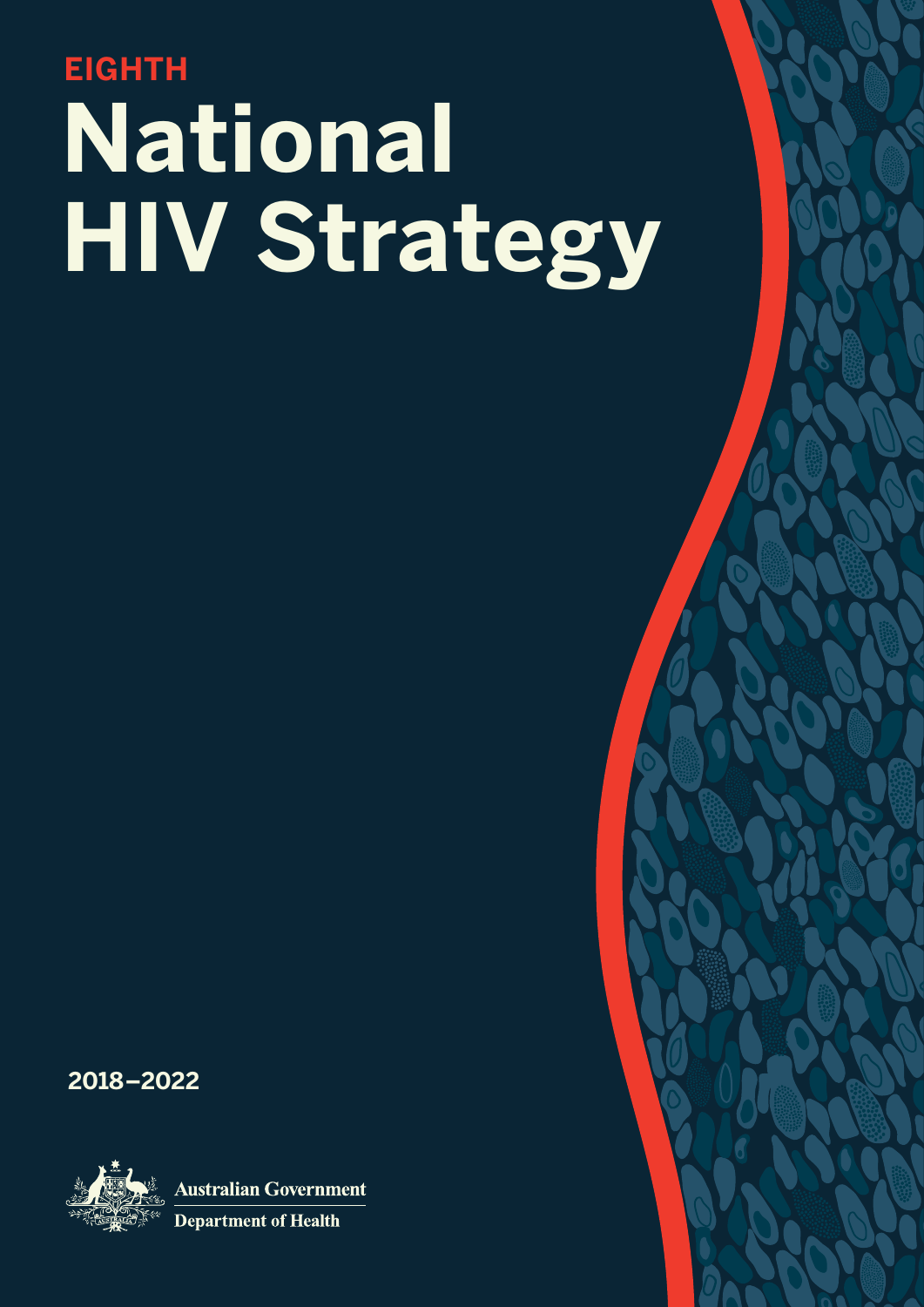# **National EIGHTH HIV Strategy**

**2018–2022**



**Australian Government** 

**Department of Health**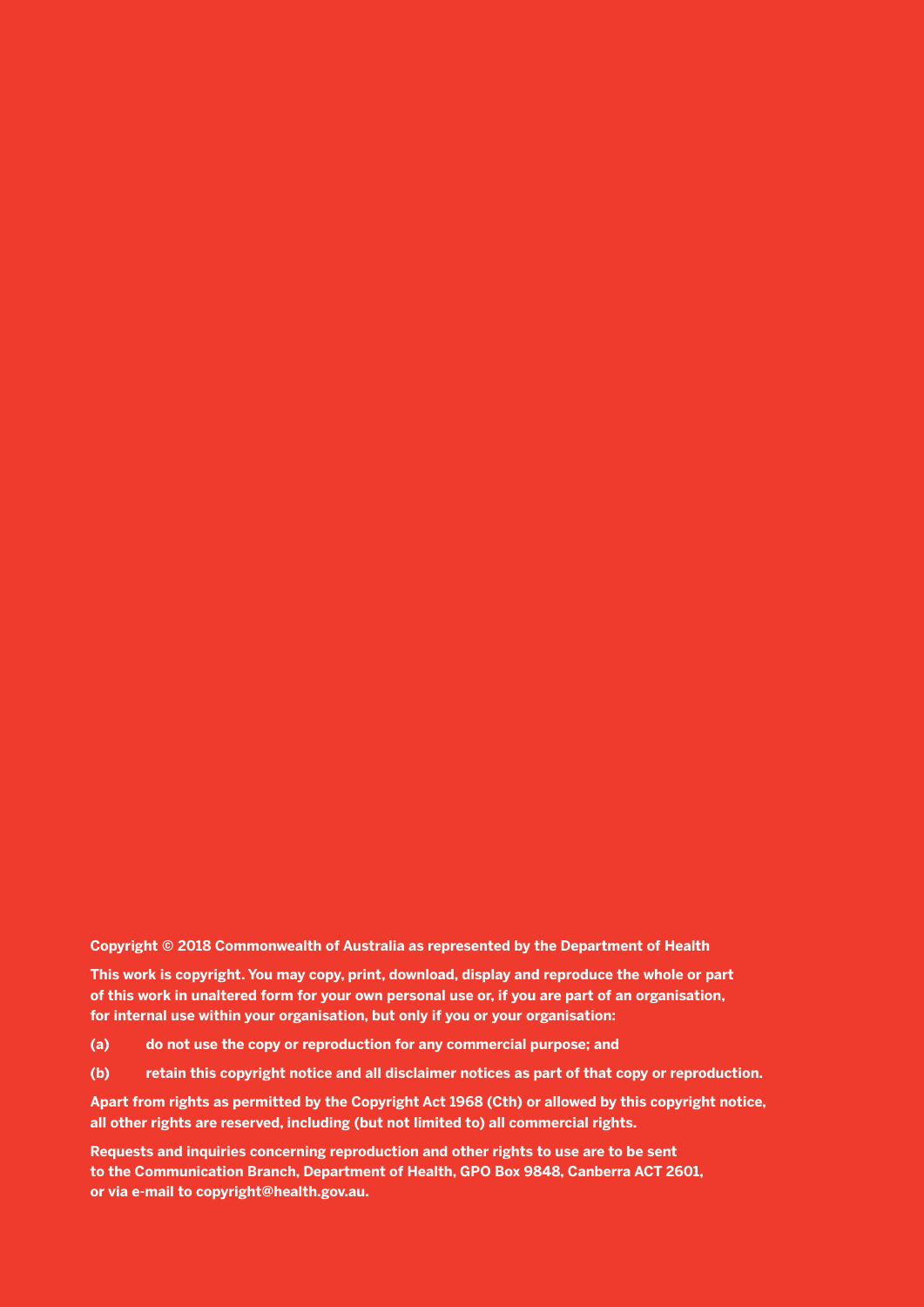#### **Copyright © 2018 Commonwealth of Australia as represented by the Department of Health**

**This work is copyright. You may copy, print, download, display and reproduce the whole or part of this work in unaltered form for your own personal use or, if you are part of an organisation, for internal use within your organisation, but only if you or your organisation:**

- **(a) do not use the copy or reproduction for any commercial purpose; and**
- **(b) retain this copyright notice and all disclaimer notices as part of that copy or reproduction.**

**Apart from rights as permitted by the Copyright Act 1968 (Cth) or allowed by this copyright notice, all other rights are reserved, including (but not limited to) all commercial rights.**

**Requests and inquiries concerning reproduction and other rights to use are to be sent to the Communication Branch, Department of Health, GPO Box 9848, Canberra ACT 2601, or via e-mail to copyright@health.gov.au.**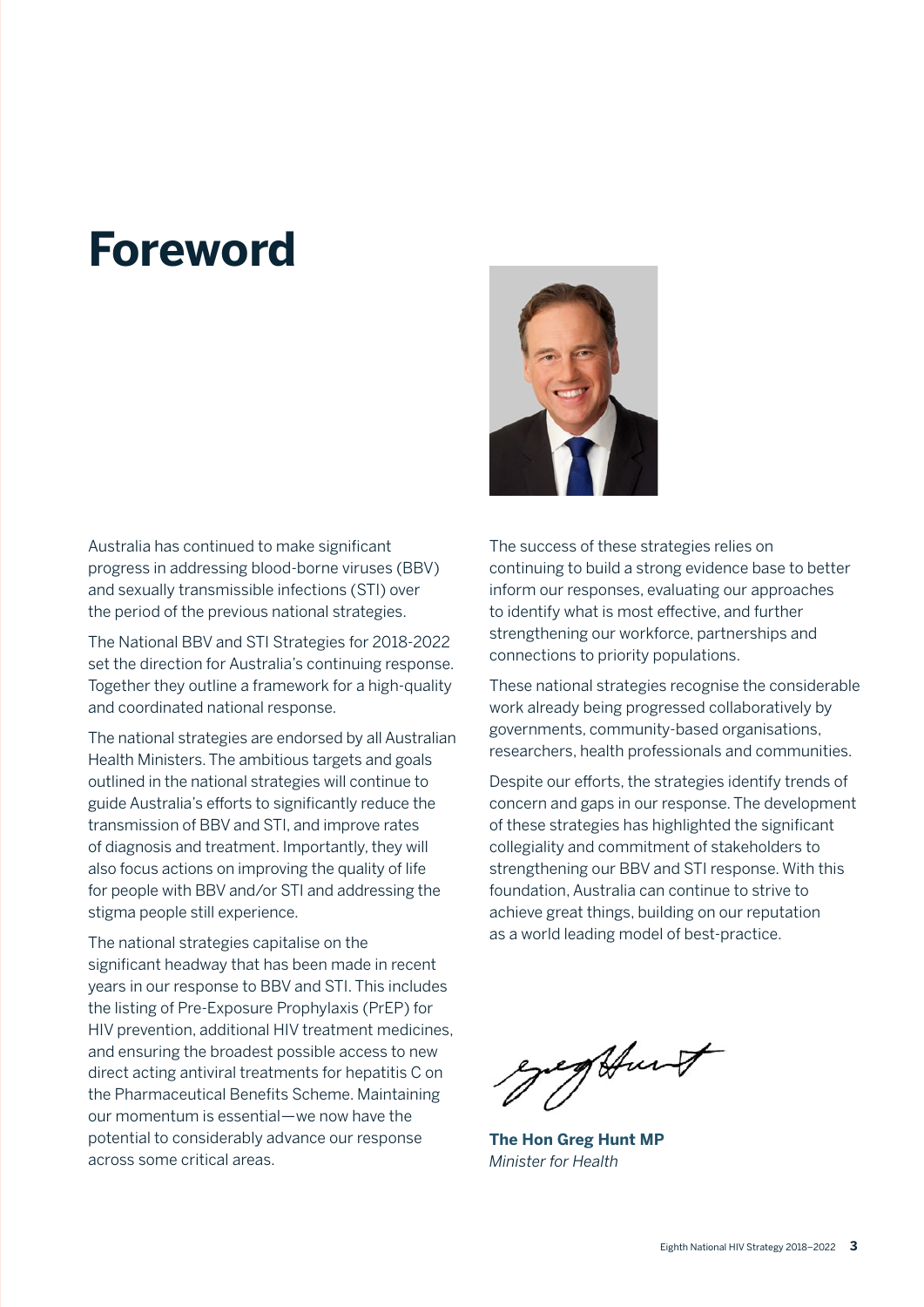## **Foreword**

Australia has continued to make significant progress in addressing blood-borne viruses (BBV) and sexually transmissible infections (STI) over the period of the previous national strategies.

The National BBV and STI Strategies for 2018-2022 set the direction for Australia's continuing response. Together they outline a framework for a high-quality and coordinated national response.

The national strategies are endorsed by all Australian Health Ministers. The ambitious targets and goals outlined in the national strategies will continue to guide Australia's efforts to significantly reduce the transmission of BBV and STI, and improve rates of diagnosis and treatment. Importantly, they will also focus actions on improving the quality of life for people with BBV and/or STI and addressing the stigma people still experience.

The national strategies capitalise on the significant headway that has been made in recent years in our response to BBV and STI. This includes the listing of Pre-Exposure Prophylaxis (PrEP) for HIV prevention, additional HIV treatment medicines, and ensuring the broadest possible access to new direct acting antiviral treatments for hepatitis C on the Pharmaceutical Benefits Scheme. Maintaining our momentum is essential—we now have the potential to considerably advance our response across some critical areas.



The success of these strategies relies on continuing to build a strong evidence base to better inform our responses, evaluating our approaches to identify what is most effective, and further strengthening our workforce, partnerships and connections to priority populations.

These national strategies recognise the considerable work already being progressed collaboratively by governments, community-based organisations, researchers, health professionals and communities.

Despite our efforts, the strategies identify trends of concern and gaps in our response. The development of these strategies has highlighted the significant collegiality and commitment of stakeholders to strengthening our BBV and STI response. With this foundation, Australia can continue to strive to achieve great things, building on our reputation as a world leading model of best-practice.

Aunt

**The Hon Greg Hunt MP** *Minister for Health*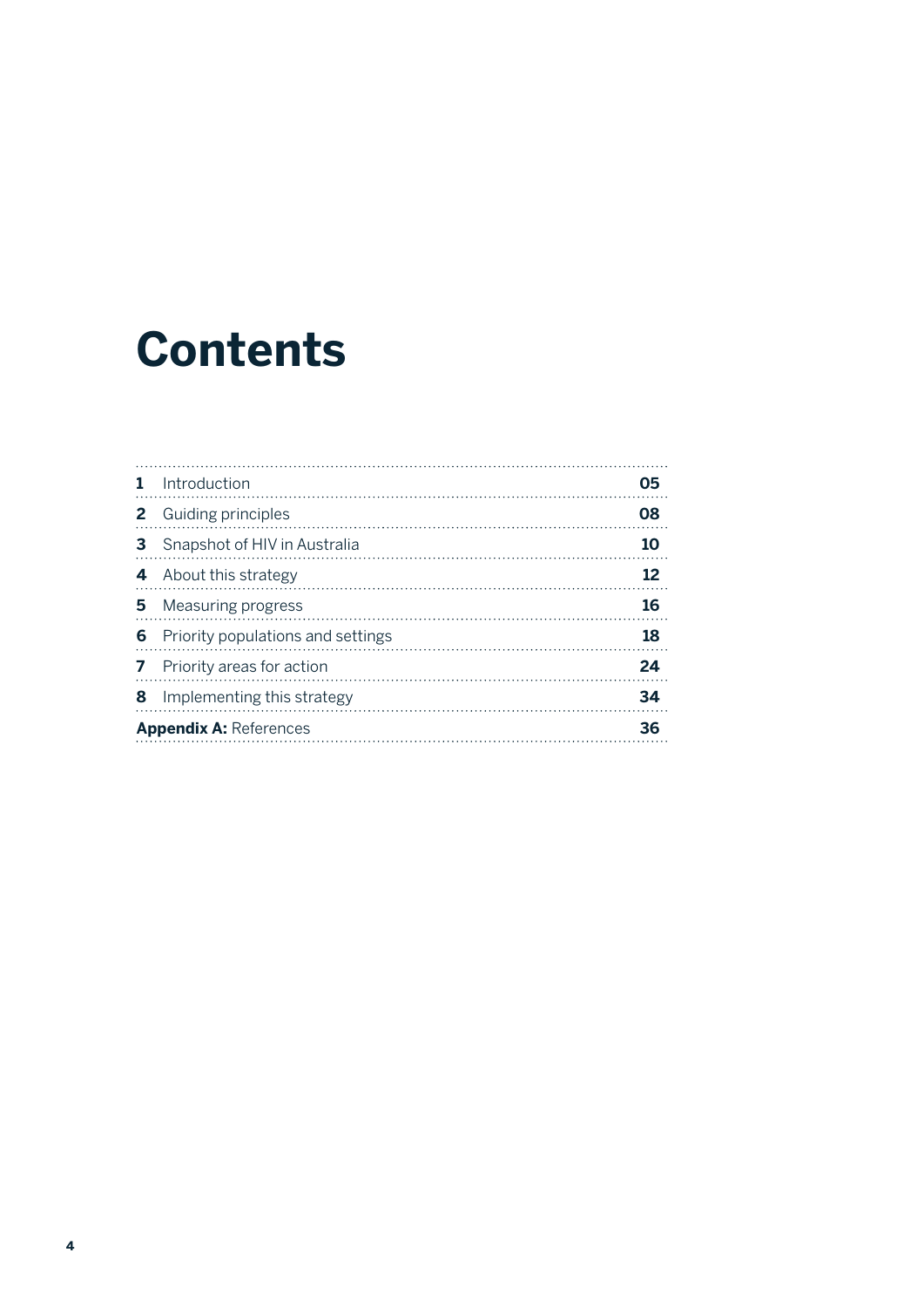## **Contents**

| 1.                            | Introduction                      | 05 |
|-------------------------------|-----------------------------------|----|
| 2                             | Guiding principles                | 08 |
| 3                             | Snapshot of HIV in Australia      | 10 |
| 4                             | About this strategy               | 12 |
| 5.                            | <b>Measuring progress</b>         | 16 |
| 6                             | Priority populations and settings | 18 |
| 7                             | Priority areas for action         | 24 |
| 8                             | Implementing this strategy        | 34 |
| <b>Appendix A: References</b> |                                   | 36 |
|                               |                                   |    |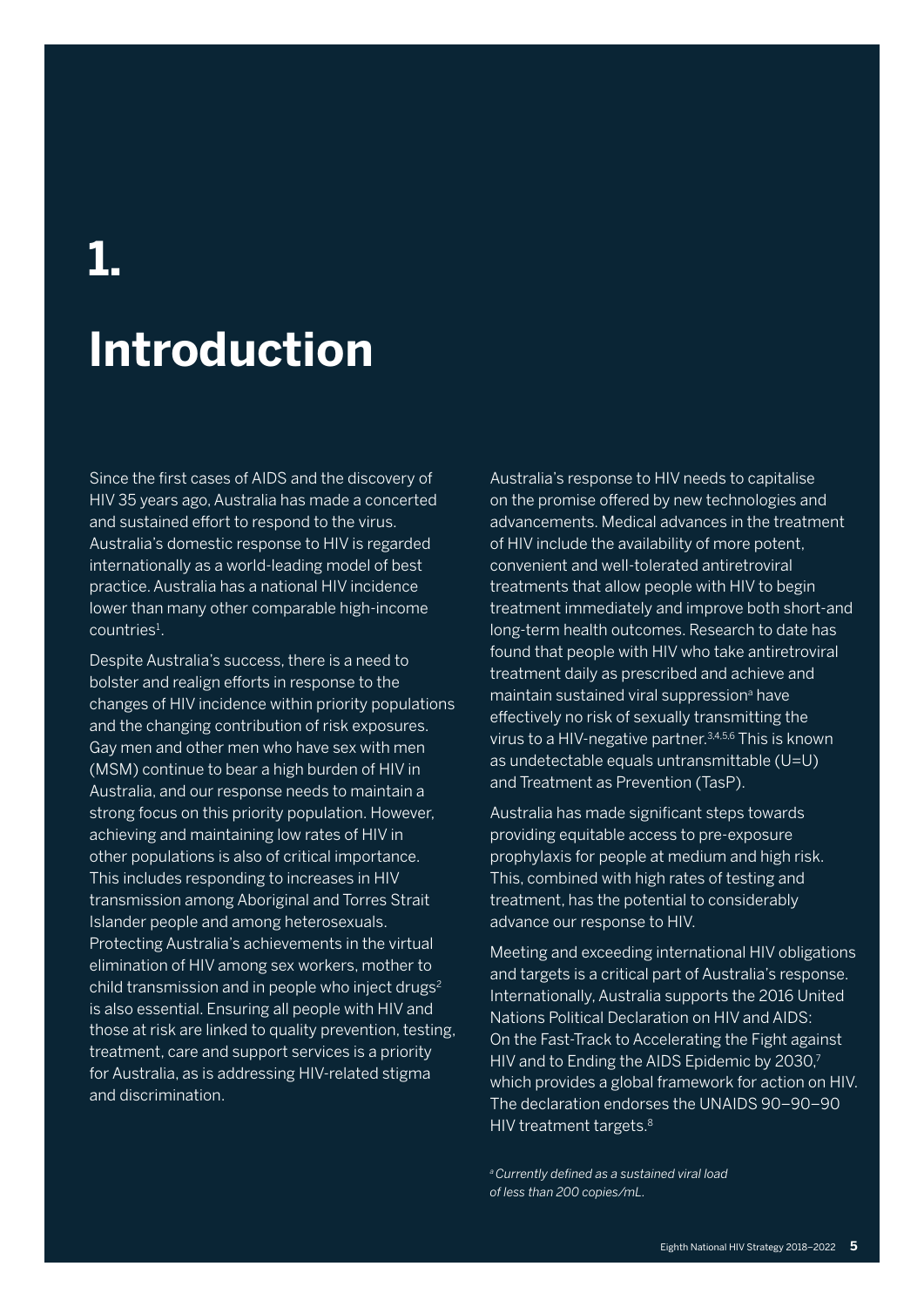## **1.**

## **Introduction**

Since the first cases of AIDS and the discovery of HIV 35 years ago, Australia has made a concerted and sustained effort to respond to the virus. Australia's domestic response to HIV is regarded internationally as a world-leading model of best practice. Australia has a national HIV incidence lower than many other comparable high-income countries<sup>1</sup>.

Despite Australia's success, there is a need to bolster and realign efforts in response to the changes of HIV incidence within priority populations and the changing contribution of risk exposures. Gay men and other men who have sex with men (MSM) continue to bear a high burden of HIV in Australia, and our response needs to maintain a strong focus on this priority population. However, achieving and maintaining low rates of HIV in other populations is also of critical importance. This includes responding to increases in HIV transmission among Aboriginal and Torres Strait Islander people and among heterosexuals. Protecting Australia's achievements in the virtual elimination of HIV among sex workers, mother to child transmission and in people who inject drugs<sup>2</sup> is also essential. Ensuring all people with HIV and those at risk are linked to quality prevention, testing, treatment, care and support services is a priority for Australia, as is addressing HIV-related stigma and discrimination.

Australia's response to HIV needs to capitalise on the promise offered by new technologies and advancements. Medical advances in the treatment of HIV include the availability of more potent, convenient and well-tolerated antiretroviral treatments that allow people with HIV to begin treatment immediately and improve both short-and long-term health outcomes. Research to date has found that people with HIV who take antiretroviral treatment daily as prescribed and achieve and maintain sustained viral suppression<sup>a</sup> have effectively no risk of sexually transmitting the virus to a HIV-negative partner.3,4,5,6 This is known as undetectable equals untransmittable (U=U) and Treatment as Prevention (TasP).

Australia has made significant steps towards providing equitable access to pre-exposure prophylaxis for people at medium and high risk. This, combined with high rates of testing and treatment, has the potential to considerably advance our response to HIV.

Meeting and exceeding international HIV obligations and targets is a critical part of Australia's response. Internationally, Australia supports the 2016 United Nations Political Declaration on HIV and AIDS: On the Fast-Track to Accelerating the Fight against HIV and to Ending the AIDS Epidemic by 2030,7 which provides a global framework for action on HIV. The declaration endorses the UNAIDS 90–90–90 HIV treatment targets.<sup>8</sup>

*a Currently defined as a sustained viral load of less than 200 copies/mL.*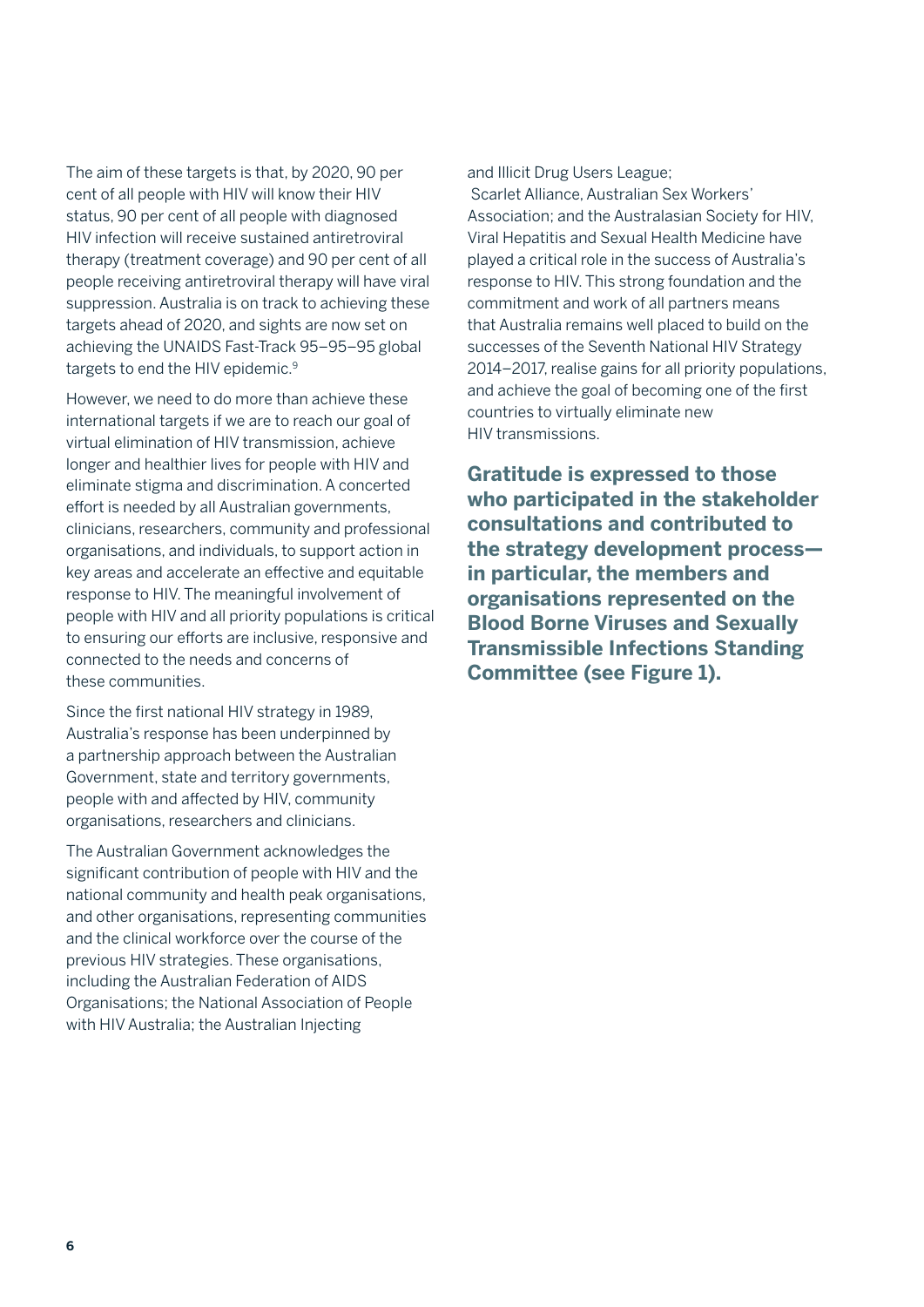The aim of these targets is that, by 2020, 90 per cent of all people with HIV will know their HIV status, 90 per cent of all people with diagnosed HIV infection will receive sustained antiretroviral therapy (treatment coverage) and 90 per cent of all people receiving antiretroviral therapy will have viral suppression. Australia is on track to achieving these targets ahead of 2020, and sights are now set on achieving the UNAIDS Fast-Track 95–95–95 global targets to end the HIV epidemic.9

However, we need to do more than achieve these international targets if we are to reach our goal of virtual elimination of HIV transmission, achieve longer and healthier lives for people with HIV and eliminate stigma and discrimination. A concerted effort is needed by all Australian governments, clinicians, researchers, community and professional organisations, and individuals, to support action in key areas and accelerate an effective and equitable response to HIV. The meaningful involvement of people with HIV and all priority populations is critical to ensuring our efforts are inclusive, responsive and connected to the needs and concerns of these communities.

Since the first national HIV strategy in 1989, Australia's response has been underpinned by a partnership approach between the Australian Government, state and territory governments, people with and affected by HIV, community organisations, researchers and clinicians.

The Australian Government acknowledges the significant contribution of people with HIV and the national community and health peak organisations, and other organisations, representing communities and the clinical workforce over the course of the previous HIV strategies. These organisations, including the Australian Federation of AIDS Organisations; the National Association of People with HIV Australia; the Australian Injecting

and Illicit Drug Users League;

 Scarlet Alliance, Australian Sex Workers' Association; and the Australasian Society for HIV, Viral Hepatitis and Sexual Health Medicine have played a critical role in the success of Australia's response to HIV. This strong foundation and the commitment and work of all partners means that Australia remains well placed to build on the successes of the Seventh National HIV Strategy 2014–2017, realise gains for all priority populations, and achieve the goal of becoming one of the first countries to virtually eliminate new HIV transmissions.

**Gratitude is expressed to those who participated in the stakeholder consultations and contributed to the strategy development process in particular, the members and organisations represented on the Blood Borne Viruses and Sexually Transmissible Infections Standing Committee (see Figure 1).**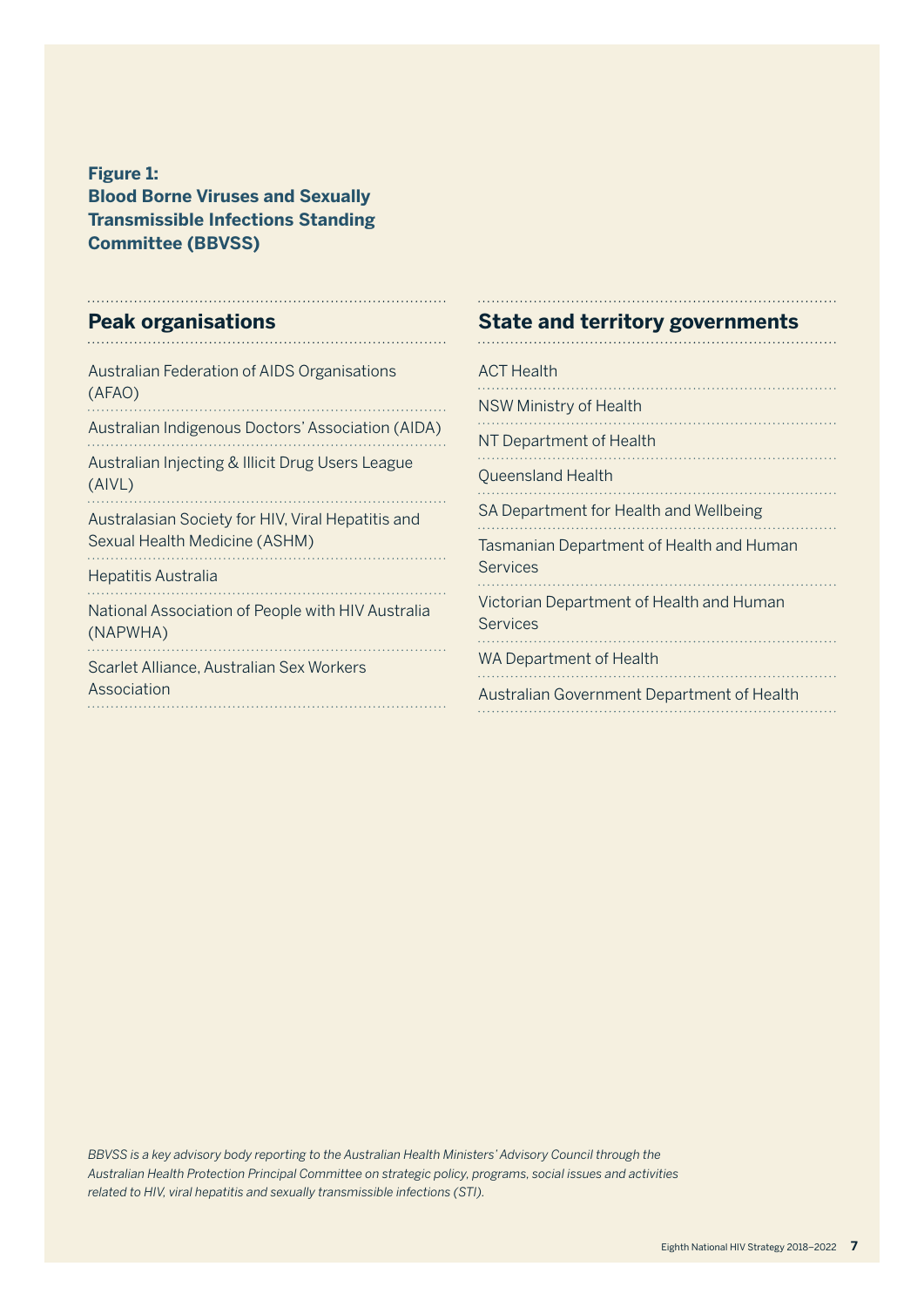**Figure 1: Blood Borne Viruses and Sexually Transmissible Infections Standing Committee (BBVSS)**

### **Peak organisations**

| <b>Australian Federation of AIDS Organisations</b><br>(AFAO)                       |
|------------------------------------------------------------------------------------|
| Australian Indigenous Doctors' Association (AIDA)                                  |
| Australian Injecting & Illicit Drug Users League<br>(AIVL)                         |
| Australasian Society for HIV, Viral Hepatitis and<br>Sexual Health Medicine (ASHM) |
| <b>Hepatitis Australia</b>                                                         |
| National Association of People with HIV Australia<br>(NAPWHA)                      |
| Scarlet Alliance, Australian Sex Workers<br>Association                            |
|                                                                                    |

### **State and territory governments**

| <b>ACT Health</b>                                           |
|-------------------------------------------------------------|
| <b>NSW Ministry of Health</b>                               |
| NT Department of Health                                     |
| Queensland Health                                           |
| SA Department for Health and Wellbeing                      |
| Tasmanian Department of Health and Human<br><b>Services</b> |
| Victorian Department of Health and Human<br><b>Services</b> |
| WA Department of Health                                     |
| Australian Government Department of Health<br>.             |

*BBVSS is a key advisory body reporting to the Australian Health Ministers' Advisory Council through the Australian Health Protection Principal Committee on strategic policy, programs, social issues and activities related to HIV, viral hepatitis and sexually transmissible infections (STI).*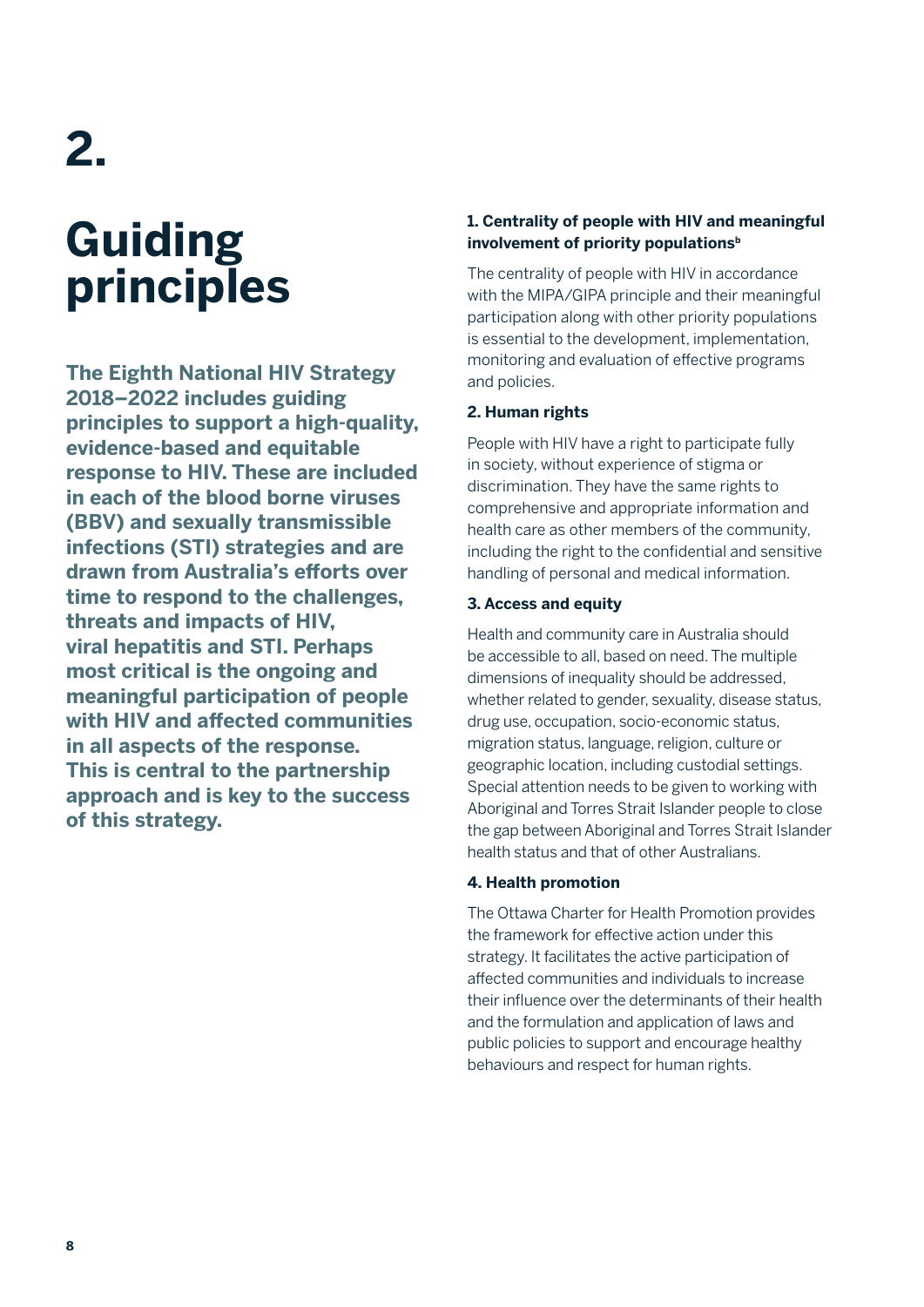## **2.**

## **Guiding principles**

**The Eighth National HIV Strategy 2018–2022 includes guiding principles to support a high-quality, evidence-based and equitable response to HIV. These are included in each of the blood borne viruses (BBV) and sexually transmissible infections (STI) strategies and are drawn from Australia's efforts over time to respond to the challenges, threats and impacts of HIV, viral hepatitis and STI. Perhaps most critical is the ongoing and meaningful participation of people with HIV and affected communities in all aspects of the response. This is central to the partnership approach and is key to the success of this strategy.** 

#### **1. Centrality of people with HIV and meaningful**  involvement of priority populations<sup>b</sup>

The centrality of people with HIV in accordance with the MIPA/GIPA principle and their meaningful participation along with other priority populations is essential to the development, implementation, monitoring and evaluation of effective programs and policies.

#### **2. Human rights**

People with HIV have a right to participate fully in society, without experience of stigma or discrimination. They have the same rights to comprehensive and appropriate information and health care as other members of the community, including the right to the confidential and sensitive handling of personal and medical information.

#### **3. Access and equity**

Health and community care in Australia should be accessible to all, based on need. The multiple dimensions of inequality should be addressed, whether related to gender, sexuality, disease status, drug use, occupation, socio-economic status, migration status, language, religion, culture or geographic location, including custodial settings. Special attention needs to be given to working with Aboriginal and Torres Strait Islander people to close the gap between Aboriginal and Torres Strait Islander health status and that of other Australians.

#### **4. Health promotion**

The Ottawa Charter for Health Promotion provides the framework for effective action under this strategy. It facilitates the active participation of affected communities and individuals to increase their influence over the determinants of their health and the formulation and application of laws and public policies to support and encourage healthy behaviours and respect for human rights.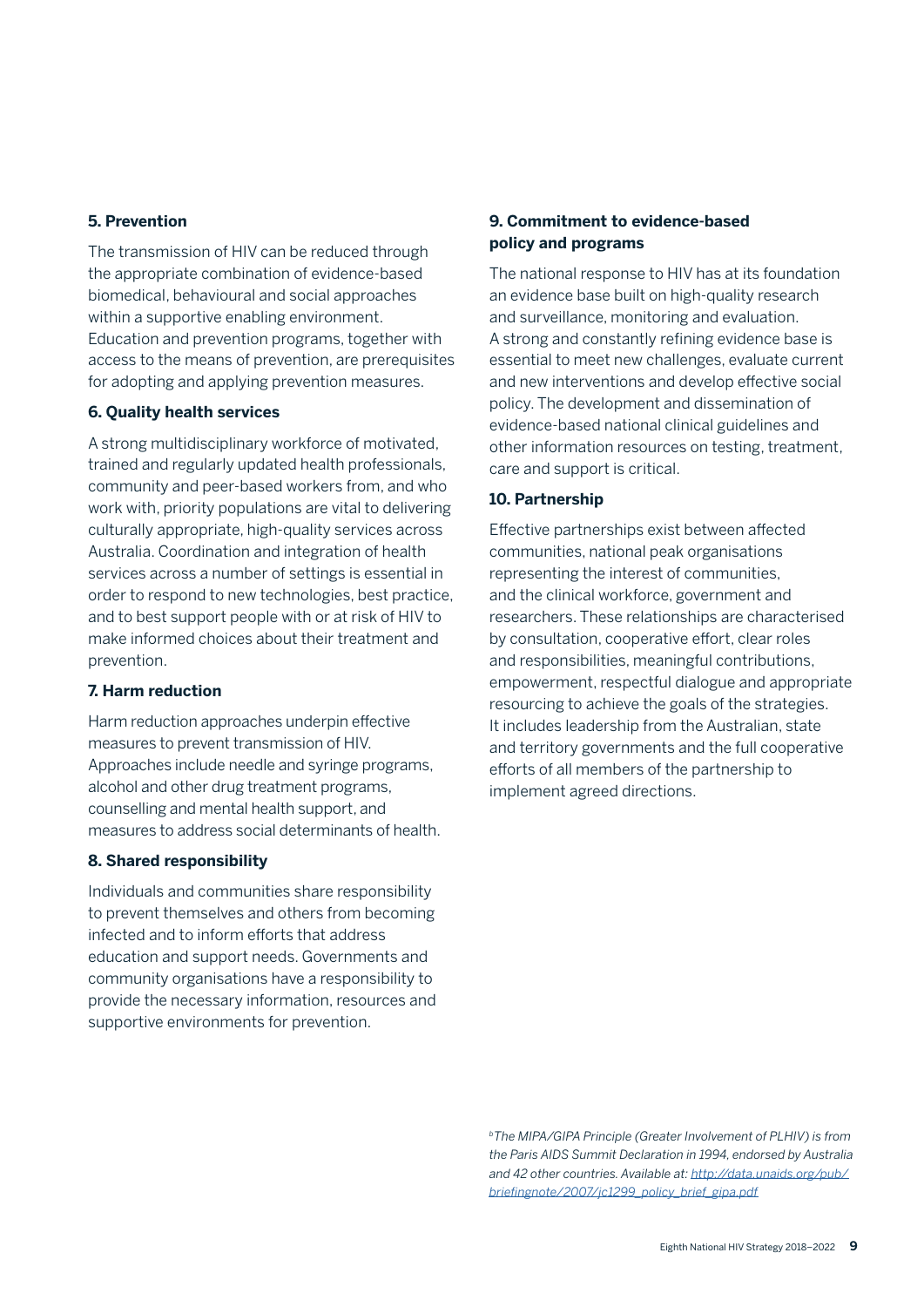#### **5. Prevention**

The transmission of HIV can be reduced through the appropriate combination of evidence-based biomedical, behavioural and social approaches within a supportive enabling environment. Education and prevention programs, together with access to the means of prevention, are prerequisites for adopting and applying prevention measures.

#### **6. Quality health services**

A strong multidisciplinary workforce of motivated, trained and regularly updated health professionals, community and peer-based workers from, and who work with, priority populations are vital to delivering culturally appropriate, high-quality services across Australia. Coordination and integration of health services across a number of settings is essential in order to respond to new technologies, best practice, and to best support people with or at risk of HIV to make informed choices about their treatment and prevention.

#### **7. Harm reduction**

Harm reduction approaches underpin effective measures to prevent transmission of HIV. Approaches include needle and syringe programs, alcohol and other drug treatment programs, counselling and mental health support, and measures to address social determinants of health.

#### **8. Shared responsibility**

Individuals and communities share responsibility to prevent themselves and others from becoming infected and to inform efforts that address education and support needs. Governments and community organisations have a responsibility to provide the necessary information, resources and supportive environments for prevention.

#### **9. Commitment to evidence-based policy and programs**

The national response to HIV has at its foundation an evidence base built on high-quality research and surveillance, monitoring and evaluation. A strong and constantly refining evidence base is essential to meet new challenges, evaluate current and new interventions and develop effective social policy. The development and dissemination of evidence-based national clinical guidelines and other information resources on testing, treatment, care and support is critical.

#### **10. Partnership**

Effective partnerships exist between affected communities, national peak organisations representing the interest of communities, and the clinical workforce, government and researchers. These relationships are characterised by consultation, cooperative effort, clear roles and responsibilities, meaningful contributions, empowerment, respectful dialogue and appropriate resourcing to achieve the goals of the strategies. It includes leadership from the Australian, state and territory governments and the full cooperative efforts of all members of the partnership to implement agreed directions.

*bThe MIPA/GIPA Principle (Greater Involvement of PLHIV) is from the Paris AIDS Summit Declaration in 1994, endorsed by Australia and 42 other countries. Available at: [http://data.unaids.org/pub/](http://data.unaids.org/pub/briefingnote/2007/jc1299_policy_brief_gipa.pdf) [briefingnote/2007/jc1299\\_policy\\_brief\\_gipa.pdf](http://data.unaids.org/pub/briefingnote/2007/jc1299_policy_brief_gipa.pdf)*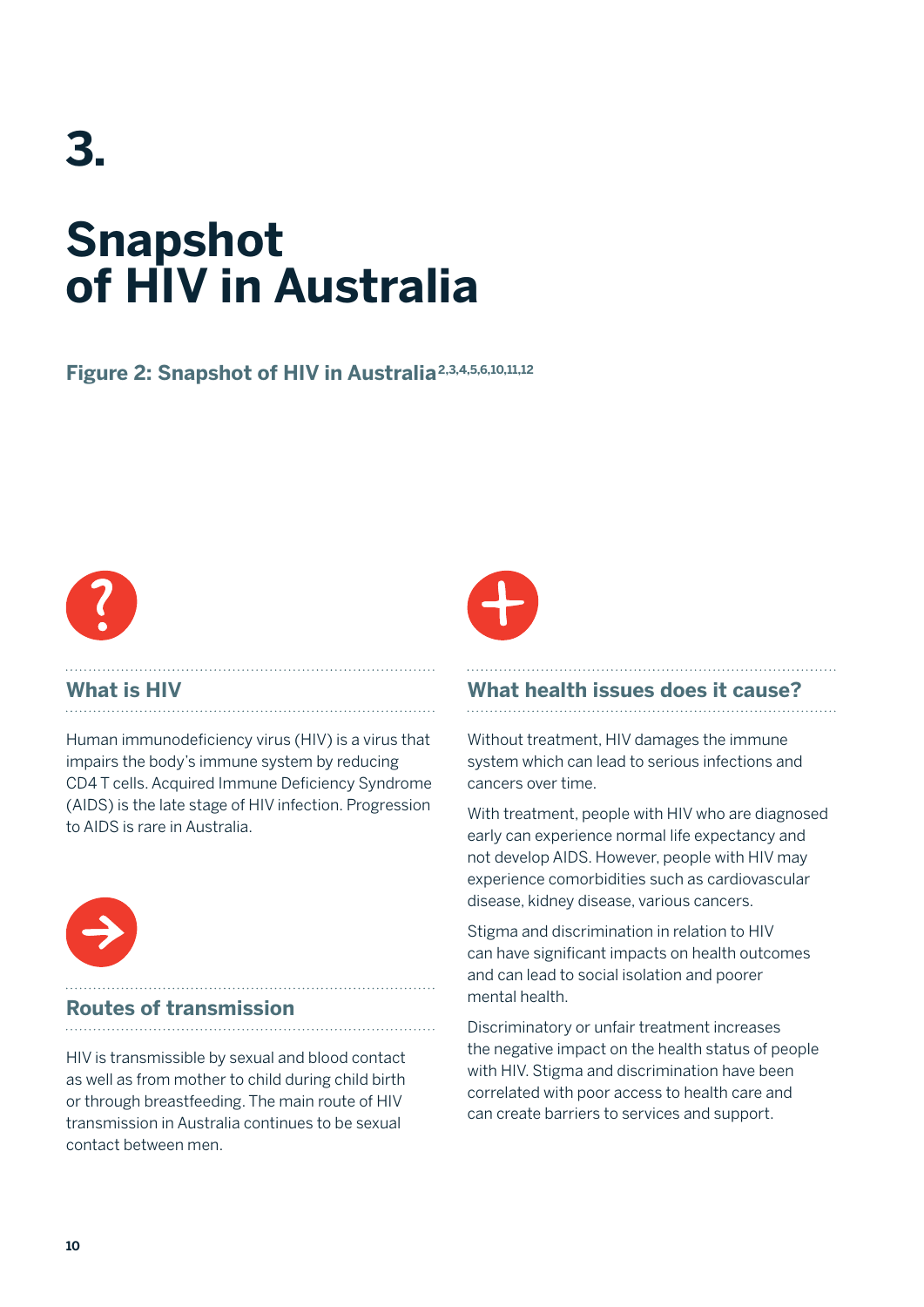## **3. Snapshot of HIV in Australia**

### **Figure 2: Snapshot of HIV in Australia2,3,4,5,6,10,11,12**



### **What is HIV**

Human immunodeficiency virus (HIV) is a virus that impairs the body's immune system by reducing CD4 T cells. Acquired Immune Deficiency Syndrome (AIDS) is the late stage of HIV infection. Progression to AIDS is rare in Australia.



#### **Routes of transmission**

HIV is transmissible by sexual and blood contact as well as from mother to child during child birth or through breastfeeding. The main route of HIV transmission in Australia continues to be sexual contact between men.



### **What health issues does it cause?**

Without treatment, HIV damages the immune system which can lead to serious infections and cancers over time.

With treatment, people with HIV who are diagnosed early can experience normal life expectancy and not develop AIDS. However, people with HIV may experience comorbidities such as cardiovascular disease, kidney disease, various cancers.

Stigma and discrimination in relation to HIV can have significant impacts on health outcomes and can lead to social isolation and poorer mental health.

Discriminatory or unfair treatment increases the negative impact on the health status of people with HIV. Stigma and discrimination have been correlated with poor access to health care and can create barriers to services and support.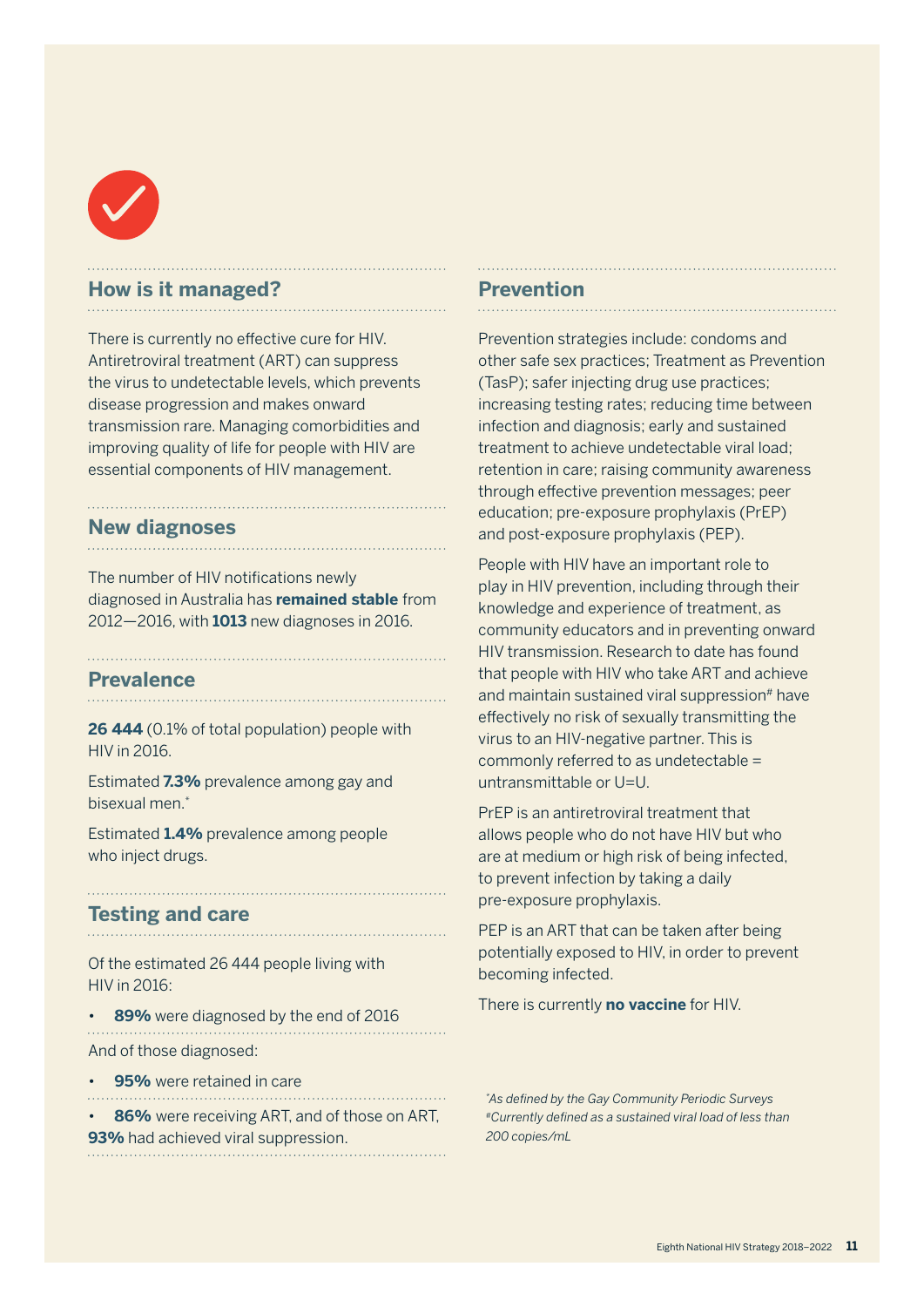

#### **How is it managed?**

There is currently no effective cure for HIV. Antiretroviral treatment (ART) can suppress the virus to undetectable levels, which prevents disease progression and makes onward transmission rare. Managing comorbidities and improving quality of life for people with HIV are essential components of HIV management.

#### **New diagnoses**

The number of HIV notifications newly diagnosed in Australia has **remained stable** from 2012—2016, with **1013** new diagnoses in 2016.

#### **Prevalence**

**26 444** (0.1% of total population) people with HIV in 2016.

Estimated **7.3%** prevalence among gay and bisexual men.\*

Estimated **1.4%** prevalence among people who inject drugs.

#### **Testing and care**

Of the estimated 26 444 people living with HIV in 2016:

• **89%** were diagnosed by the end of 2016 And of those diagnosed:

• **95%** were retained in care

• **86%** were receiving ART, and of those on ART, **93%** had achieved viral suppression.

#### **Prevention**

Prevention strategies include: condoms and other safe sex practices; Treatment as Prevention (TasP); safer injecting drug use practices; increasing testing rates; reducing time between infection and diagnosis; early and sustained treatment to achieve undetectable viral load; retention in care; raising community awareness through effective prevention messages; peer education; pre-exposure prophylaxis (PrEP) and post-exposure prophylaxis (PEP).

People with HIV have an important role to play in HIV prevention, including through their knowledge and experience of treatment, as community educators and in preventing onward HIV transmission. Research to date has found that people with HIV who take ART and achieve and maintain sustained viral suppression<sup>#</sup> have effectively no risk of sexually transmitting the virus to an HIV-negative partner. This is commonly referred to as undetectable = untransmittable or U=U.

PrEP is an antiretroviral treatment that allows people who do not have HIV but who are at medium or high risk of being infected, to prevent infection by taking a daily pre-exposure prophylaxis.

PEP is an ART that can be taken after being potentially exposed to HIV, in order to prevent becoming infected.

There is currently **no vaccine** for HIV.

*\* As defined by the Gay Community Periodic Surveys #Currently defined as a sustained viral load of less than 200 copies/mL*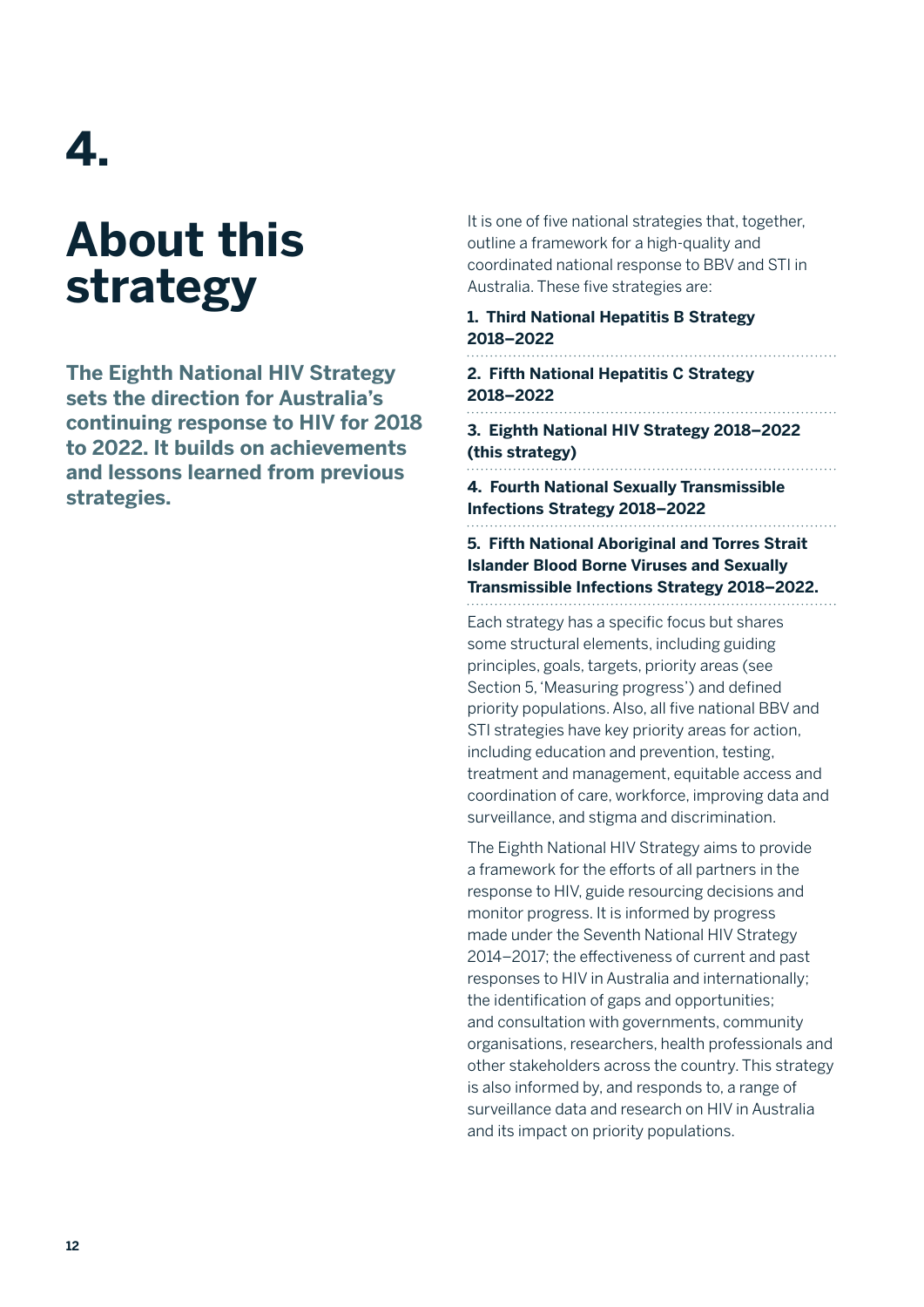## **4.**

## **About this strategy**

**The Eighth National HIV Strategy sets the direction for Australia's continuing response to HIV for 2018 to 2022. It builds on achievements and lessons learned from previous strategies.** 

It is one of five national strategies that, together, outline a framework for a high-quality and coordinated national response to BBV and STI in Australia. These five strategies are:

#### **1. Third National Hepatitis B Strategy 2018–2022**

```
2. Fifth National Hepatitis C Strategy 
2018–2022
```
**3. Eighth National HIV Strategy 2018–2022 (this strategy)**

**4. Fourth National Sexually Transmissible Infections Strategy 2018–2022**

. . . . . . . . . . . . .

**5. Fifth National Aboriginal and Torres Strait Islander Blood Borne Viruses and Sexually Transmissible Infections Strategy 2018–2022.**

Each strategy has a specific focus but shares some structural elements, including guiding principles, goals, targets, priority areas (see Section 5, 'Measuring progress') and defined priority populations. Also, all five national BBV and STI strategies have key priority areas for action, including education and prevention, testing, treatment and management, equitable access and coordination of care, workforce, improving data and surveillance, and stigma and discrimination.

The Eighth National HIV Strategy aims to provide a framework for the efforts of all partners in the response to HIV, guide resourcing decisions and monitor progress. It is informed by progress made under the Seventh National HIV Strategy 2014–2017; the effectiveness of current and past responses to HIV in Australia and internationally; the identification of gaps and opportunities; and consultation with governments, community organisations, researchers, health professionals and other stakeholders across the country. This strategy is also informed by, and responds to, a range of surveillance data and research on HIV in Australia and its impact on priority populations.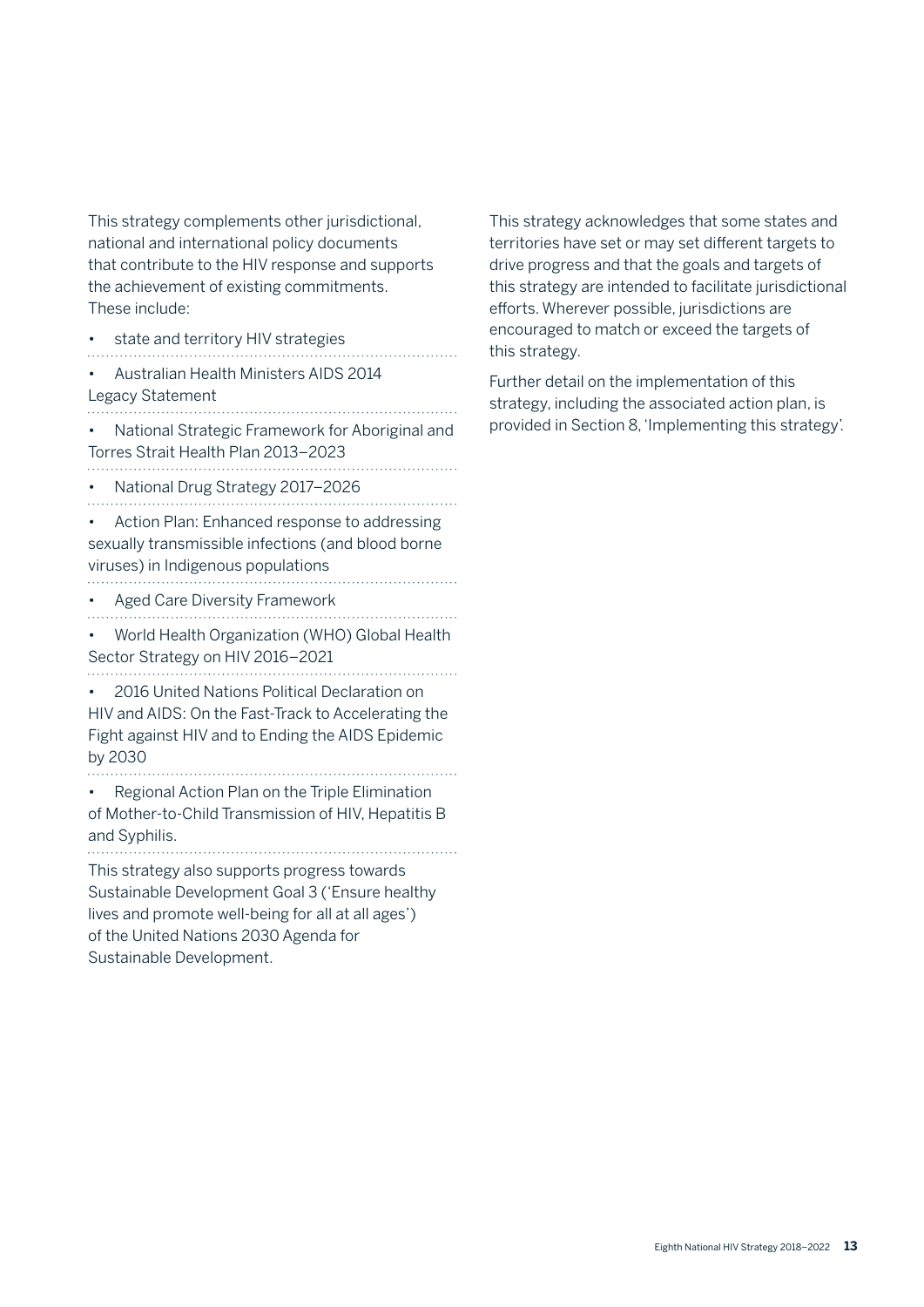This strategy complements other jurisdictional, national and international policy documents that contribute to the HIV response and supports the achievement of existing commitments. These include:

- state and territory HIV strategies
- • Australian Health Ministers AIDS 2014
- 

Legacy Statement

• National Strategic Framework for Aboriginal and Torres Strait Health Plan 2013–2023

• National Drug Strategy 2017–2026 

• Action Plan: Enhanced response to addressing sexually transmissible infections (and blood borne viruses) in Indigenous populations

- Aged Care Diversity Framework
- 

• World Health Organization (WHO) Global Health Sector Strategy on HIV 2016–2021 

• 2016 United Nations Political Declaration on HIV and AIDS: On the Fast-Track to Accelerating the Fight against HIV and to Ending the AIDS Epidemic by 2030

• Regional Action Plan on the Triple Elimination of Mother-to-Child Transmission of HIV, Hepatitis B and Syphilis. 

This strategy also supports progress towards Sustainable Development Goal 3 ('Ensure healthy

lives and promote well-being for all at all ages') of the United Nations 2030 Agenda for Sustainable Development.

This strategy acknowledges that some states and territories have set or may set different targets to drive progress and that the goals and targets of this strategy are intended to facilitate jurisdictional efforts. Wherever possible, jurisdictions are encouraged to match or exceed the targets of this strategy.

Further detail on the implementation of this strategy, including the associated action plan, is provided in Section 8, 'Implementing this strategy'.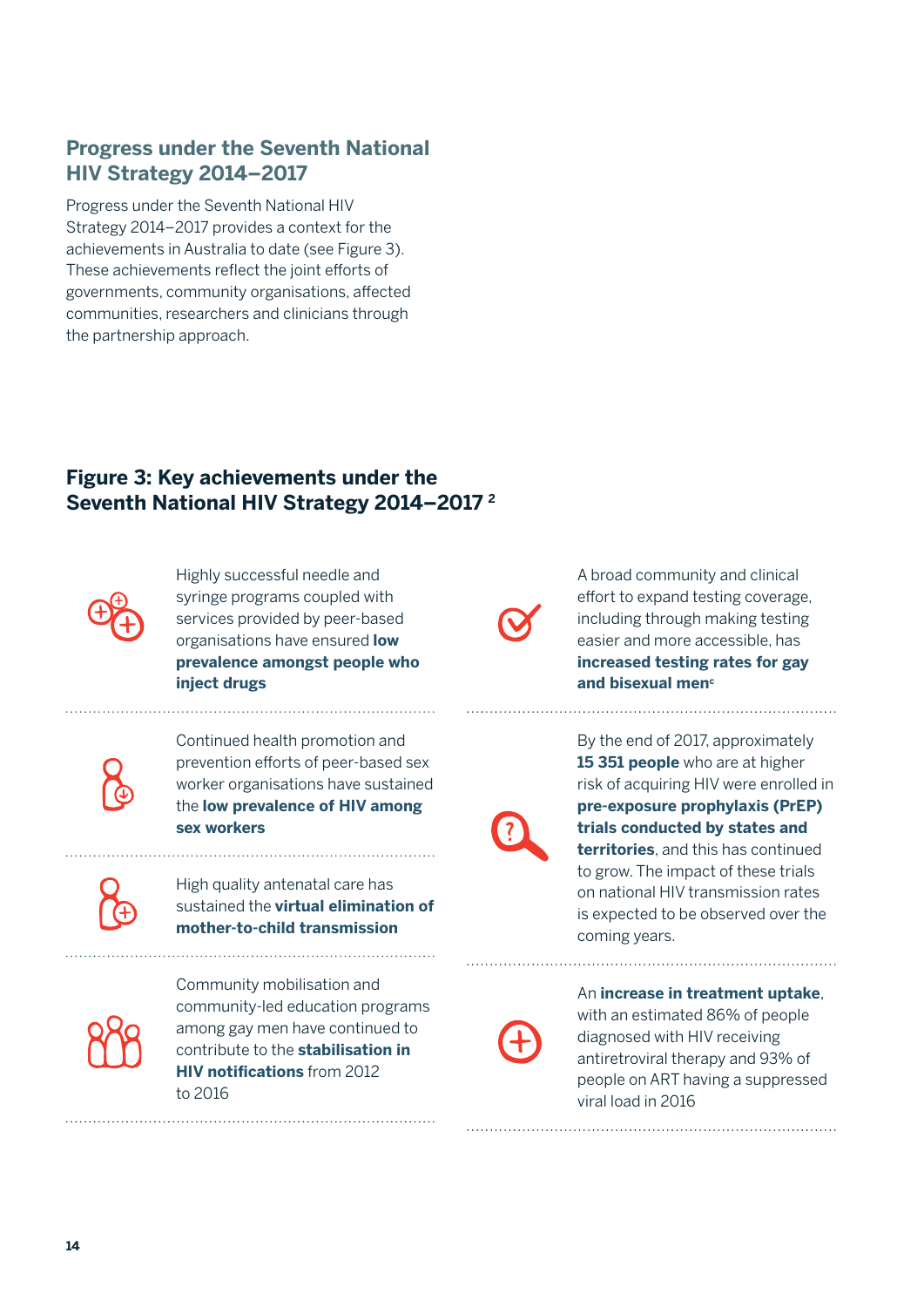### **Progress under the Seventh National HIV Strategy 2014–2017**

Progress under the Seventh National HIV Strategy 2014–2017 provides a context for the achievements in Australia to date (see Figure 3). These achievements reflect the joint efforts of governments, community organisations, affected communities, researchers and clinicians through the partnership approach.

### **Figure 3: Key achievements under the Seventh National HIV Strategy 2014–2017 2**



Highly successful needle and syringe programs coupled with services provided by peer-based organisations have ensured **low prevalence amongst people who inject drugs**

Continued health promotion and prevention efforts of peer-based sex worker organisations have sustained the **low prevalence of HIV among sex workers**

High quality antenatal care has sustained the **virtual elimination of mother-to-child transmission**



Community mobilisation and community-led education programs among gay men have continued to contribute to the **stabilisation in HIV notifications** from 2012 to 2016

A broad community and clinical effort to expand testing coverage, including through making testing easier and more accessible, has **increased testing rates for gay**  and bisexual men<sup>c</sup>



By the end of 2017, approximately **15 351 people** who are at higher risk of acquiring HIV were enrolled in **pre-exposure prophylaxis (PrEP) trials conducted by states and territories**, and this has continued to grow. The impact of these trials on national HIV transmission rates is expected to be observed over the coming years.

An **increase in treatment uptake**, with an estimated 86% of people diagnosed with HIV receiving antiretroviral therapy and 93% of people on ART having a suppressed viral load in 2016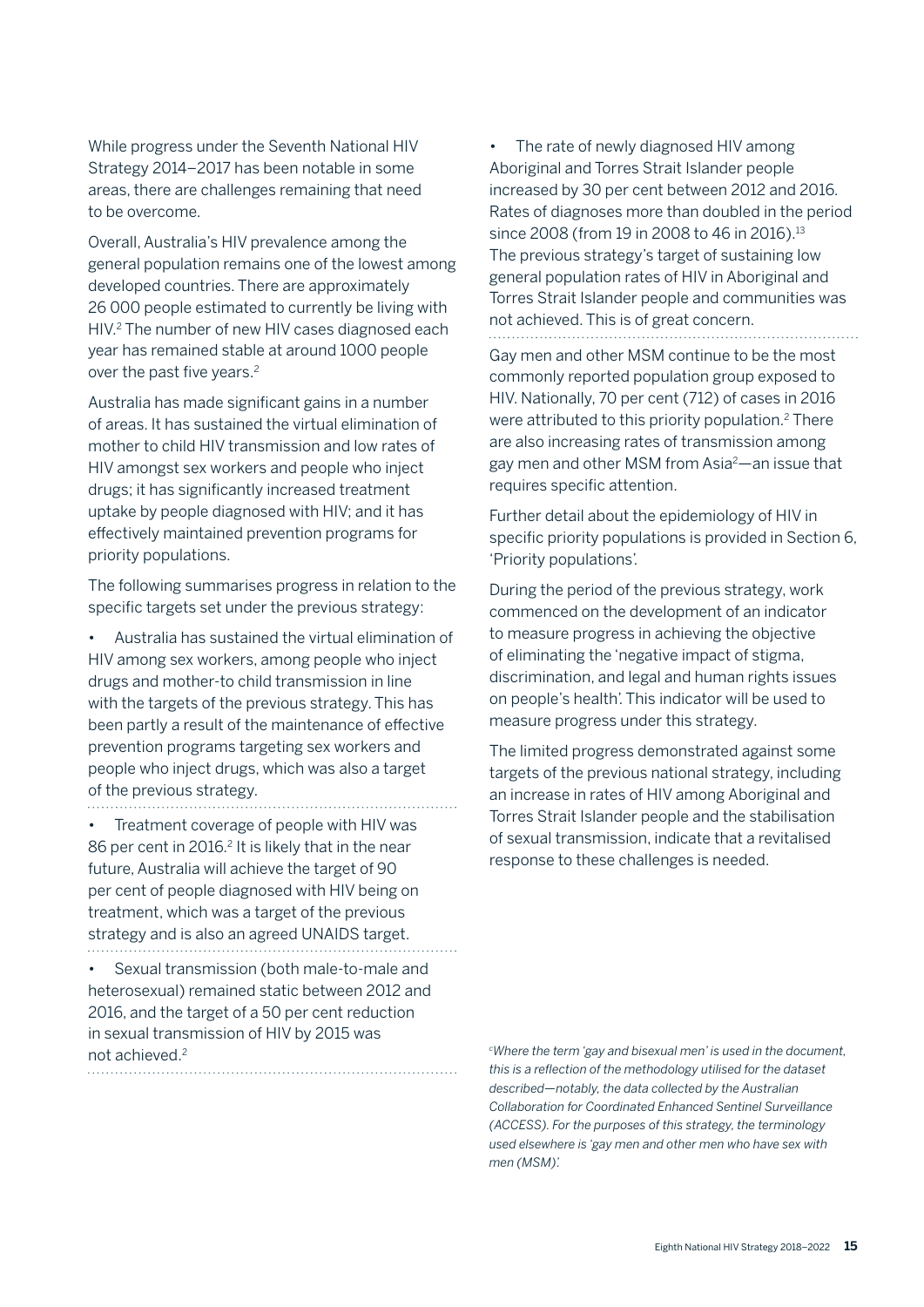While progress under the Seventh National HIV Strategy 2014–2017 has been notable in some areas, there are challenges remaining that need to be overcome.

Overall, Australia's HIV prevalence among the general population remains one of the lowest among developed countries. There are approximately 26 000 people estimated to currently be living with HIV.<sup>2</sup> The number of new HIV cases diagnosed each year has remained stable at around 1000 people over the past five years.<sup>2</sup>

Australia has made significant gains in a number of areas. It has sustained the virtual elimination of mother to child HIV transmission and low rates of HIV amongst sex workers and people who inject drugs; it has significantly increased treatment uptake by people diagnosed with HIV; and it has effectively maintained prevention programs for priority populations.

The following summarises progress in relation to the specific targets set under the previous strategy:

• Australia has sustained the virtual elimination of HIV among sex workers, among people who inject drugs and mother-to child transmission in line with the targets of the previous strategy. This has been partly a result of the maintenance of effective prevention programs targeting sex workers and people who inject drugs, which was also a target of the previous strategy. . . . . . . . . . . . . . .

• Treatment coverage of people with HIV was 86 per cent in 2016.<sup>2</sup> It is likely that in the near future, Australia will achieve the target of 90 per cent of people diagnosed with HIV being on treatment, which was a target of the previous strategy and is also an agreed UNAIDS target. 

• Sexual transmission (both male-to-male and heterosexual) remained static between 2012 and 2016, and the target of a 50 per cent reduction in sexual transmission of HIV by 2015 was not achieved.2

The rate of newly diagnosed HIV among Aboriginal and Torres Strait Islander people increased by 30 per cent between 2012 and 2016. Rates of diagnoses more than doubled in the period since 2008 (from 19 in 2008 to 46 in 2016).<sup>13</sup> The previous strategy's target of sustaining low general population rates of HIV in Aboriginal and Torres Strait Islander people and communities was not achieved. This is of great concern.

Gay men and other MSM continue to be the most commonly reported population group exposed to HIV. Nationally, 70 per cent (712) of cases in 2016 were attributed to this priority population.<sup>2</sup> There are also increasing rates of transmission among gay men and other MSM from Asia2—an issue that requires specific attention.

Further detail about the epidemiology of HIV in specific priority populations is provided in Section 6, 'Priority populations'.

During the period of the previous strategy, work commenced on the development of an indicator to measure progress in achieving the objective of eliminating the 'negative impact of stigma, discrimination, and legal and human rights issues on people's health'. This indicator will be used to measure progress under this strategy.

The limited progress demonstrated against some targets of the previous national strategy, including an increase in rates of HIV among Aboriginal and Torres Strait Islander people and the stabilisation of sexual transmission, indicate that a revitalised response to these challenges is needed.

*c Where the term 'gay and bisexual men' is used in the document, this is a reflection of the methodology utilised for the dataset described—notably, the data collected by the Australian Collaboration for Coordinated Enhanced Sentinel Surveillance (ACCESS). For the purposes of this strategy, the terminology used elsewhere is 'gay men and other men who have sex with men (MSM)'.*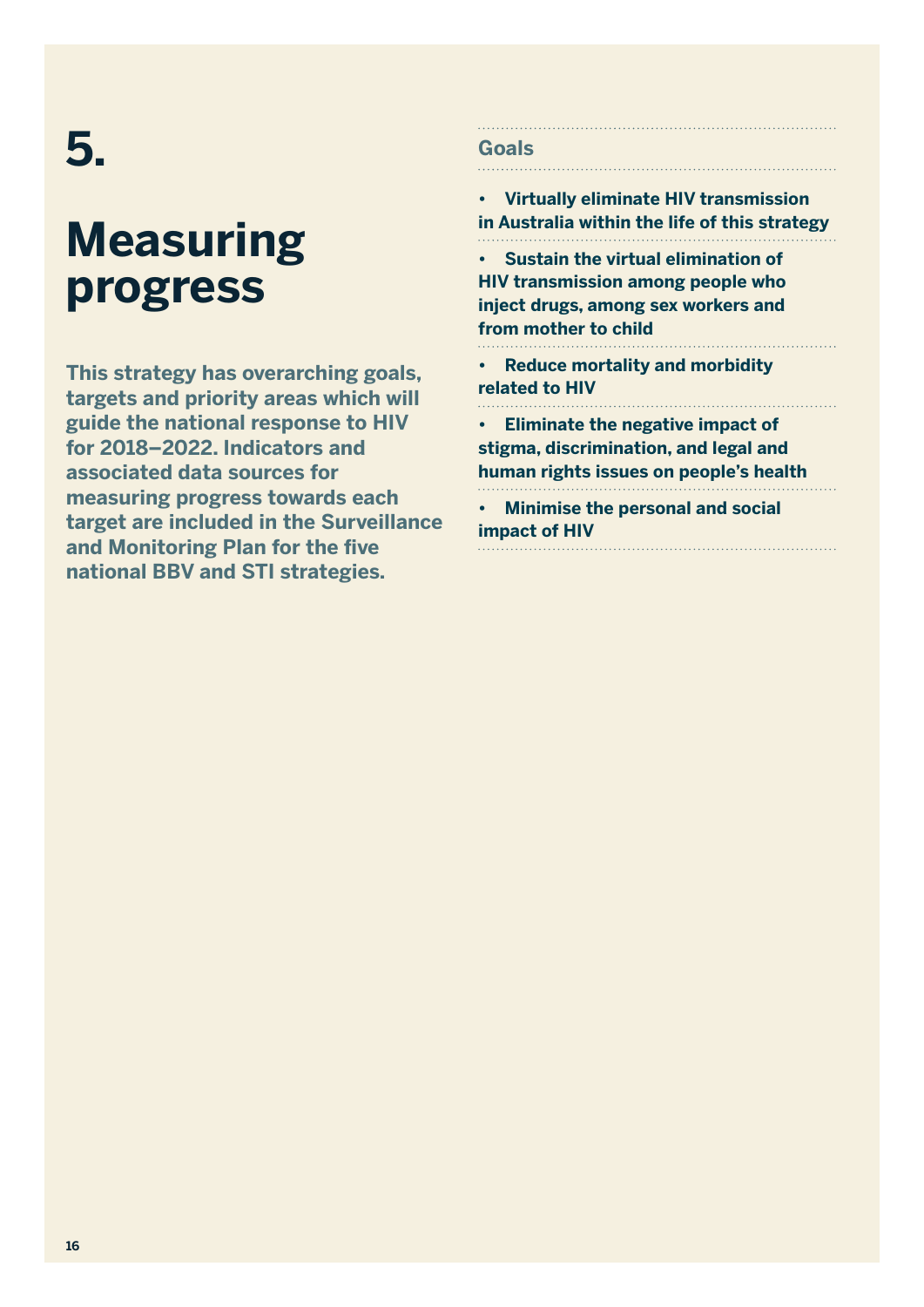## **5.**

## **Measuring progress**

**This strategy has overarching goals, targets and priority areas which will guide the national response to HIV for 2018–2022. Indicators and associated data sources for measuring progress towards each target are included in the Surveillance and Monitoring Plan for the five national BBV and STI strategies.**

### **Goals**

**• Virtually eliminate HIV transmission in Australia within the life of this strategy • Sustain the virtual elimination of HIV transmission among people who inject drugs, among sex workers and from mother to child • Reduce mortality and morbidity related to HIV • Eliminate the negative impact of stigma, discrimination, and legal and human rights issues on people's health • Minimise the personal and social impact of HIV**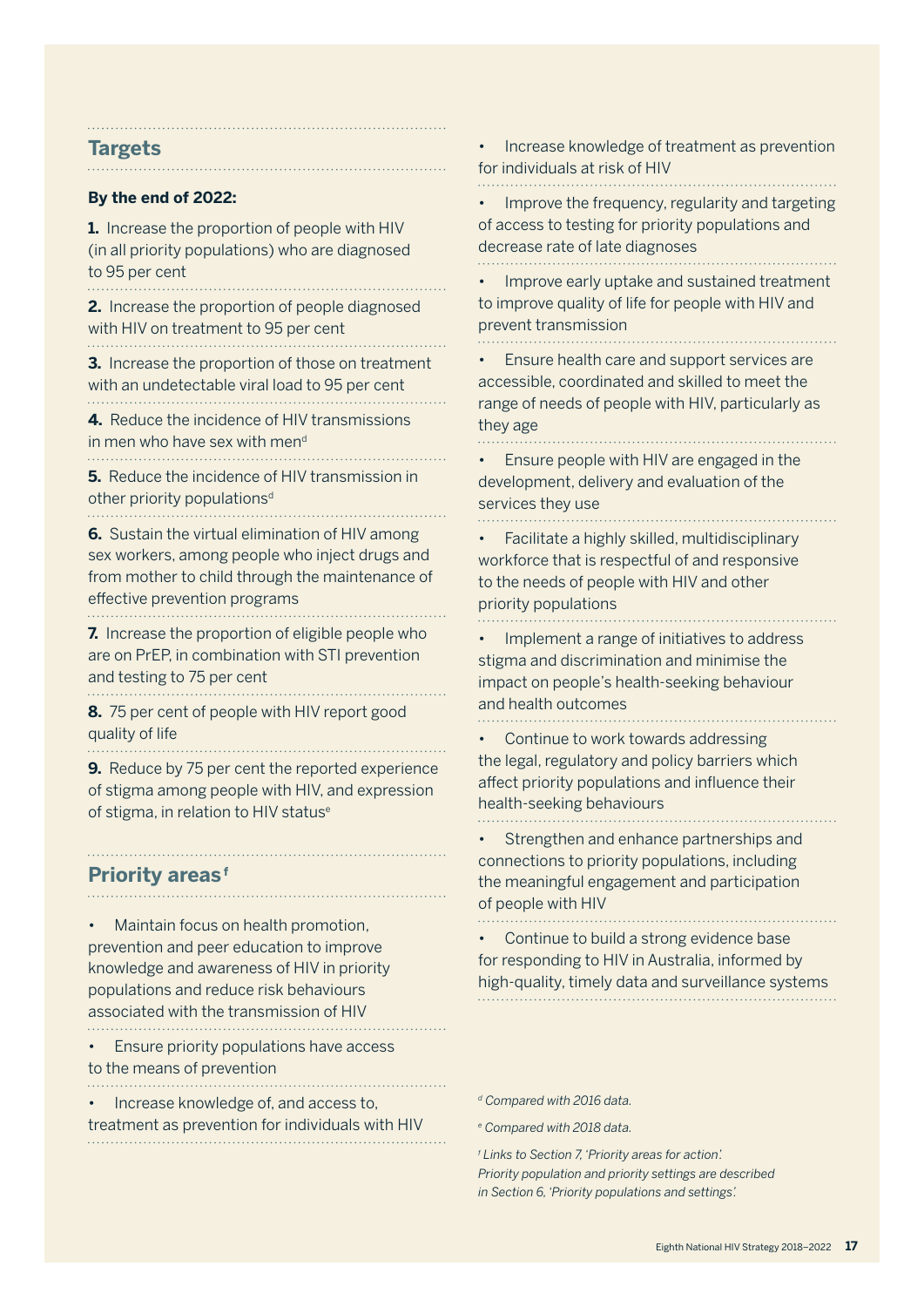#### **Targets**

. . . . . . . . . .

#### **By the end of 2022:**

**1.** Increase the proportion of people with HIV (in all priority populations) who are diagnosed to 95 per cent

**2.** Increase the proportion of people diagnosed with HIV on treatment to 95 per cent

**3.** Increase the proportion of those on treatment with an undetectable viral load to 95 per cent 

**4.** Reduce the incidence of HIV transmissions in men who have sex with mend 

**5.** Reduce the incidence of HIV transmission in other priority populations<sup>d</sup>

**6.** Sustain the virtual elimination of HIV among sex workers, among people who inject drugs and from mother to child through the maintenance of effective prevention programs 

**7.** Increase the proportion of eligible people who are on PrEP, in combination with STI prevention and testing to 75 per cent

**8.** 75 per cent of people with HIV report good quality of life

**9.** Reduce by 75 per cent the reported experience of stigma among people with HIV, and expression of stigma, in relation to HIV status<sup>e</sup>

### **Priority areas<sup>f</sup>**

• Maintain focus on health promotion, prevention and peer education to improve knowledge and awareness of HIV in priority populations and reduce risk behaviours associated with the transmission of HIV

• Ensure priority populations have access to the means of prevention

• Increase knowledge of, and access to,

treatment as prevention for individuals with HIV

• Increase knowledge of treatment as prevention for individuals at risk of HIV

• Improve the frequency, regularity and targeting of access to testing for priority populations and decrease rate of late diagnoses

• Improve early uptake and sustained treatment to improve quality of life for people with HIV and prevent transmission 

• Ensure health care and support services are accessible, coordinated and skilled to meet the range of needs of people with HIV, particularly as they age

• Ensure people with HIV are engaged in the development, delivery and evaluation of the services they use

• Facilitate a highly skilled, multidisciplinary workforce that is respectful of and responsive to the needs of people with HIV and other priority populations

• Implement a range of initiatives to address stigma and discrimination and minimise the impact on people's health-seeking behaviour and health outcomes

Continue to work towards addressing the legal, regulatory and policy barriers which affect priority populations and influence their health-seeking behaviours

Strengthen and enhance partnerships and connections to priority populations, including the meaningful engagement and participation of people with HIV

• Continue to build a strong evidence base for responding to HIV in Australia, informed by high-quality, timely data and surveillance systems

*d Compared with 2016 data.*

*e Compared with 2018 data.*

*f Links to Section 7, 'Priority areas for action'. Priority population and priority settings are described in Section 6, 'Priority populations and settings'.*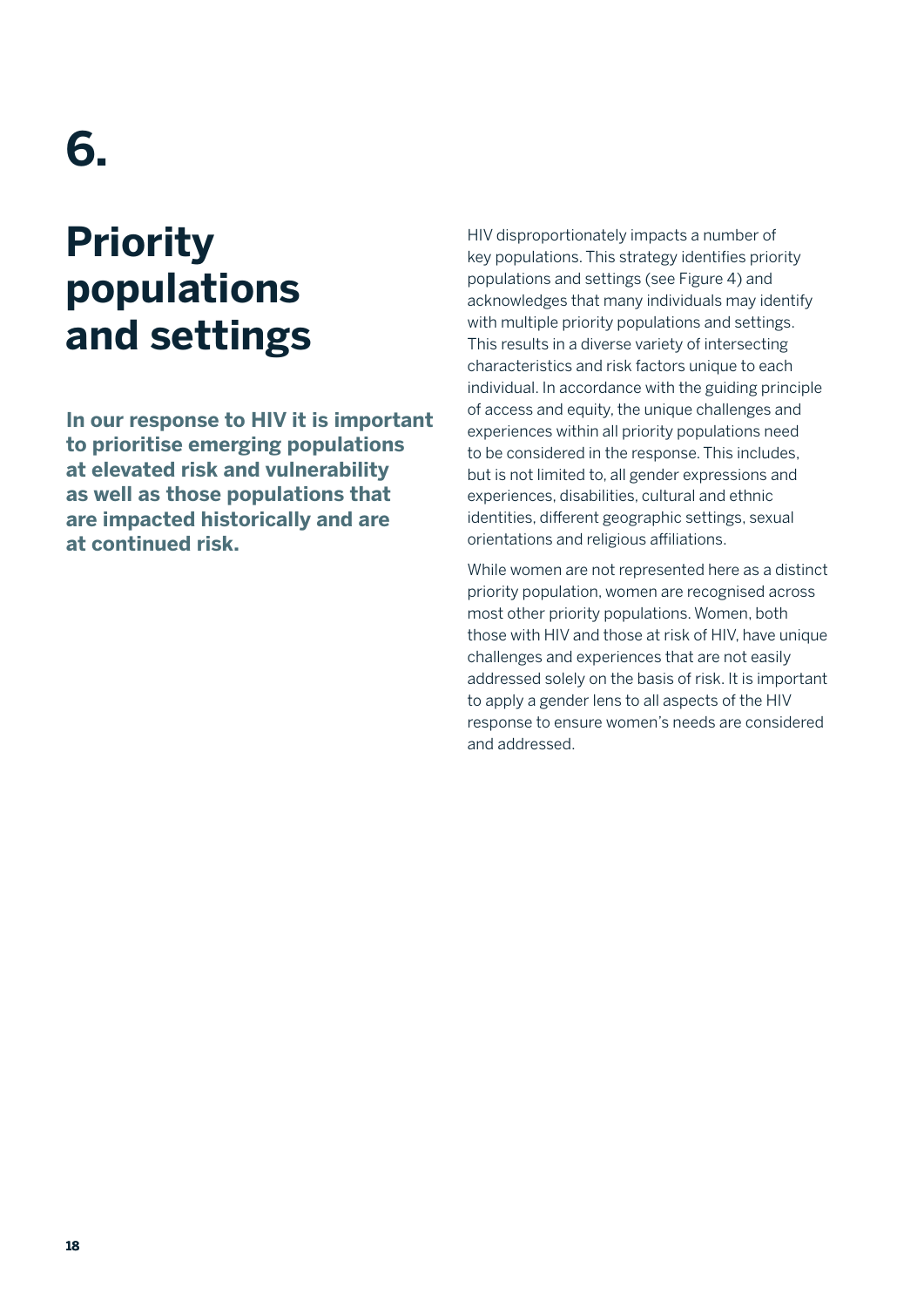## **6.**

## **Priority populations and settings**

**In our response to HIV it is important to prioritise emerging populations at elevated risk and vulnerability as well as those populations that are impacted historically and are at continued risk.** 

HIV disproportionately impacts a number of key populations. This strategy identifies priority populations and settings (see Figure 4) and acknowledges that many individuals may identify with multiple priority populations and settings. This results in a diverse variety of intersecting characteristics and risk factors unique to each individual. In accordance with the guiding principle of access and equity, the unique challenges and experiences within all priority populations need to be considered in the response. This includes, but is not limited to, all gender expressions and experiences, disabilities, cultural and ethnic identities, different geographic settings, sexual orientations and religious affiliations.

While women are not represented here as a distinct priority population, women are recognised across most other priority populations. Women, both those with HIV and those at risk of HIV, have unique challenges and experiences that are not easily addressed solely on the basis of risk. It is important to apply a gender lens to all aspects of the HIV response to ensure women's needs are considered and addressed.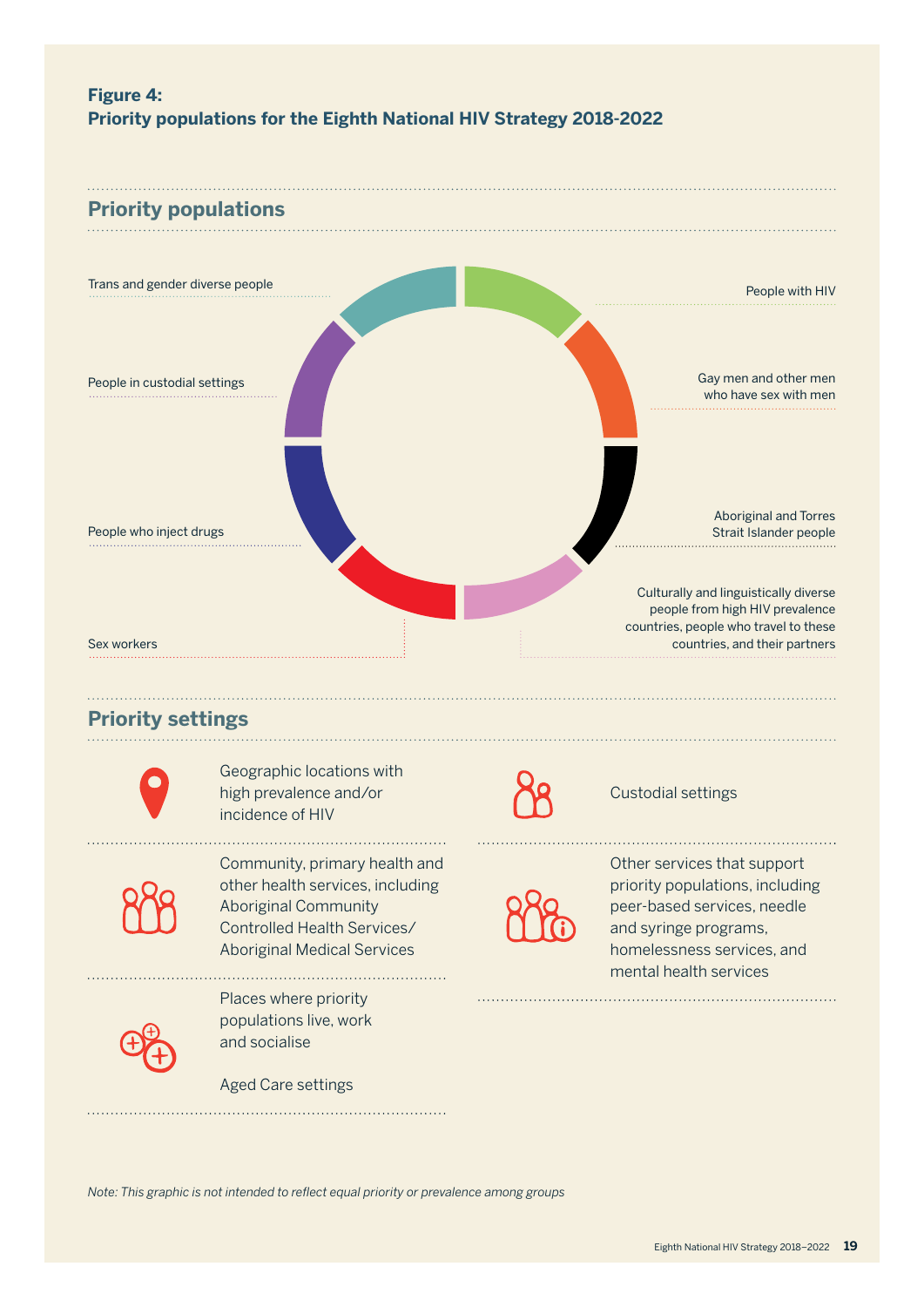

Aboriginal Community Controlled Health Services/ Aboriginal Medical Services

peer-based services, needle and syringe programs, homelessness services, and mental health services



Places where priority populations live, work and socialise

Aged Care settings

*Note: This graphic is not intended to reflect equal priority or prevalence among groups*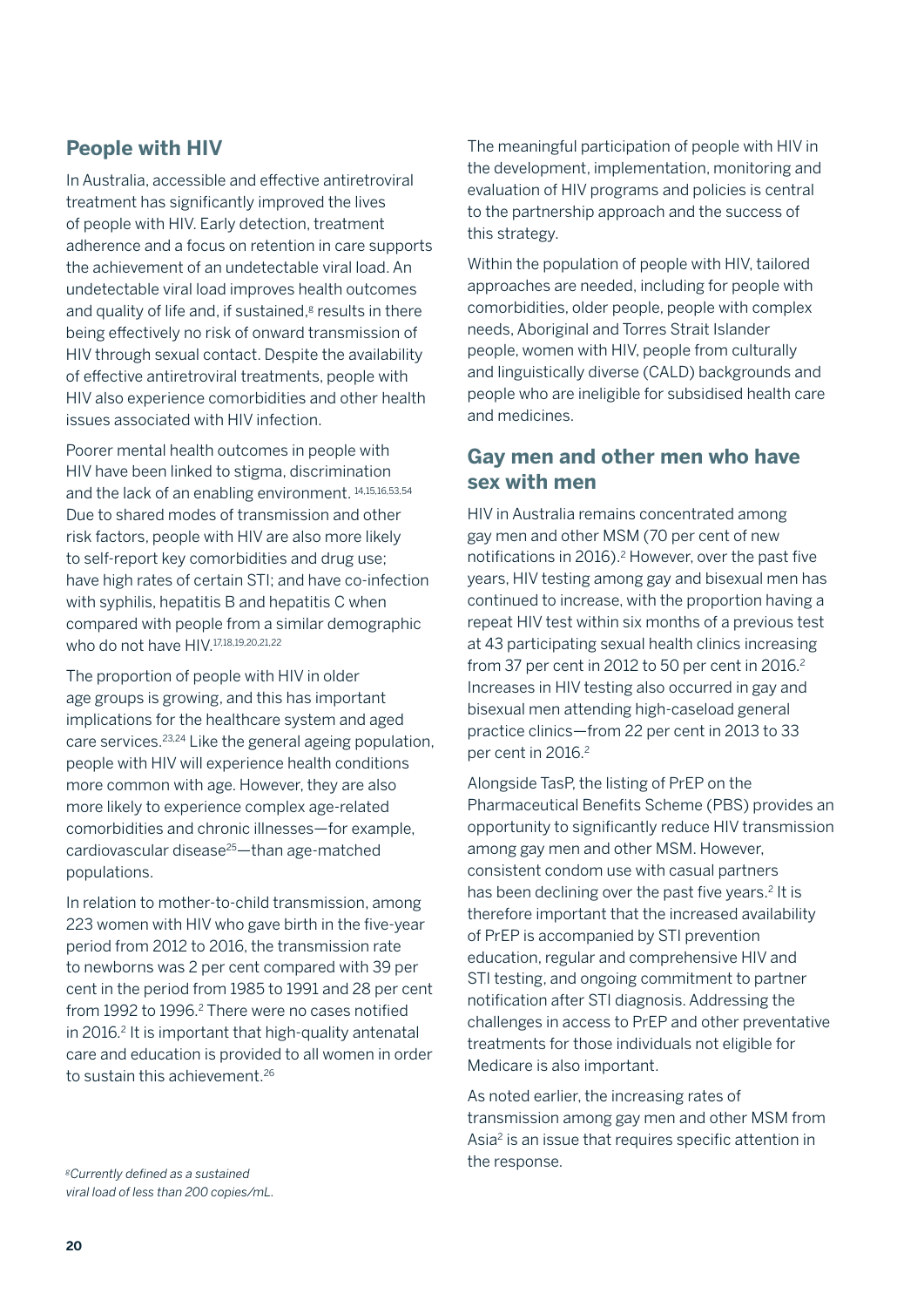#### **People with HIV**

In Australia, accessible and effective antiretroviral treatment has significantly improved the lives of people with HIV. Early detection, treatment adherence and a focus on retention in care supports the achievement of an undetectable viral load. An undetectable viral load improves health outcomes and quality of life and, if sustained, $s$  results in there being effectively no risk of onward transmission of HIV through sexual contact. Despite the availability of effective antiretroviral treatments, people with HIV also experience comorbidities and other health issues associated with HIV infection.

Poorer mental health outcomes in people with HIV have been linked to stigma, discrimination and the lack of an enabling environment. 14,15,16,53,54 Due to shared modes of transmission and other risk factors, people with HIV are also more likely to self-report key comorbidities and drug use; have high rates of certain STI; and have co-infection with syphilis, hepatitis B and hepatitis C when compared with people from a similar demographic who do not have HIV.<sup>17,18,19,20,21,22</sup>

The proportion of people with HIV in older age groups is growing, and this has important implications for the healthcare system and aged care services.23,24 Like the general ageing population, people with HIV will experience health conditions more common with age. However, they are also more likely to experience complex age-related comorbidities and chronic illnesses—for example, cardiovascular disease25—than age-matched populations.

In relation to mother-to-child transmission, among 223 women with HIV who gave birth in the five-year period from 2012 to 2016, the transmission rate to newborns was 2 per cent compared with 39 per cent in the period from 1985 to 1991 and 28 per cent from 1992 to 1996.<sup>2</sup> There were no cases notified in 2016.2 It is important that high-quality antenatal care and education is provided to all women in order to sustain this achievement.<sup>26</sup>

the response. *gCurrently defined as a sustained viral load of less than 200 copies/mL.*

The meaningful participation of people with HIV in the development, implementation, monitoring and evaluation of HIV programs and policies is central to the partnership approach and the success of this strategy.

Within the population of people with HIV, tailored approaches are needed, including for people with comorbidities, older people, people with complex needs, Aboriginal and Torres Strait Islander people, women with HIV, people from culturally and linguistically diverse (CALD) backgrounds and people who are ineligible for subsidised health care and medicines.

#### **Gay men and other men who have sex with men**

HIV in Australia remains concentrated among gay men and other MSM (70 per cent of new notifications in 2016).<sup>2</sup> However, over the past five years, HIV testing among gay and bisexual men has continued to increase, with the proportion having a repeat HIV test within six months of a previous test at 43 participating sexual health clinics increasing from 37 per cent in 2012 to 50 per cent in 2016. $2$ Increases in HIV testing also occurred in gay and bisexual men attending high-caseload general practice clinics—from 22 per cent in 2013 to 33 per cent in 2016.<sup>2</sup>

Alongside TasP, the listing of PrEP on the Pharmaceutical Benefits Scheme (PBS) provides an opportunity to significantly reduce HIV transmission among gay men and other MSM. However, consistent condom use with casual partners has been declining over the past five years.<sup>2</sup> It is therefore important that the increased availability of PrEP is accompanied by STI prevention education, regular and comprehensive HIV and STI testing, and ongoing commitment to partner notification after STI diagnosis. Addressing the challenges in access to PrEP and other preventative treatments for those individuals not eligible for Medicare is also important.

As noted earlier, the increasing rates of transmission among gay men and other MSM from Asia2 is an issue that requires specific attention in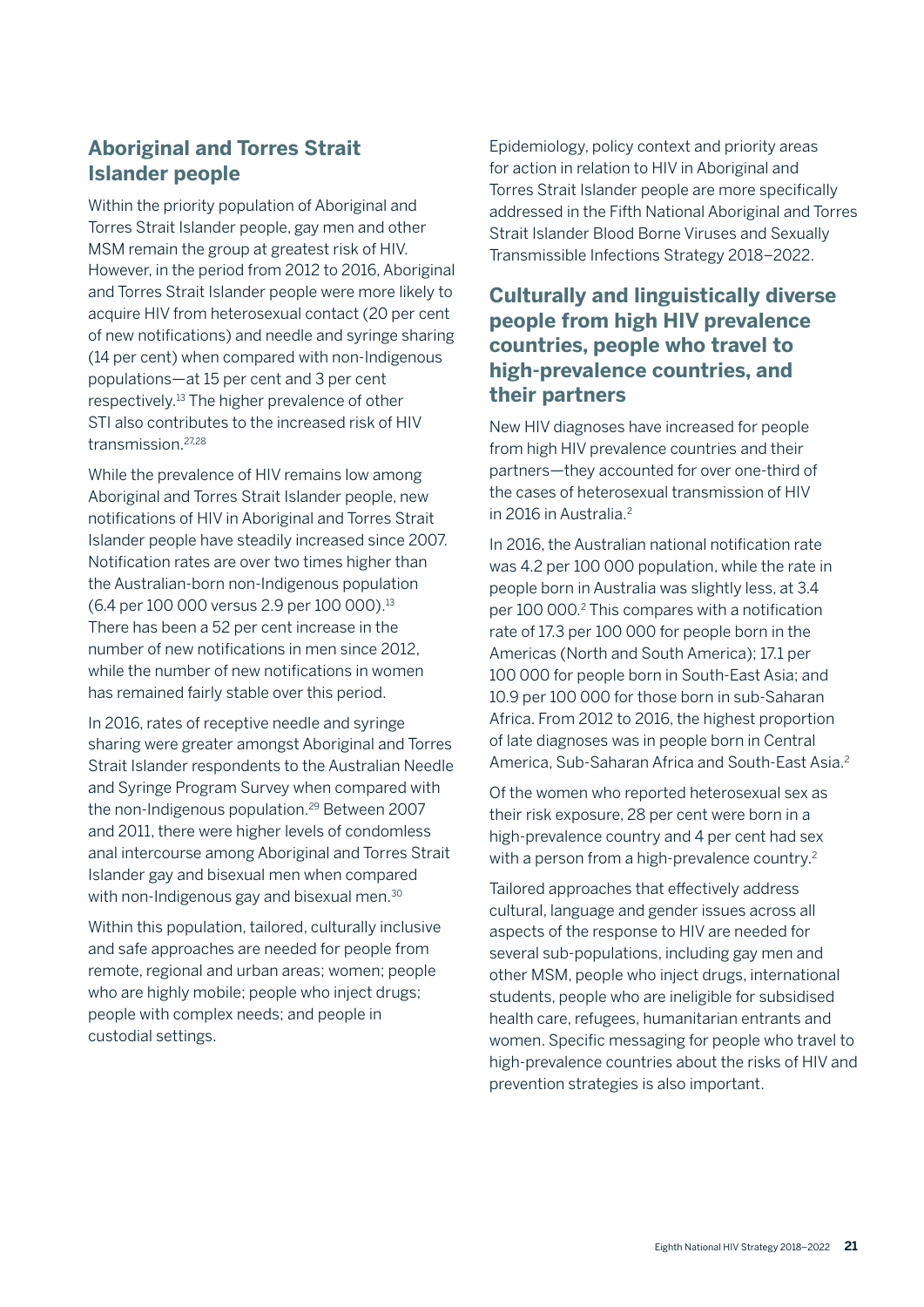### **Aboriginal and Torres Strait Islander people**

Within the priority population of Aboriginal and Torres Strait Islander people, gay men and other MSM remain the group at greatest risk of HIV. However, in the period from 2012 to 2016, Aboriginal and Torres Strait Islander people were more likely to acquire HIV from heterosexual contact (20 per cent of new notifications) and needle and syringe sharing (14 per cent) when compared with non-Indigenous populations—at 15 per cent and 3 per cent respectively.13 The higher prevalence of other STI also contributes to the increased risk of HIV transmission.27,28

While the prevalence of HIV remains low among Aboriginal and Torres Strait Islander people, new notifications of HIV in Aboriginal and Torres Strait Islander people have steadily increased since 2007. Notification rates are over two times higher than the Australian-born non-Indigenous population (6.4 per 100 000 versus 2.9 per 100 000).13 There has been a 52 per cent increase in the number of new notifications in men since 2012, while the number of new notifications in women has remained fairly stable over this period.

In 2016, rates of receptive needle and syringe sharing were greater amongst Aboriginal and Torres Strait Islander respondents to the Australian Needle and Syringe Program Survey when compared with the non-Indigenous population.<sup>29</sup> Between 2007 and 2011, there were higher levels of condomless anal intercourse among Aboriginal and Torres Strait Islander gay and bisexual men when compared with non-Indigenous gay and bisexual men.<sup>30</sup>

Within this population, tailored, culturally inclusive and safe approaches are needed for people from remote, regional and urban areas; women; people who are highly mobile; people who inject drugs; people with complex needs; and people in custodial settings.

Epidemiology, policy context and priority areas for action in relation to HIV in Aboriginal and Torres Strait Islander people are more specifically addressed in the Fifth National Aboriginal and Torres Strait Islander Blood Borne Viruses and Sexually Transmissible Infections Strategy 2018–2022.

### **Culturally and linguistically diverse people from high HIV prevalence countries, people who travel to high-prevalence countries, and their partners**

New HIV diagnoses have increased for people from high HIV prevalence countries and their partners—they accounted for over one-third of the cases of heterosexual transmission of HIV in 2016 in Australia.2

In 2016, the Australian national notification rate was 4.2 per 100 000 population, while the rate in people born in Australia was slightly less, at 3.4 per 100 000.2 This compares with a notification rate of 17.3 per 100 000 for people born in the Americas (North and South America); 17.1 per 100 000 for people born in South-East Asia; and 10.9 per 100 000 for those born in sub-Saharan Africa. From 2012 to 2016, the highest proportion of late diagnoses was in people born in Central America, Sub-Saharan Africa and South-East Asia.<sup>2</sup>

Of the women who reported heterosexual sex as their risk exposure, 28 per cent were born in a high-prevalence country and 4 per cent had sex with a person from a high-prevalence country.<sup>2</sup>

Tailored approaches that effectively address cultural, language and gender issues across all aspects of the response to HIV are needed for several sub-populations, including gay men and other MSM, people who inject drugs, international students, people who are ineligible for subsidised health care, refugees, humanitarian entrants and women. Specific messaging for people who travel to high-prevalence countries about the risks of HIV and prevention strategies is also important.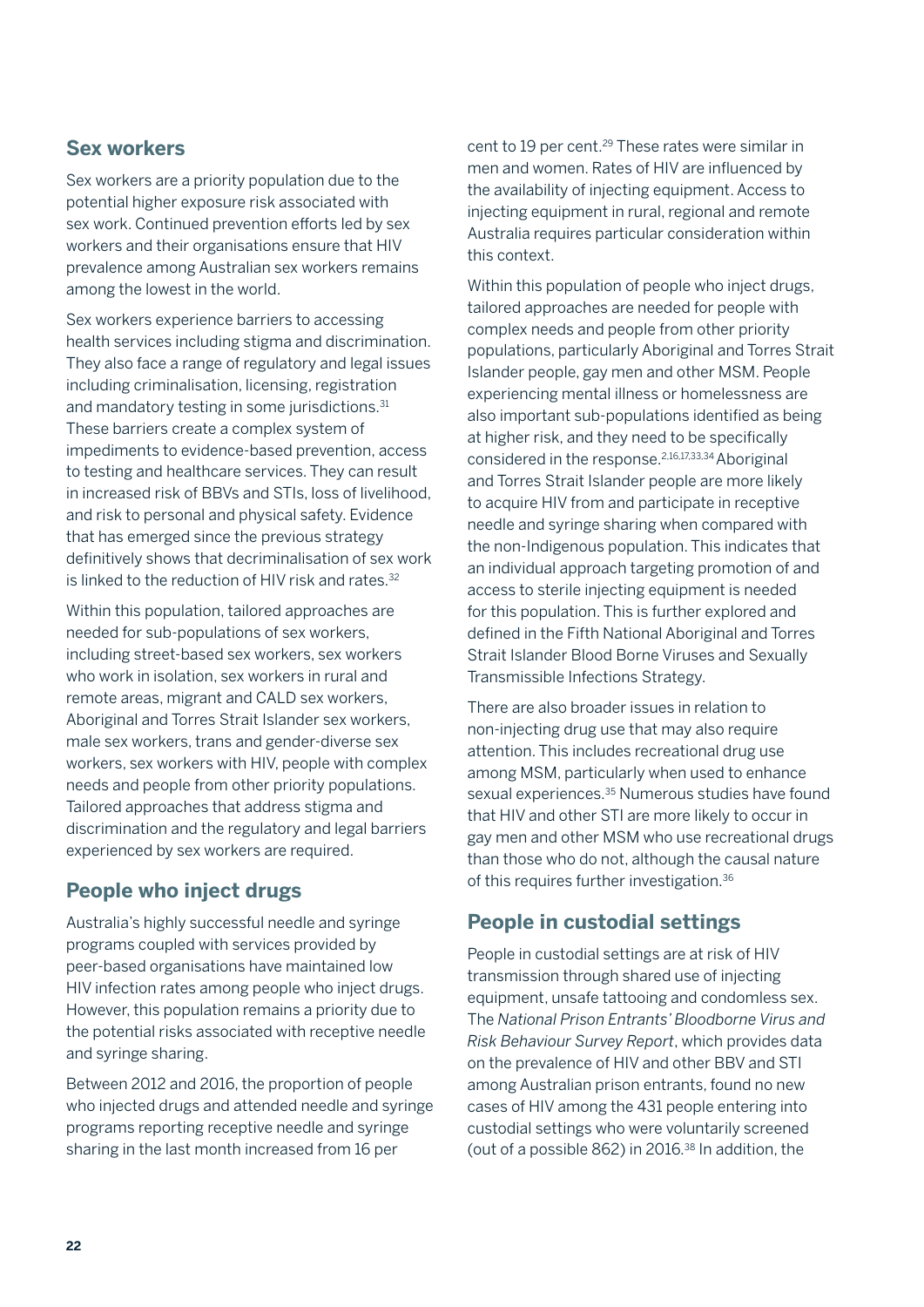#### **Sex workers**

Sex workers are a priority population due to the potential higher exposure risk associated with sex work. Continued prevention efforts led by sex workers and their organisations ensure that HIV prevalence among Australian sex workers remains among the lowest in the world.

Sex workers experience barriers to accessing health services including stigma and discrimination. They also face a range of regulatory and legal issues including criminalisation, licensing, registration and mandatory testing in some jurisdictions.<sup>31</sup> These barriers create a complex system of impediments to evidence-based prevention, access to testing and healthcare services. They can result in increased risk of BBVs and STIs, loss of livelihood, and risk to personal and physical safety. Evidence that has emerged since the previous strategy definitively shows that decriminalisation of sex work is linked to the reduction of HIV risk and rates.<sup>32</sup>

Within this population, tailored approaches are needed for sub-populations of sex workers, including street-based sex workers, sex workers who work in isolation, sex workers in rural and remote areas, migrant and CALD sex workers, Aboriginal and Torres Strait Islander sex workers, male sex workers, trans and gender-diverse sex workers, sex workers with HIV, people with complex needs and people from other priority populations. Tailored approaches that address stigma and discrimination and the regulatory and legal barriers experienced by sex workers are required.

### **People who inject drugs**

Australia's highly successful needle and syringe programs coupled with services provided by peer-based organisations have maintained low HIV infection rates among people who inject drugs. However, this population remains a priority due to the potential risks associated with receptive needle and syringe sharing.

Between 2012 and 2016, the proportion of people who injected drugs and attended needle and syringe programs reporting receptive needle and syringe sharing in the last month increased from 16 per

cent to 19 per cent.<sup>29</sup> These rates were similar in men and women. Rates of HIV are influenced by the availability of injecting equipment. Access to injecting equipment in rural, regional and remote Australia requires particular consideration within this context.

Within this population of people who inject drugs, tailored approaches are needed for people with complex needs and people from other priority populations, particularly Aboriginal and Torres Strait Islander people, gay men and other MSM. People experiencing mental illness or homelessness are also important sub-populations identified as being at higher risk, and they need to be specifically considered in the response.2,16,17,33,34 Aboriginal and Torres Strait Islander people are more likely to acquire HIV from and participate in receptive needle and syringe sharing when compared with the non-Indigenous population. This indicates that an individual approach targeting promotion of and access to sterile injecting equipment is needed for this population. This is further explored and defined in the Fifth National Aboriginal and Torres Strait Islander Blood Borne Viruses and Sexually Transmissible Infections Strategy.

There are also broader issues in relation to non-injecting drug use that may also require attention. This includes recreational drug use among MSM, particularly when used to enhance sexual experiences.<sup>35</sup> Numerous studies have found that HIV and other STI are more likely to occur in gay men and other MSM who use recreational drugs than those who do not, although the causal nature of this requires further investigation.36

### **People in custodial settings**

People in custodial settings are at risk of HIV transmission through shared use of injecting equipment, unsafe tattooing and condomless sex. The *National Prison Entrants' Bloodborne Virus and Risk Behaviour Survey Report*, which provides data on the prevalence of HIV and other BBV and STI among Australian prison entrants, found no new cases of HIV among the 431 people entering into custodial settings who were voluntarily screened (out of a possible 862) in 2016.<sup>38</sup> In addition, the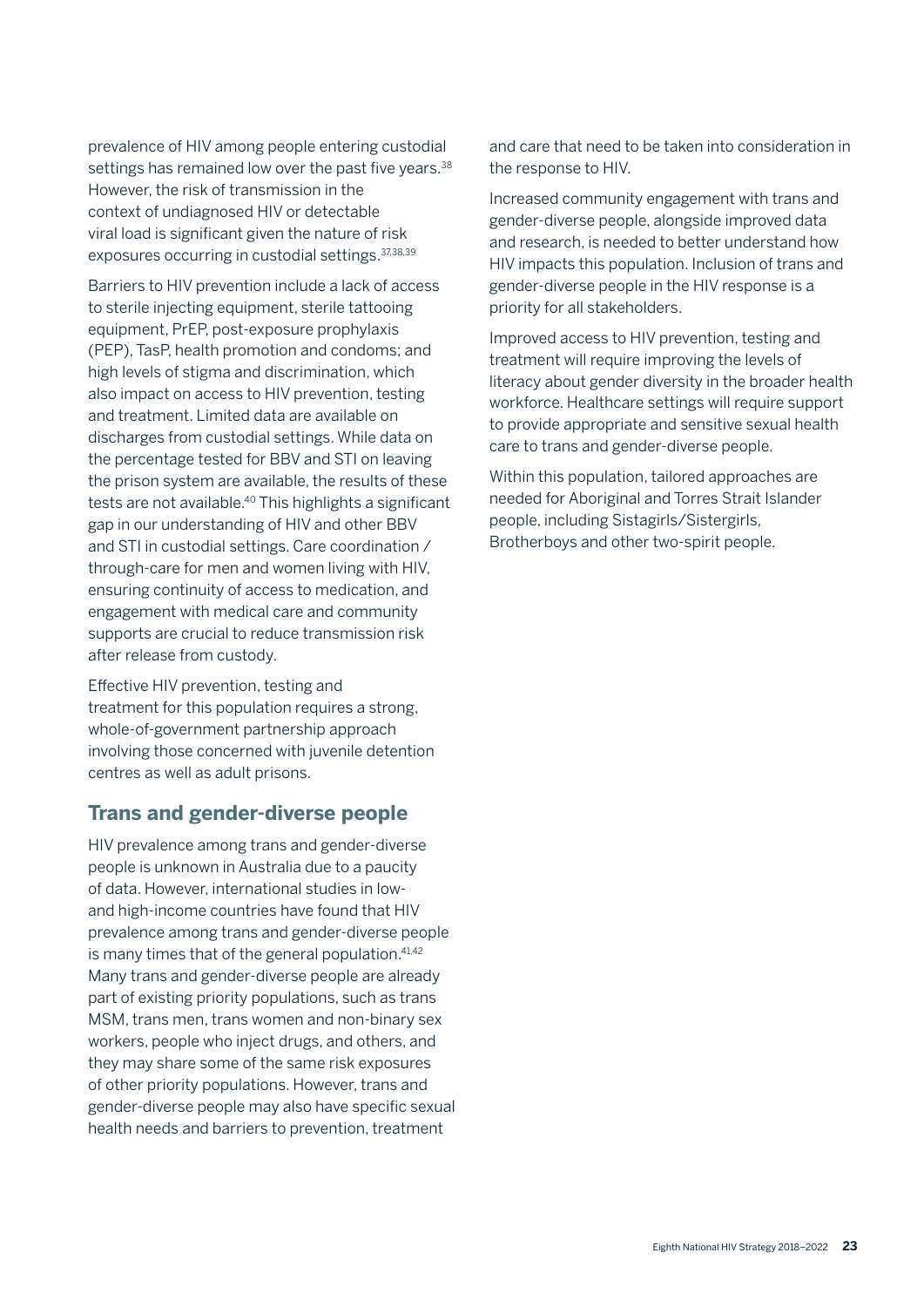prevalence of HIV among people entering custodial settings has remained low over the past five years.<sup>38</sup> However, the risk of transmission in the context of undiagnosed HIV or detectable viral load is significant given the nature of risk exposures occurring in custodial settings.37,38,39

Barriers to HIV prevention include a lack of access to sterile injecting equipment, sterile tattooing equipment, PrEP, post-exposure prophylaxis (PEP), TasP, health promotion and condoms; and high levels of stigma and discrimination, which also impact on access to HIV prevention, testing and treatment. Limited data are available on discharges from custodial settings. While data on the percentage tested for BBV and STI on leaving the prison system are available, the results of these tests are not available.<sup>40</sup> This highlights a significant gap in our understanding of HIV and other BBV and STI in custodial settings. Care coordination / through-care for men and women living with HIV, ensuring continuity of access to medication, and engagement with medical care and community supports are crucial to reduce transmission risk after release from custody.

Effective HIV prevention, testing and treatment for this population requires a strong, whole-of-government partnership approach involving those concerned with juvenile detention centres as well as adult prisons.

#### **Trans and gender-diverse people**

HIV prevalence among trans and gender-diverse people is unknown in Australia due to a paucity of data. However, international studies in lowand high-income countries have found that HIV prevalence among trans and gender-diverse people is many times that of the general population. $41,42$ Many trans and gender-diverse people are already part of existing priority populations, such as trans MSM, trans men, trans women and non-binary sex workers, people who inject drugs, and others, and they may share some of the same risk exposures of other priority populations. However, trans and gender-diverse people may also have specific sexual health needs and barriers to prevention, treatment

and care that need to be taken into consideration in the response to HIV.

Increased community engagement with trans and gender-diverse people, alongside improved data and research, is needed to better understand how HIV impacts this population. Inclusion of trans and gender-diverse people in the HIV response is a priority for all stakeholders.

Improved access to HIV prevention, testing and treatment will require improving the levels of literacy about gender diversity in the broader health workforce. Healthcare settings will require support to provide appropriate and sensitive sexual health care to trans and gender-diverse people.

Within this population, tailored approaches are needed for Aboriginal and Torres Strait Islander people, including Sistagirls/Sistergirls, Brotherboys and other two-spirit people.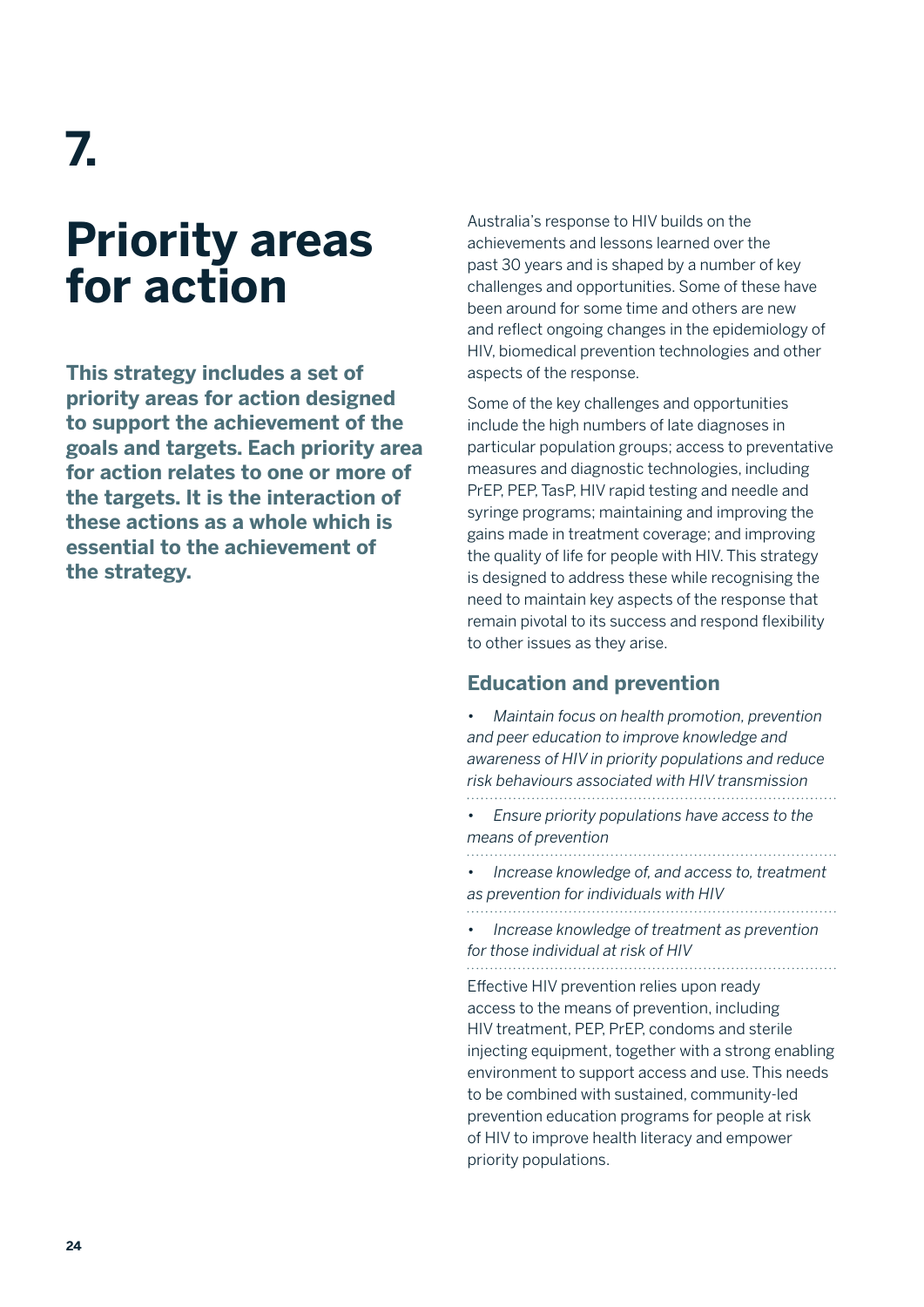**7.** 

## **Priority areas for action**

**This strategy includes a set of priority areas for action designed to support the achievement of the goals and targets. Each priority area for action relates to one or more of the targets. It is the interaction of these actions as a whole which is essential to the achievement of the strategy.** 

Australia's response to HIV builds on the achievements and lessons learned over the past 30 years and is shaped by a number of key challenges and opportunities. Some of these have been around for some time and others are new and reflect ongoing changes in the epidemiology of HIV, biomedical prevention technologies and other aspects of the response.

Some of the key challenges and opportunities include the high numbers of late diagnoses in particular population groups; access to preventative measures and diagnostic technologies, including PrEP, PEP, TasP, HIV rapid testing and needle and syringe programs; maintaining and improving the gains made in treatment coverage; and improving the quality of life for people with HIV. This strategy is designed to address these while recognising the need to maintain key aspects of the response that remain pivotal to its success and respond flexibility to other issues as they arise.

#### **Education and prevention**

| Maintain focus on health promotion, prevention<br>and peer education to improve knowledge and<br>awareness of HIV in priority populations and reduce<br>risk behaviours associated with HIV transmission                                                                                                                                                                                                                               |
|----------------------------------------------------------------------------------------------------------------------------------------------------------------------------------------------------------------------------------------------------------------------------------------------------------------------------------------------------------------------------------------------------------------------------------------|
| Ensure priority populations have access to the<br>means of prevention                                                                                                                                                                                                                                                                                                                                                                  |
| Increase knowledge of, and access to, treatment<br>as prevention for individuals with HIV                                                                                                                                                                                                                                                                                                                                              |
| Increase knowledge of treatment as prevention<br>for those individual at risk of HIV                                                                                                                                                                                                                                                                                                                                                   |
| Effective HIV prevention relies upon ready<br>access to the means of prevention, including<br>HIV treatment, PEP, PrEP, condoms and sterile<br>injecting equipment, together with a strong enabling<br>environment to support access and use. This needs<br>to be combined with sustained, community-led<br>prevention education programs for people at risk<br>of HIV to improve health literacy and empower<br>priority populations. |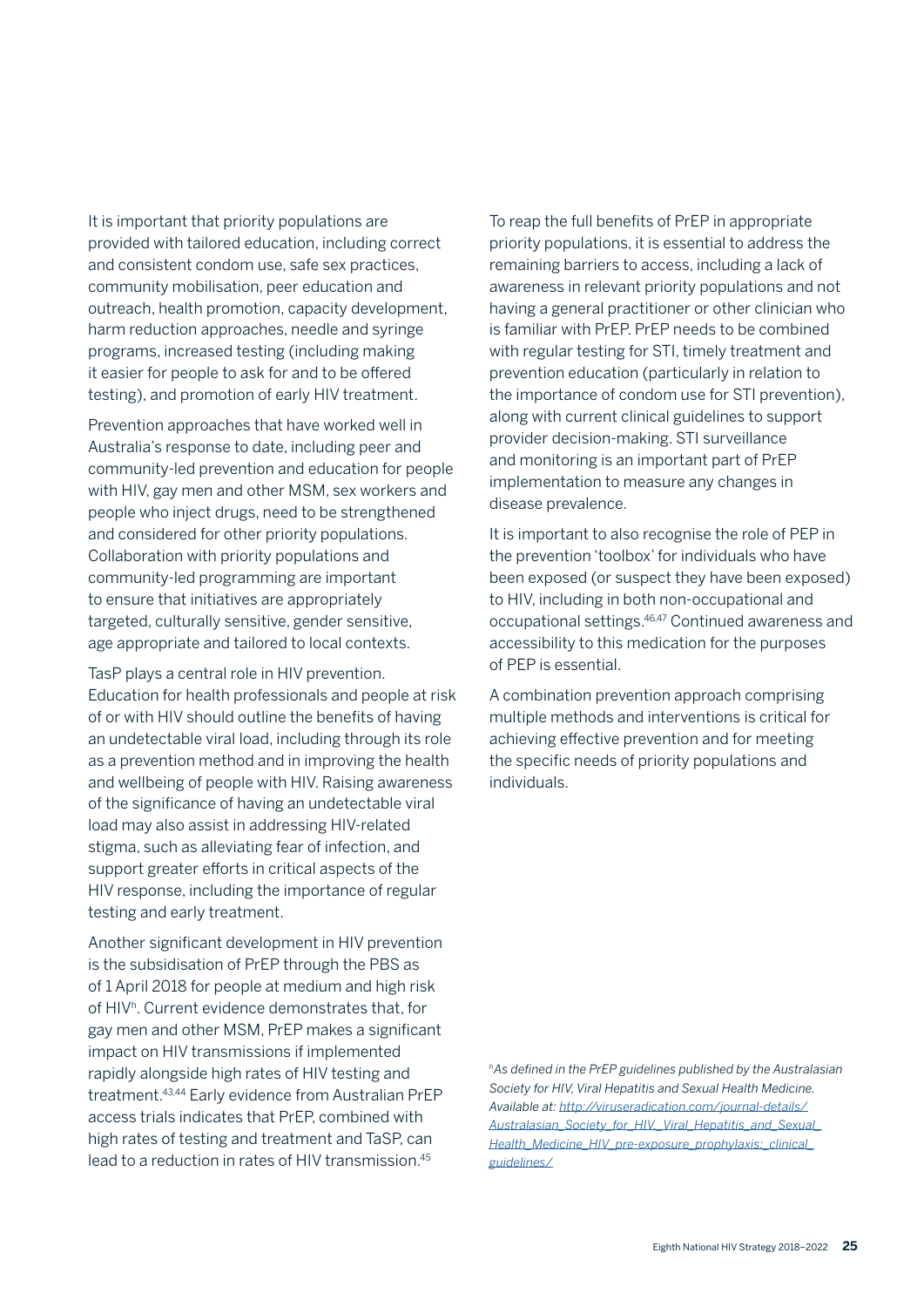It is important that priority populations are provided with tailored education, including correct and consistent condom use, safe sex practices, community mobilisation, peer education and outreach, health promotion, capacity development, harm reduction approaches, needle and syringe programs, increased testing (including making it easier for people to ask for and to be offered testing), and promotion of early HIV treatment.

Prevention approaches that have worked well in Australia's response to date, including peer and community-led prevention and education for people with HIV, gay men and other MSM, sex workers and people who inject drugs, need to be strengthened and considered for other priority populations. Collaboration with priority populations and community-led programming are important to ensure that initiatives are appropriately targeted, culturally sensitive, gender sensitive, age appropriate and tailored to local contexts.

TasP plays a central role in HIV prevention. Education for health professionals and people at risk of or with HIV should outline the benefits of having an undetectable viral load, including through its role as a prevention method and in improving the health and wellbeing of people with HIV. Raising awareness of the significance of having an undetectable viral load may also assist in addressing HIV-related stigma, such as alleviating fear of infection, and support greater efforts in critical aspects of the HIV response, including the importance of regular testing and early treatment.

Another significant development in HIV prevention is the subsidisation of PrEP through the PBS as of 1 April 2018 for people at medium and high risk of HIVh. Current evidence demonstrates that, for gay men and other MSM, PrEP makes a significant impact on HIV transmissions if implemented rapidly alongside high rates of HIV testing and treatment.43,44 Early evidence from Australian PrEP access trials indicates that PrEP, combined with high rates of testing and treatment and TaSP, can lead to a reduction in rates of HIV transmission.45

To reap the full benefits of PrEP in appropriate priority populations, it is essential to address the remaining barriers to access, including a lack of awareness in relevant priority populations and not having a general practitioner or other clinician who is familiar with PrEP. PrEP needs to be combined with regular testing for STI, timely treatment and prevention education (particularly in relation to the importance of condom use for STI prevention), along with current clinical guidelines to support provider decision-making. STI surveillance and monitoring is an important part of PrEP implementation to measure any changes in disease prevalence.

It is important to also recognise the role of PEP in the prevention 'toolbox' for individuals who have been exposed (or suspect they have been exposed) to HIV, including in both non-occupational and occupational settings.46,47 Continued awareness and accessibility to this medication for the purposes of PEP is essential.

A combination prevention approach comprising multiple methods and interventions is critical for achieving effective prevention and for meeting the specific needs of priority populations and individuals.

*hAs defined in the PrEP guidelines published by the Australasian Society for HIV, Viral Hepatitis and Sexual Health Medicine. Available at: http://viruseradication.com/journal-details/ Australasian\_Society\_for\_HIV,\_Viral\_Hepatitis\_and\_Sexual\_ Health\_Medicine\_HIV\_pre-exposure\_prophylaxis:\_clinical\_ guidelines/*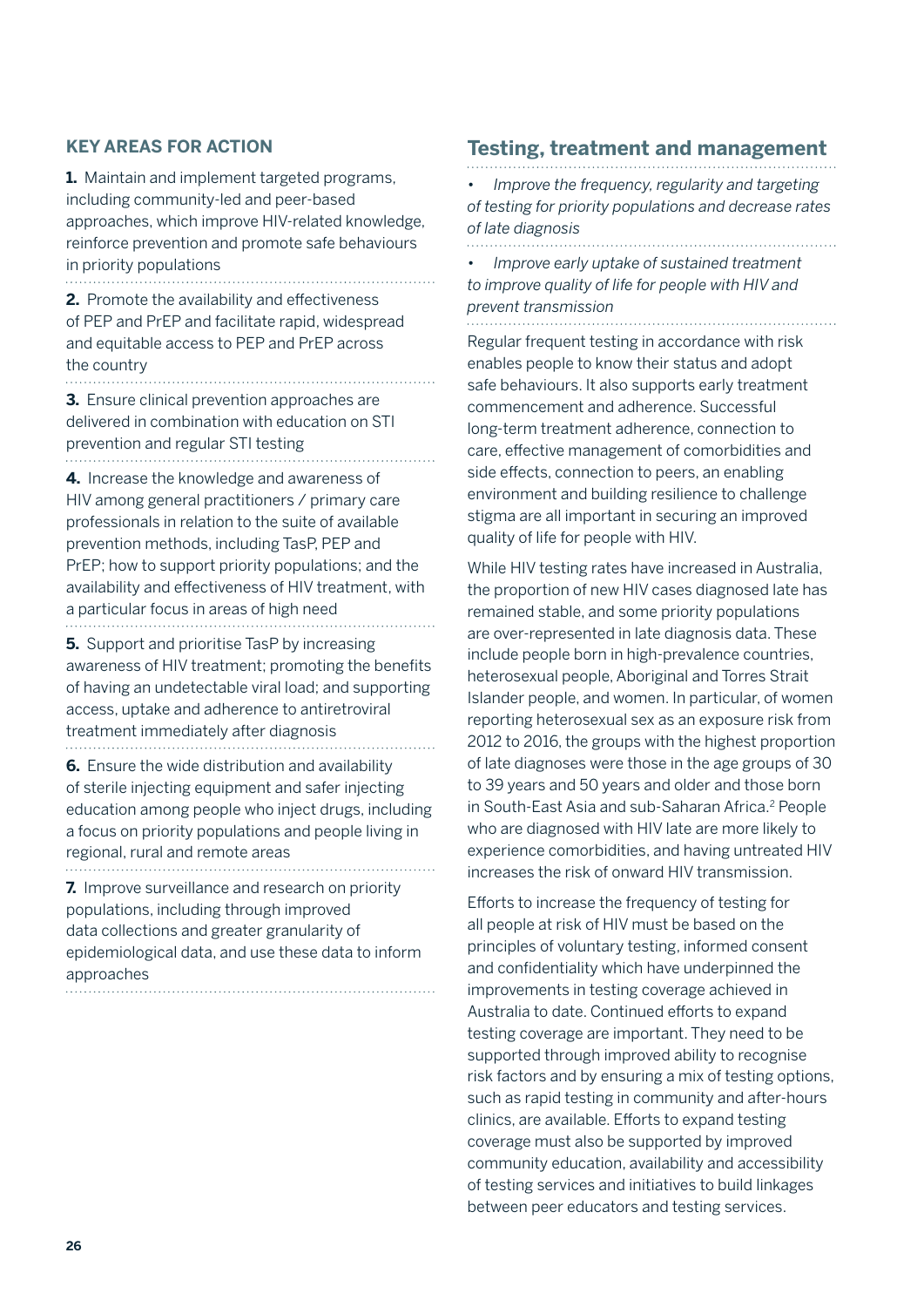#### **KEY AREAS FOR ACTION**

**1.** Maintain and implement targeted programs, including community-led and peer-based approaches, which improve HIV-related knowledge, reinforce prevention and promote safe behaviours in priority populations

**2.** Promote the availability and effectiveness of PEP and PrEP and facilitate rapid, widespread and equitable access to PEP and PrEP across the country 

. . . . . . . . . . . . . .

**3.** Ensure clinical prevention approaches are delivered in combination with education on STI prevention and regular STI testing 

**4.** Increase the knowledge and awareness of HIV among general practitioners / primary care professionals in relation to the suite of available prevention methods, including TasP, PEP and PrEP; how to support priority populations; and the availability and effectiveness of HIV treatment, with a particular focus in areas of high need 

**5.** Support and prioritise TasP by increasing awareness of HIV treatment; promoting the benefits of having an undetectable viral load; and supporting access, uptake and adherence to antiretroviral treatment immediately after diagnosis

**6.** Ensure the wide distribution and availability of sterile injecting equipment and safer injecting education among people who inject drugs, including a focus on priority populations and people living in regional, rural and remote areas

**7.** Improve surveillance and research on priority populations, including through improved data collections and greater granularity of epidemiological data, and use these data to inform approaches

### **Testing, treatment and management**

• *Improve the frequency, regularity and targeting of testing for priority populations and decrease rates of late diagnosis* 

• *Improve early uptake of sustained treatment to improve quality of life for people with HIV and prevent transmission* 

Regular frequent testing in accordance with risk enables people to know their status and adopt safe behaviours. It also supports early treatment commencement and adherence. Successful long-term treatment adherence, connection to care, effective management of comorbidities and side effects, connection to peers, an enabling environment and building resilience to challenge stigma are all important in securing an improved quality of life for people with HIV.

While HIV testing rates have increased in Australia, the proportion of new HIV cases diagnosed late has remained stable, and some priority populations are over-represented in late diagnosis data. These include people born in high-prevalence countries, heterosexual people, Aboriginal and Torres Strait Islander people, and women. In particular, of women reporting heterosexual sex as an exposure risk from 2012 to 2016, the groups with the highest proportion of late diagnoses were those in the age groups of 30 to 39 years and 50 years and older and those born in South-East Asia and sub-Saharan Africa.<sup>2</sup> People who are diagnosed with HIV late are more likely to experience comorbidities, and having untreated HIV increases the risk of onward HIV transmission.

Efforts to increase the frequency of testing for all people at risk of HIV must be based on the principles of voluntary testing, informed consent and confidentiality which have underpinned the improvements in testing coverage achieved in Australia to date. Continued efforts to expand testing coverage are important. They need to be supported through improved ability to recognise risk factors and by ensuring a mix of testing options, such as rapid testing in community and after-hours clinics, are available. Efforts to expand testing coverage must also be supported by improved community education, availability and accessibility of testing services and initiatives to build linkages between peer educators and testing services.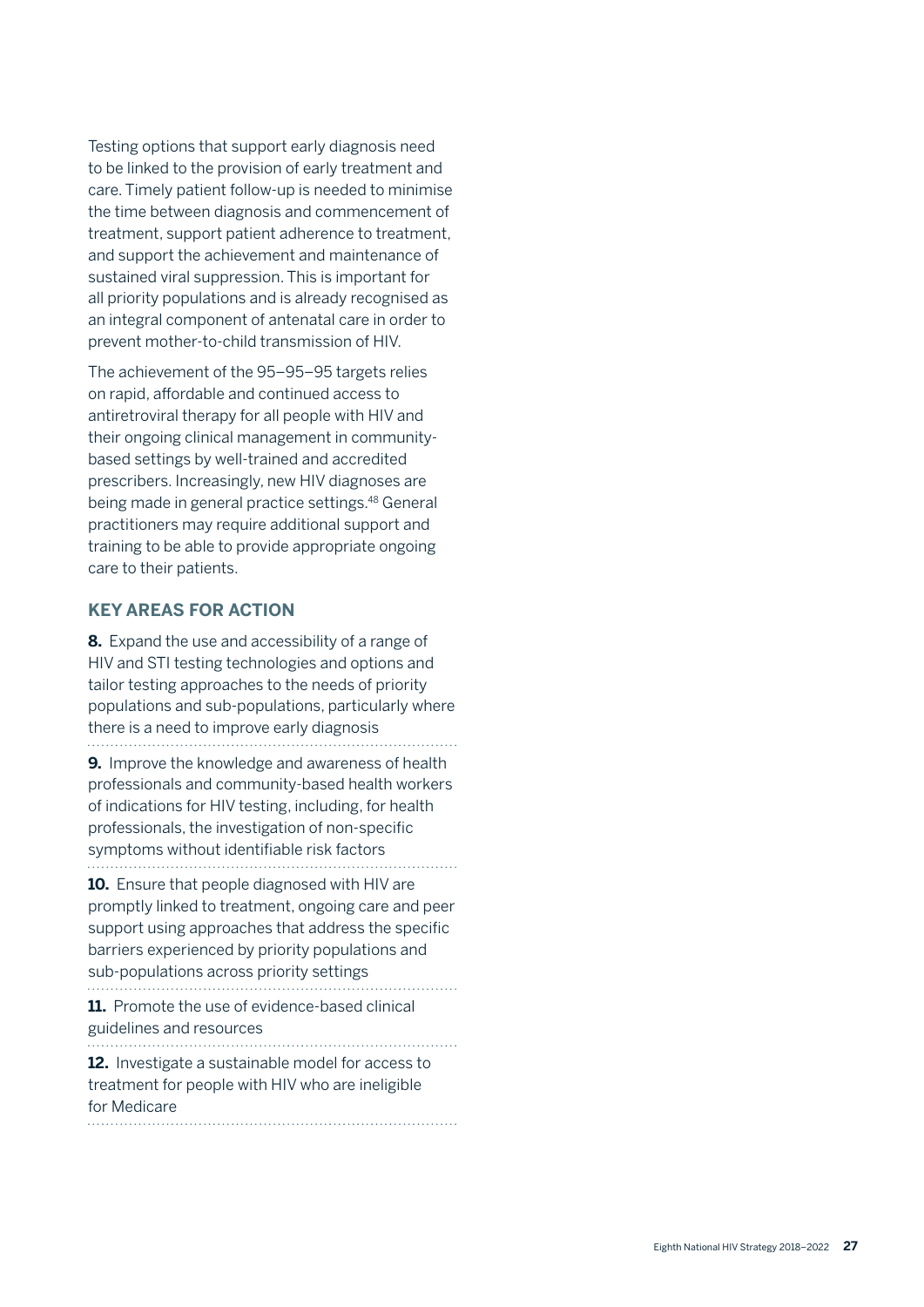Testing options that support early diagnosis need to be linked to the provision of early treatment and care. Timely patient follow-up is needed to minimise the time between diagnosis and commencement of treatment, support patient adherence to treatment, and support the achievement and maintenance of sustained viral suppression. This is important for all priority populations and is already recognised as an integral component of antenatal care in order to prevent mother-to-child transmission of HIV.

The achievement of the 95–95–95 targets relies on rapid, affordable and continued access to antiretroviral therapy for all people with HIV and their ongoing clinical management in communitybased settings by well-trained and accredited prescribers. Increasingly, new HIV diagnoses are being made in general practice settings.48 General practitioners may require additional support and training to be able to provide appropriate ongoing care to their patients.

#### **KEY AREAS FOR ACTION**

**8.** Expand the use and accessibility of a range of HIV and STI testing technologies and options and tailor testing approaches to the needs of priority populations and sub-populations, particularly where there is a need to improve early diagnosis **9.** Improve the knowledge and awareness of health professionals and community-based health workers of indications for HIV testing, including, for health professionals, the investigation of non-specific

symptoms without identifiable risk factors 

**10.** Ensure that people diagnosed with HIV are promptly linked to treatment, ongoing care and peer support using approaches that address the specific barriers experienced by priority populations and sub-populations across priority settings

**11.** Promote the use of evidence-based clinical guidelines and resources

**12.** Investigate a sustainable model for access to treatment for people with HIV who are ineligible for Medicare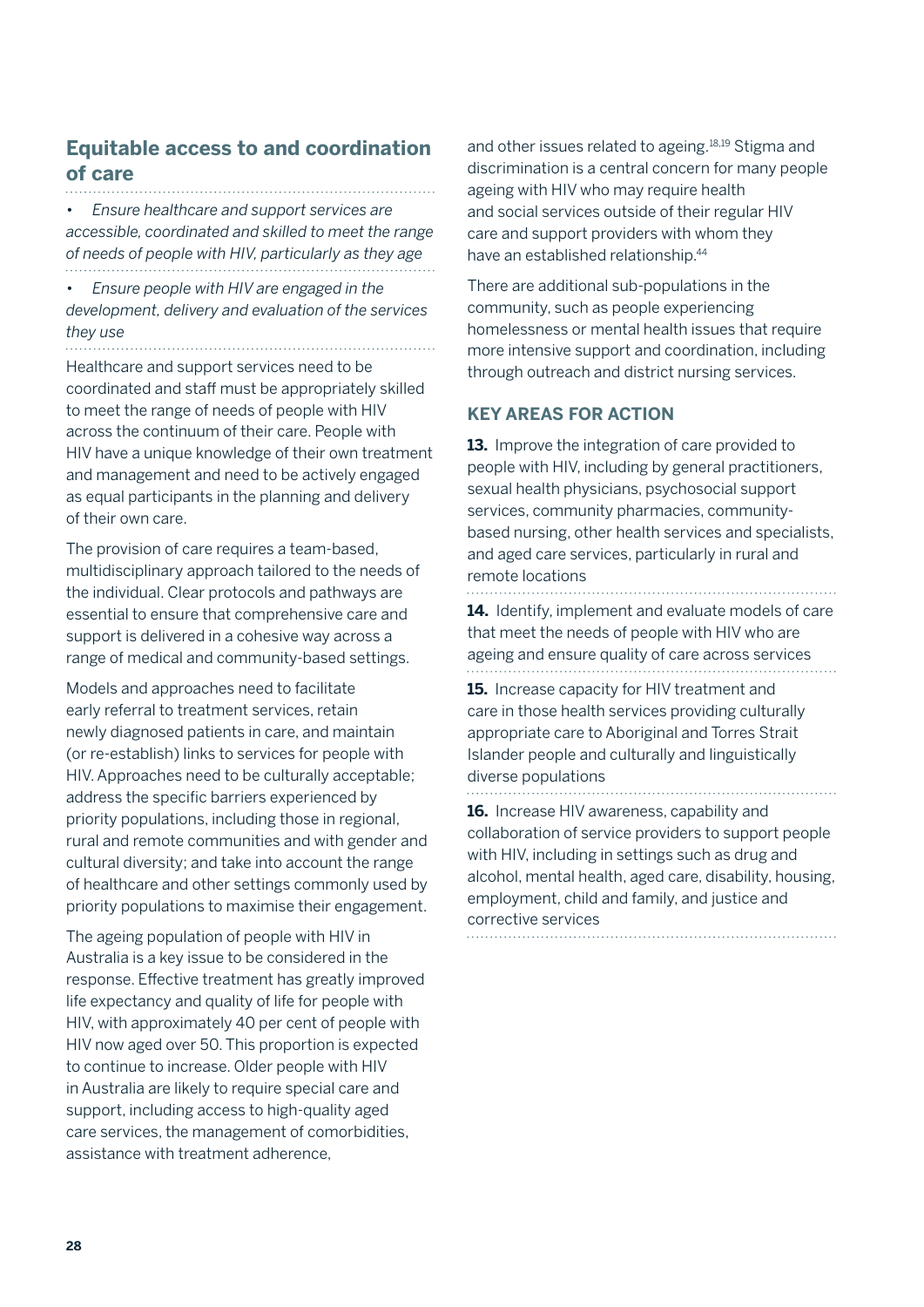### **Equitable access to and coordination of care**

• *Ensure healthcare and support services are accessible, coordinated and skilled to meet the range of needs of people with HIV, particularly as they age*

• *Ensure people with HIV are engaged in the development, delivery and evaluation of the services they use* 

Healthcare and support services need to be coordinated and staff must be appropriately skilled to meet the range of needs of people with HIV across the continuum of their care. People with HIV have a unique knowledge of their own treatment and management and need to be actively engaged as equal participants in the planning and delivery of their own care.

The provision of care requires a team-based, multidisciplinary approach tailored to the needs of the individual. Clear protocols and pathways are essential to ensure that comprehensive care and support is delivered in a cohesive way across a range of medical and community-based settings.

Models and approaches need to facilitate early referral to treatment services, retain newly diagnosed patients in care, and maintain (or re-establish) links to services for people with HIV. Approaches need to be culturally acceptable; address the specific barriers experienced by priority populations, including those in regional, rural and remote communities and with gender and cultural diversity; and take into account the range of healthcare and other settings commonly used by priority populations to maximise their engagement.

The ageing population of people with HIV in Australia is a key issue to be considered in the response. Effective treatment has greatly improved life expectancy and quality of life for people with HIV, with approximately 40 per cent of people with HIV now aged over 50. This proportion is expected to continue to increase. Older people with HIV in Australia are likely to require special care and support, including access to high-quality aged care services, the management of comorbidities, assistance with treatment adherence,

and other issues related to ageing.18,19 Stigma and discrimination is a central concern for many people ageing with HIV who may require health and social services outside of their regular HIV care and support providers with whom they have an established relationship.44

There are additional sub-populations in the community, such as people experiencing homelessness or mental health issues that require more intensive support and coordination, including through outreach and district nursing services.

#### **KEY AREAS FOR ACTION**

**13.** Improve the integration of care provided to people with HIV, including by general practitioners, sexual health physicians, psychosocial support services, community pharmacies, communitybased nursing, other health services and specialists, and aged care services, particularly in rural and remote locations

**14.** Identify, implement and evaluate models of care that meet the needs of people with HIV who are ageing and ensure quality of care across services

**15.** Increase capacity for HIV treatment and care in those health services providing culturally appropriate care to Aboriginal and Torres Strait Islander people and culturally and linguistically diverse populations

**16.** Increase HIV awareness, capability and collaboration of service providers to support people with HIV, including in settings such as drug and alcohol, mental health, aged care, disability, housing, employment, child and family, and justice and corrective services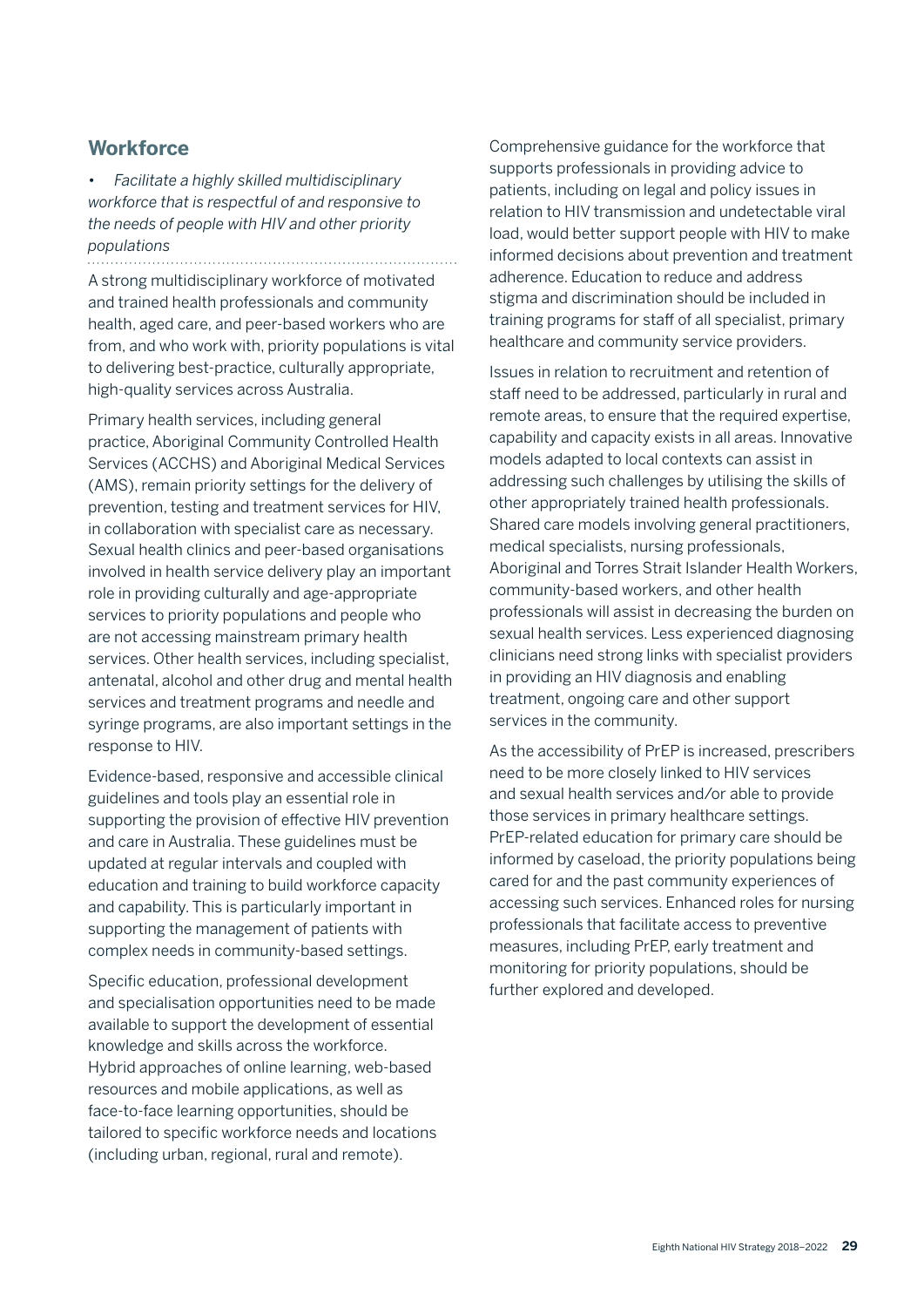#### **Workforce**

• *Facilitate a highly skilled multidisciplinary workforce that is respectful of and responsive to the needs of people with HIV and other priority populations* 

A strong multidisciplinary workforce of motivated and trained health professionals and community health, aged care, and peer-based workers who are from, and who work with, priority populations is vital to delivering best-practice, culturally appropriate, high-quality services across Australia.

Primary health services, including general practice, Aboriginal Community Controlled Health Services (ACCHS) and Aboriginal Medical Services (AMS), remain priority settings for the delivery of prevention, testing and treatment services for HIV, in collaboration with specialist care as necessary. Sexual health clinics and peer-based organisations involved in health service delivery play an important role in providing culturally and age-appropriate services to priority populations and people who are not accessing mainstream primary health services. Other health services, including specialist, antenatal, alcohol and other drug and mental health services and treatment programs and needle and syringe programs, are also important settings in the response to HIV.

Evidence-based, responsive and accessible clinical guidelines and tools play an essential role in supporting the provision of effective HIV prevention and care in Australia. These guidelines must be updated at regular intervals and coupled with education and training to build workforce capacity and capability. This is particularly important in supporting the management of patients with complex needs in community-based settings.

Specific education, professional development and specialisation opportunities need to be made available to support the development of essential knowledge and skills across the workforce. Hybrid approaches of online learning, web-based resources and mobile applications, as well as face-to-face learning opportunities, should be tailored to specific workforce needs and locations (including urban, regional, rural and remote).

Comprehensive guidance for the workforce that supports professionals in providing advice to patients, including on legal and policy issues in relation to HIV transmission and undetectable viral load, would better support people with HIV to make informed decisions about prevention and treatment adherence. Education to reduce and address stigma and discrimination should be included in training programs for staff of all specialist, primary healthcare and community service providers.

Issues in relation to recruitment and retention of staff need to be addressed, particularly in rural and remote areas, to ensure that the required expertise, capability and capacity exists in all areas. Innovative models adapted to local contexts can assist in addressing such challenges by utilising the skills of other appropriately trained health professionals. Shared care models involving general practitioners, medical specialists, nursing professionals, Aboriginal and Torres Strait Islander Health Workers, community-based workers, and other health professionals will assist in decreasing the burden on sexual health services. Less experienced diagnosing clinicians need strong links with specialist providers in providing an HIV diagnosis and enabling treatment, ongoing care and other support services in the community.

As the accessibility of PrEP is increased, prescribers need to be more closely linked to HIV services and sexual health services and/or able to provide those services in primary healthcare settings. PrEP-related education for primary care should be informed by caseload, the priority populations being cared for and the past community experiences of accessing such services. Enhanced roles for nursing professionals that facilitate access to preventive measures, including PrEP, early treatment and monitoring for priority populations, should be further explored and developed.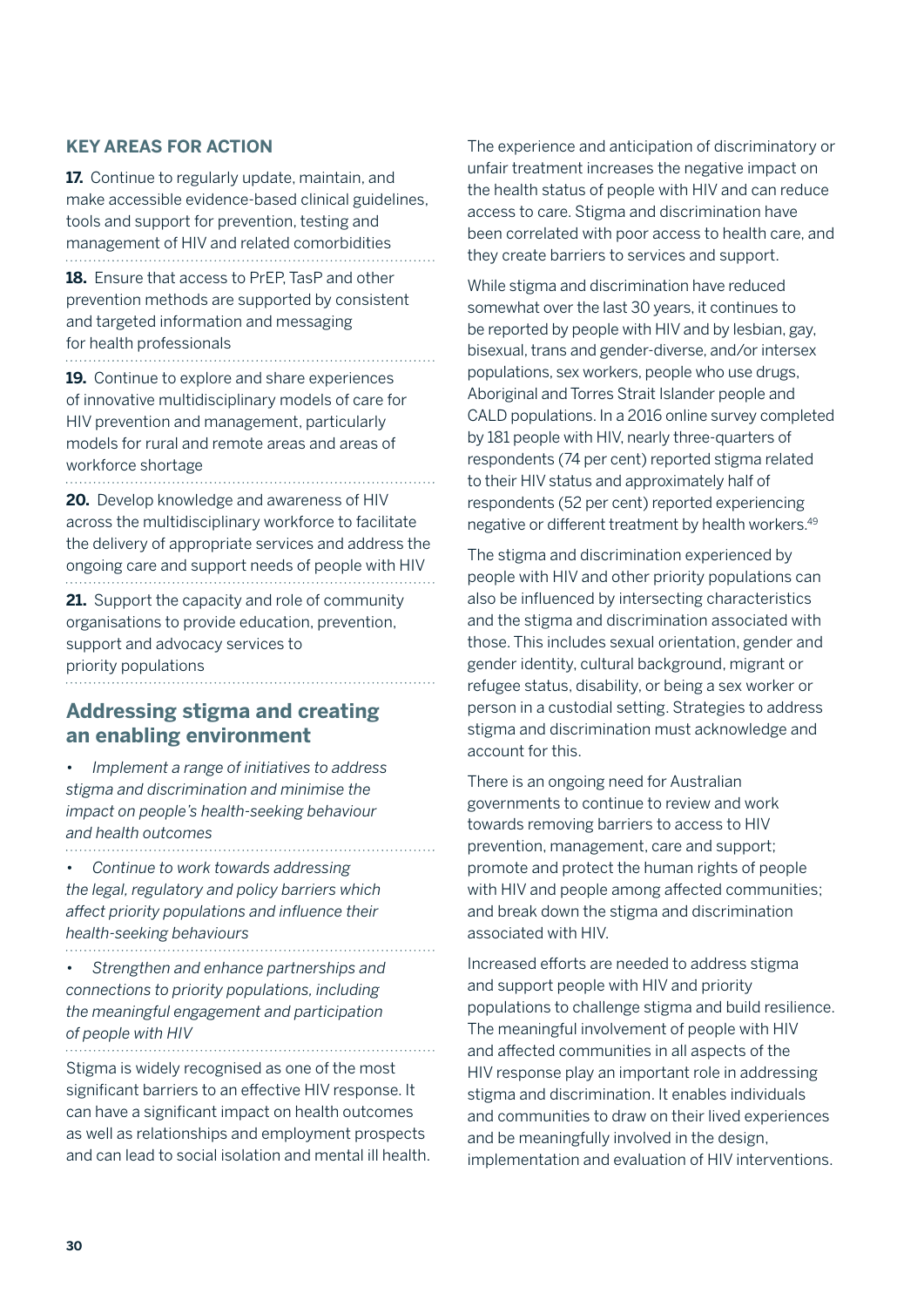#### **KEY AREAS FOR ACTION**

**17.** Continue to regularly update, maintain, and make accessible evidence-based clinical guidelines, tools and support for prevention, testing and management of HIV and related comorbidities 

**18.** Ensure that access to PrEP, TasP and other prevention methods are supported by consistent and targeted information and messaging for health professionals

**19.** Continue to explore and share experiences of innovative multidisciplinary models of care for HIV prevention and management, particularly models for rural and remote areas and areas of workforce shortage

**20.** Develop knowledge and awareness of HIV across the multidisciplinary workforce to facilitate the delivery of appropriate services and address the ongoing care and support needs of people with HIV

**21.** Support the capacity and role of community organisations to provide education, prevention, support and advocacy services to priority populations

#### **Addressing stigma and creating an enabling environment**

• *Implement a range of initiatives to address stigma and discrimination and minimise the impact on people's health-seeking behaviour and health outcomes*

• *Continue to work towards addressing the legal, regulatory and policy barriers which affect priority populations and influence their health-seeking behaviours* 

• *Strengthen and enhance partnerships and connections to priority populations, including the meaningful engagement and participation of people with HIV*

Stigma is widely recognised as one of the most significant barriers to an effective HIV response. It can have a significant impact on health outcomes as well as relationships and employment prospects and can lead to social isolation and mental ill health.

The experience and anticipation of discriminatory or unfair treatment increases the negative impact on the health status of people with HIV and can reduce access to care. Stigma and discrimination have been correlated with poor access to health care, and they create barriers to services and support.

While stigma and discrimination have reduced somewhat over the last 30 years, it continues to be reported by people with HIV and by lesbian, gay, bisexual, trans and gender-diverse, and/or intersex populations, sex workers, people who use drugs, Aboriginal and Torres Strait Islander people and CALD populations. In a 2016 online survey completed by 181 people with HIV, nearly three-quarters of respondents (74 per cent) reported stigma related to their HIV status and approximately half of respondents (52 per cent) reported experiencing negative or different treatment by health workers.49

The stigma and discrimination experienced by people with HIV and other priority populations can also be influenced by intersecting characteristics and the stigma and discrimination associated with those. This includes sexual orientation, gender and gender identity, cultural background, migrant or refugee status, disability, or being a sex worker or person in a custodial setting. Strategies to address stigma and discrimination must acknowledge and account for this.

There is an ongoing need for Australian governments to continue to review and work towards removing barriers to access to HIV prevention, management, care and support; promote and protect the human rights of people with HIV and people among affected communities; and break down the stigma and discrimination associated with HIV.

Increased efforts are needed to address stigma and support people with HIV and priority populations to challenge stigma and build resilience. The meaningful involvement of people with HIV and affected communities in all aspects of the HIV response play an important role in addressing stigma and discrimination. It enables individuals and communities to draw on their lived experiences and be meaningfully involved in the design, implementation and evaluation of HIV interventions.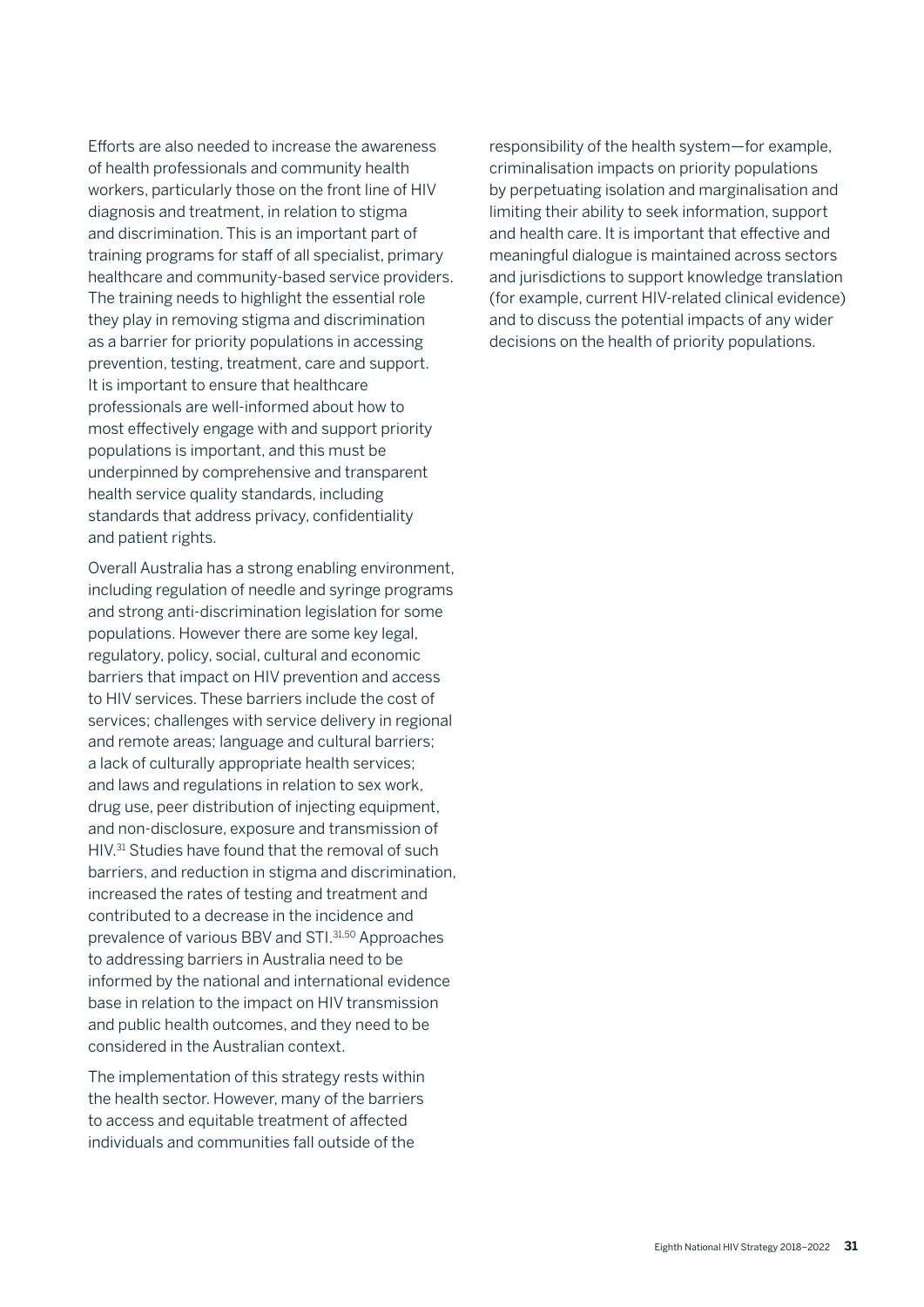Efforts are also needed to increase the awareness of health professionals and community health workers, particularly those on the front line of HIV diagnosis and treatment, in relation to stigma and discrimination. This is an important part of training programs for staff of all specialist, primary healthcare and community-based service providers. The training needs to highlight the essential role they play in removing stigma and discrimination as a barrier for priority populations in accessing prevention, testing, treatment, care and support. It is important to ensure that healthcare professionals are well-informed about how to most effectively engage with and support priority populations is important, and this must be underpinned by comprehensive and transparent health service quality standards, including standards that address privacy, confidentiality and patient rights.

Overall Australia has a strong enabling environment, including regulation of needle and syringe programs and strong anti-discrimination legislation for some populations. However there are some key legal, regulatory, policy, social, cultural and economic barriers that impact on HIV prevention and access to HIV services. These barriers include the cost of services; challenges with service delivery in regional and remote areas; language and cultural barriers; a lack of culturally appropriate health services; and laws and regulations in relation to sex work, drug use, peer distribution of injecting equipment, and non-disclosure, exposure and transmission of HIV.31 Studies have found that the removal of such barriers, and reduction in stigma and discrimination, increased the rates of testing and treatment and contributed to a decrease in the incidence and prevalence of various BBV and STI.31,50 Approaches to addressing barriers in Australia need to be informed by the national and international evidence base in relation to the impact on HIV transmission and public health outcomes, and they need to be considered in the Australian context.

The implementation of this strategy rests within the health sector. However, many of the barriers to access and equitable treatment of affected individuals and communities fall outside of the

responsibility of the health system—for example, criminalisation impacts on priority populations by perpetuating isolation and marginalisation and limiting their ability to seek information, support and health care. It is important that effective and meaningful dialogue is maintained across sectors and jurisdictions to support knowledge translation (for example, current HIV-related clinical evidence) and to discuss the potential impacts of any wider decisions on the health of priority populations.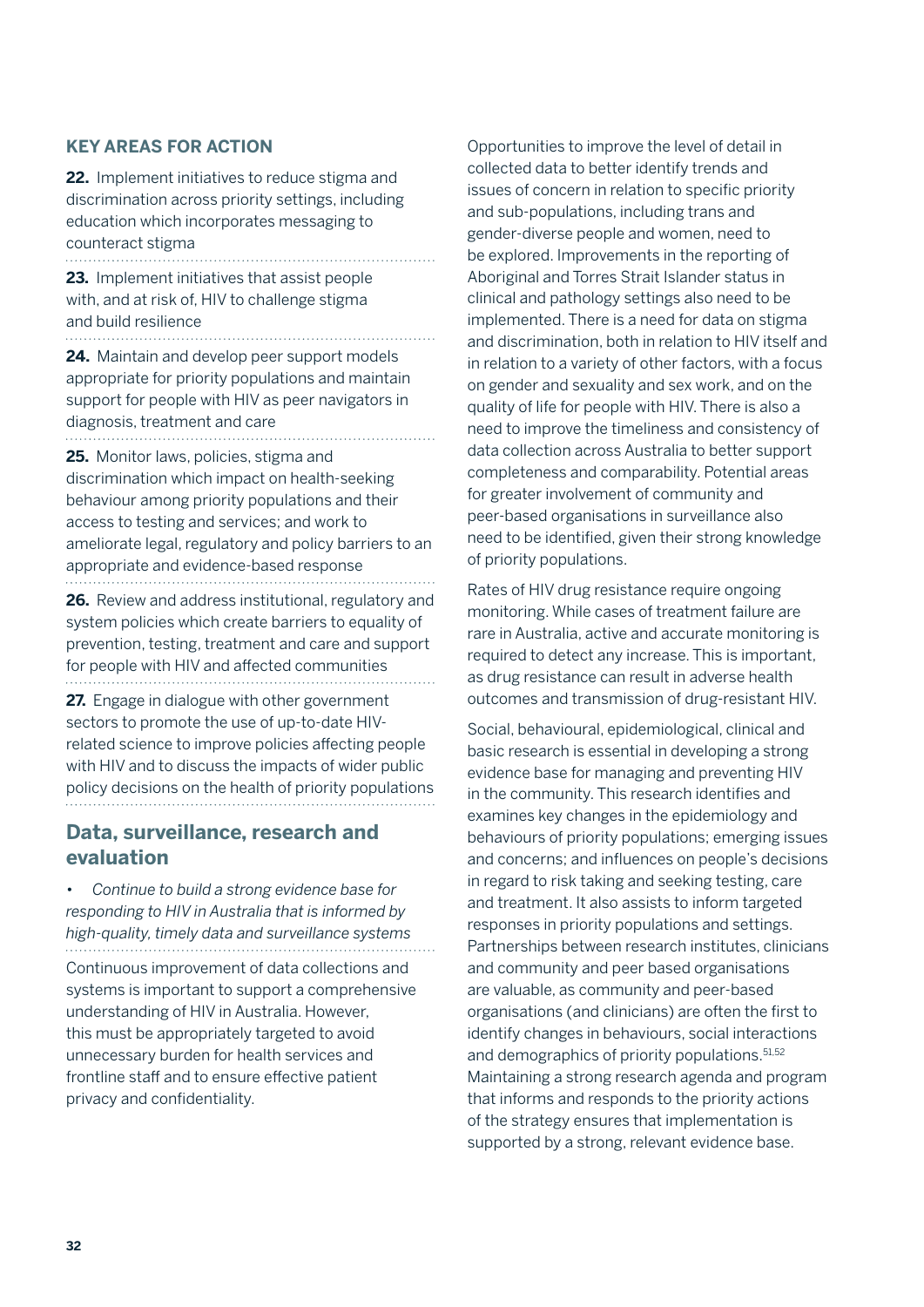#### **KEY AREAS FOR ACTION**

**22.** Implement initiatives to reduce stigma and discrimination across priority settings, including education which incorporates messaging to counteract stigma 

**23.** Implement initiatives that assist people with, and at risk of, HIV to challenge stigma and build resilience

**24.** Maintain and develop peer support models appropriate for priority populations and maintain support for people with HIV as peer navigators in diagnosis, treatment and care

**25.** Monitor laws, policies, stigma and

discrimination which impact on health-seeking behaviour among priority populations and their access to testing and services; and work to ameliorate legal, regulatory and policy barriers to an appropriate and evidence-based response

**26.** Review and address institutional, regulatory and system policies which create barriers to equality of prevention, testing, treatment and care and support for people with HIV and affected communities

**27.** Engage in dialogue with other government sectors to promote the use of up-to-date HIVrelated science to improve policies affecting people with HIV and to discuss the impacts of wider public policy decisions on the health of priority populations

#### **Data, surveillance, research and evaluation**

• *Continue to build a strong evidence base for responding to HIV in Australia that is informed by high-quality, timely data and surveillance systems* Continuous improvement of data collections and systems is important to support a comprehensive understanding of HIV in Australia. However, this must be appropriately targeted to avoid unnecessary burden for health services and frontline staff and to ensure effective patient privacy and confidentiality.

Opportunities to improve the level of detail in collected data to better identify trends and issues of concern in relation to specific priority and sub-populations, including trans and gender-diverse people and women, need to be explored. Improvements in the reporting of Aboriginal and Torres Strait Islander status in clinical and pathology settings also need to be implemented. There is a need for data on stigma and discrimination, both in relation to HIV itself and in relation to a variety of other factors, with a focus on gender and sexuality and sex work, and on the quality of life for people with HIV. There is also a need to improve the timeliness and consistency of data collection across Australia to better support completeness and comparability. Potential areas for greater involvement of community and peer-based organisations in surveillance also need to be identified, given their strong knowledge of priority populations.

Rates of HIV drug resistance require ongoing monitoring. While cases of treatment failure are rare in Australia, active and accurate monitoring is required to detect any increase. This is important, as drug resistance can result in adverse health outcomes and transmission of drug-resistant HIV.

Social, behavioural, epidemiological, clinical and basic research is essential in developing a strong evidence base for managing and preventing HIV in the community. This research identifies and examines key changes in the epidemiology and behaviours of priority populations; emerging issues and concerns; and influences on people's decisions in regard to risk taking and seeking testing, care and treatment. It also assists to inform targeted responses in priority populations and settings. Partnerships between research institutes, clinicians and community and peer based organisations are valuable, as community and peer-based organisations (and clinicians) are often the first to identify changes in behaviours, social interactions and demographics of priority populations.<sup>51,52</sup> Maintaining a strong research agenda and program that informs and responds to the priority actions of the strategy ensures that implementation is supported by a strong, relevant evidence base.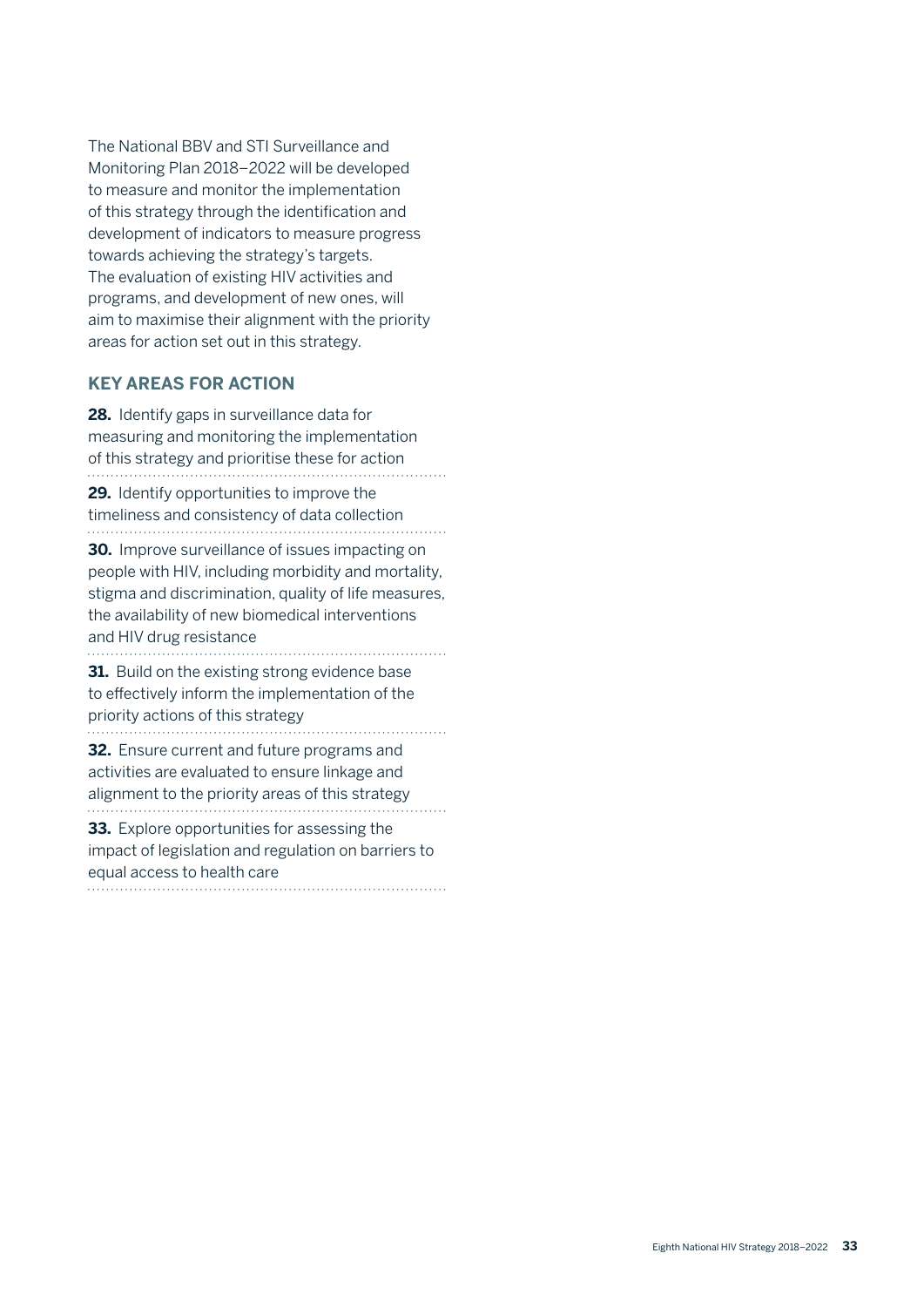The National BBV and STI Surveillance and Monitoring Plan 2018–2022 will be developed to measure and monitor the implementation of this strategy through the identification and development of indicators to measure progress towards achieving the strategy's targets. The evaluation of existing HIV activities and programs, and development of new ones, will aim to maximise their alignment with the priority areas for action set out in this strategy.

#### **KEY AREAS FOR ACTION**

**28.** Identify gaps in surveillance data for measuring and monitoring the implementation of this strategy and prioritise these for action

**29.** Identify opportunities to improve the timeliness and consistency of data collection

**30.** Improve surveillance of issues impacting on people with HIV, including morbidity and mortality, stigma and discrimination, quality of life measures, the availability of new biomedical interventions and HIV drug resistance

**31.** Build on the existing strong evidence base to effectively inform the implementation of the priority actions of this strategy 

**32.** Ensure current and future programs and activities are evaluated to ensure linkage and alignment to the priority areas of this strategy

**33.** Explore opportunities for assessing the impact of legislation and regulation on barriers to equal access to health care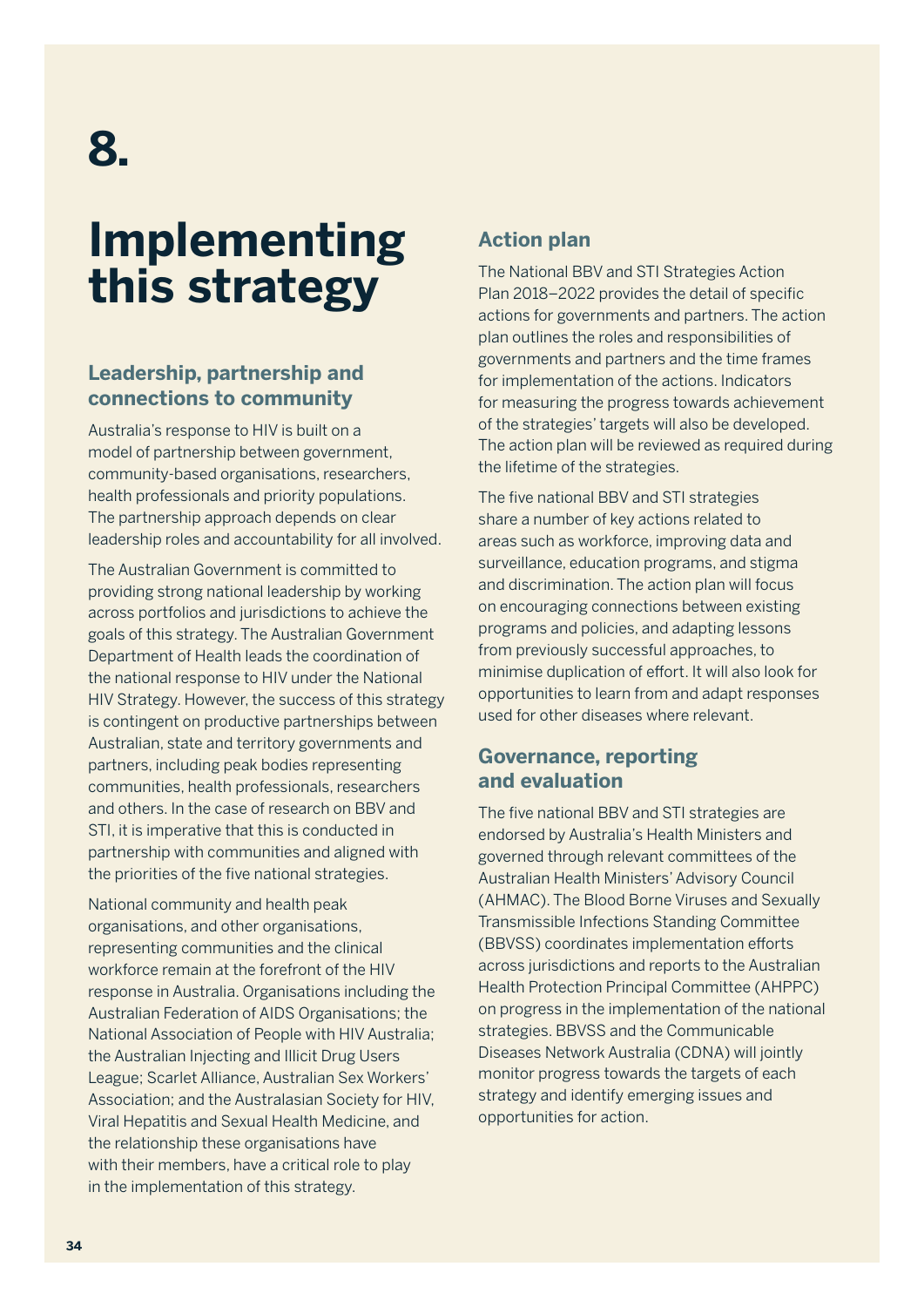## **Implementing this strategy**

### **Leadership, partnership and connections to community**

Australia's response to HIV is built on a model of partnership between government, community-based organisations, researchers, health professionals and priority populations. The partnership approach depends on clear leadership roles and accountability for all involved.

The Australian Government is committed to providing strong national leadership by working across portfolios and jurisdictions to achieve the goals of this strategy. The Australian Government Department of Health leads the coordination of the national response to HIV under the National HIV Strategy. However, the success of this strategy is contingent on productive partnerships between Australian, state and territory governments and partners, including peak bodies representing communities, health professionals, researchers and others. In the case of research on BBV and STI, it is imperative that this is conducted in partnership with communities and aligned with the priorities of the five national strategies.

National community and health peak organisations, and other organisations, representing communities and the clinical workforce remain at the forefront of the HIV response in Australia. Organisations including the Australian Federation of AIDS Organisations; the National Association of People with HIV Australia; the Australian Injecting and Illicit Drug Users League; Scarlet Alliance, Australian Sex Workers' Association; and the Australasian Society for HIV, Viral Hepatitis and Sexual Health Medicine, and the relationship these organisations have with their members, have a critical role to play in the implementation of this strategy.

### **Action plan**

The National BBV and STI Strategies Action Plan 2018–2022 provides the detail of specific actions for governments and partners. The action plan outlines the roles and responsibilities of governments and partners and the time frames for implementation of the actions. Indicators for measuring the progress towards achievement of the strategies' targets will also be developed. The action plan will be reviewed as required during the lifetime of the strategies.

The five national BBV and STI strategies share a number of key actions related to areas such as workforce, improving data and surveillance, education programs, and stigma and discrimination. The action plan will focus on encouraging connections between existing programs and policies, and adapting lessons from previously successful approaches, to minimise duplication of effort. It will also look for opportunities to learn from and adapt responses used for other diseases where relevant.

#### **Governance, reporting and evaluation**

The five national BBV and STI strategies are endorsed by Australia's Health Ministers and governed through relevant committees of the Australian Health Ministers' Advisory Council (AHMAC). The Blood Borne Viruses and Sexually Transmissible Infections Standing Committee (BBVSS) coordinates implementation efforts across jurisdictions and reports to the Australian Health Protection Principal Committee (AHPPC) on progress in the implementation of the national strategies. BBVSS and the Communicable Diseases Network Australia (CDNA) will jointly monitor progress towards the targets of each strategy and identify emerging issues and opportunities for action.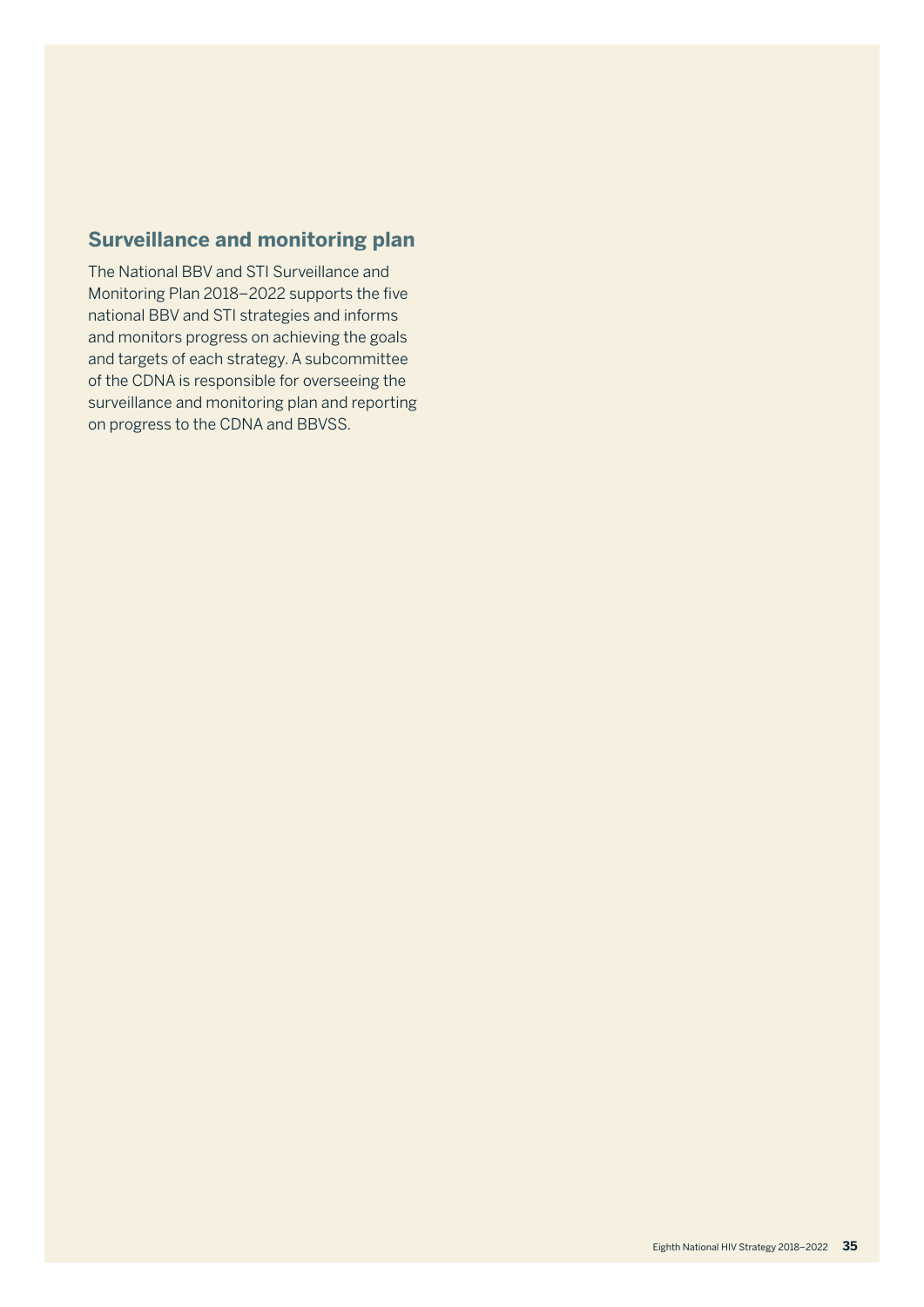### **Surveillance and monitoring plan**

The National BBV and STI Surveillance and Monitoring Plan 2018–2022 supports the five national BBV and STI strategies and informs and monitors progress on achieving the goals and targets of each strategy. A subcommittee of the CDNA is responsible for overseeing the surveillance and monitoring plan and reporting on progress to the CDNA and BBVSS.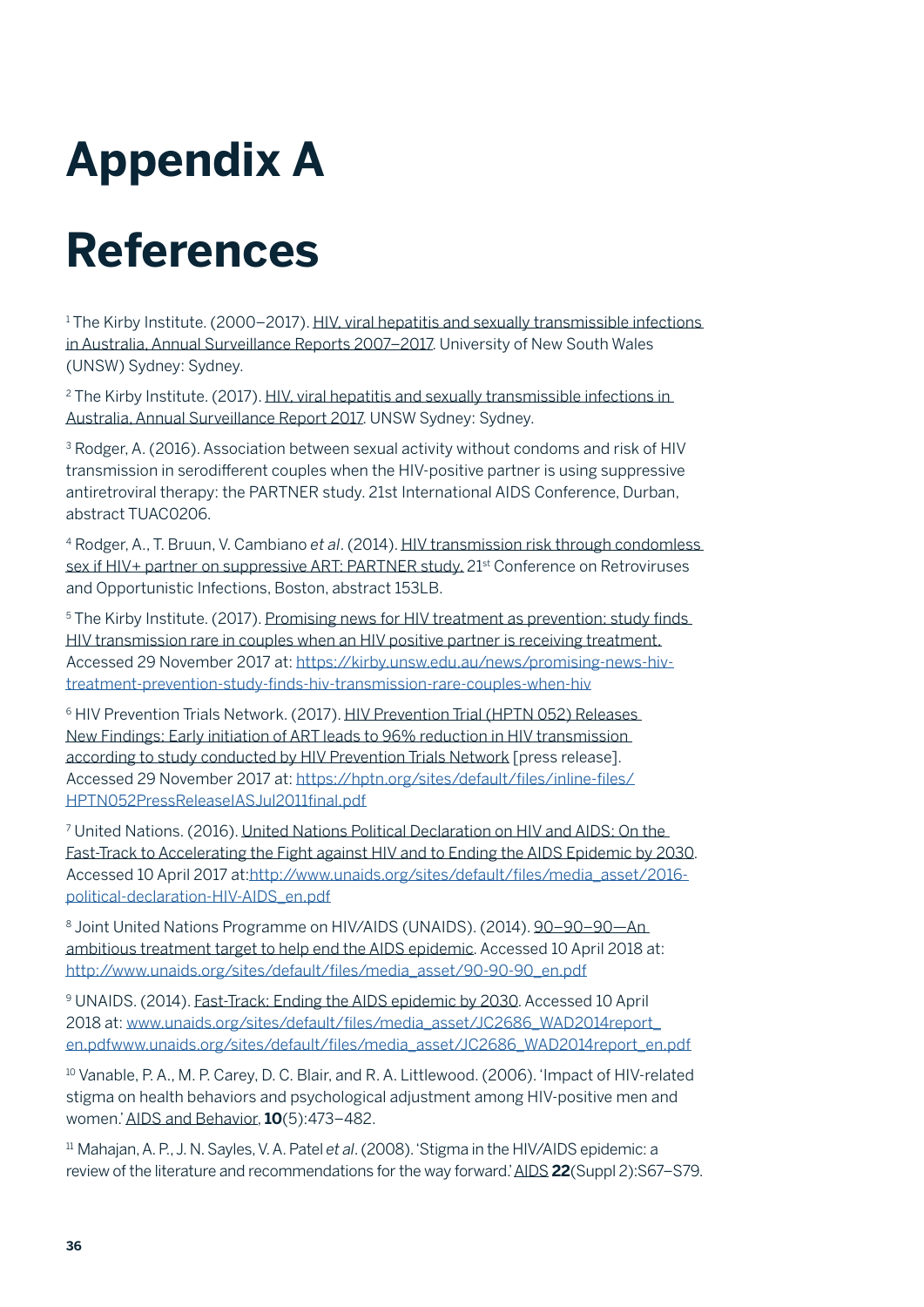## **Appendix A**

## **References**

1 The Kirby Institute. (2000–2017). HIV, viral hepatitis and sexually transmissible infections in Australia, Annual Surveillance Reports 2007–2017. University of New South Wales (UNSW) Sydney: Sydney.

<sup>2</sup> The Kirby Institute. (2017). HIV, viral hepatitis and sexually transmissible infections in Australia, Annual Surveillance Report 2017. UNSW Sydney: Sydney.

<sup>3</sup> Rodger, A. (2016). Association between sexual activity without condoms and risk of HIV transmission in serodifferent couples when the HIV-positive partner is using suppressive antiretroviral therapy: the PARTNER study. 21st International AIDS Conference, Durban, abstract TUAC0206.

4 Rodger, A., T. Bruun, V. Cambiano *et al*. (2014). HIV transmission risk through condomless sex if HIV+ partner on suppressive ART: PARTNER study. 21<sup>st</sup> Conference on Retroviruses and Opportunistic Infections, Boston, abstract 153LB.

5 The Kirby Institute. (2017). Promising news for HIV treatment as prevention: study finds HIV transmission rare in couples when an HIV positive partner is receiving treatment. Accessed 29 November 2017 at: [https://kirby.unsw.edu.au/news/promising-news-hiv](https://kirby.unsw.edu.au/news/promising-news-hiv-treatment-prevention-study-finds-hiv-transmission-)[treatment-prevention-study-finds-hiv-transmission-rare-couples-when-hiv](https://kirby.unsw.edu.au/news/promising-news-hiv-treatment-prevention-study-finds-hiv-transmission-)

6 HIV Prevention Trials Network. (2017). HIV Prevention Trial (HPTN 052) Releases New Findings: Early initiation of ART leads to 96% reduction in HIV transmission according to study conducted by HIV Prevention Trials Network [press release]. Accessed 29 November 2017 at: [https://hptn.org/sites/default/files/inline-files/](https://hptn.org/sites/default/files/inline-files/HPTN052PressReleaseIASJul2011final.pdf) [HPTN052PressReleaseIASJul2011final.pdf](https://hptn.org/sites/default/files/inline-files/HPTN052PressReleaseIASJul2011final.pdf)

7 United Nations. (2016). United Nations Political Declaration on HIV and AIDS: On the Fast-Track to Accelerating the Fight against HIV and to Ending the AIDS Epidemic by 2030. Accessed 10 April 2017 at:[http://www.unaids.org/sites/default/files/media\\_asset/2016](http://www.unaids.org/sites/default/files/media_asset/2016-political-declaration-HIV-AIDS_en.pdf) [political-declaration-HIV-AIDS\\_en.pdf](http://www.unaids.org/sites/default/files/media_asset/2016-political-declaration-HIV-AIDS_en.pdf)

8 Joint United Nations Programme on HIV/AIDS (UNAIDS). (2014). 90-90-90-An ambitious treatment target to help end the AIDS epidemic. Accessed 10 April 2018 at: [http://www.unaids.org/sites/default/files/media\\_asset/90-90-90\\_en.pdf](http://www.unaids.org/sites/default/files/media_asset/90-90-90_en.pdf)

9 UNAIDS. (2014). Fast-Track: Ending the AIDS epidemic by 2030. Accessed 10 April 2018 at: [www.unaids.org/sites/default/files/media\\_asset/JC2686\\_WAD2014report\\_](http://www.unaids.org/sites/default/files/media_asset/JC2686_WAD2014report_en.pdfwww.unaids.org/sites/defau) [en.pdfwww.unaids.org/sites/default/files/media\\_asset/JC2686\\_WAD2014report\\_en.pdf](http://www.unaids.org/sites/default/files/media_asset/JC2686_WAD2014report_en.pdfwww.unaids.org/sites/defau)

<sup>10</sup> Vanable, P. A., M. P. Carey, D. C. Blair, and R. A. Littlewood. (2006). 'Impact of HIV-related stigma on health behaviors and psychological adjustment among HIV-positive men and women.' AIDS and Behavior, **10**(5):473–482.

11 Mahajan, A. P., J. N. Sayles, V. A. Patel *et al*. (2008). 'Stigma in the HIV/AIDS epidemic: a review of the literature and recommendations for the way forward.' AIDS **22**(Suppl 2):S67–S79.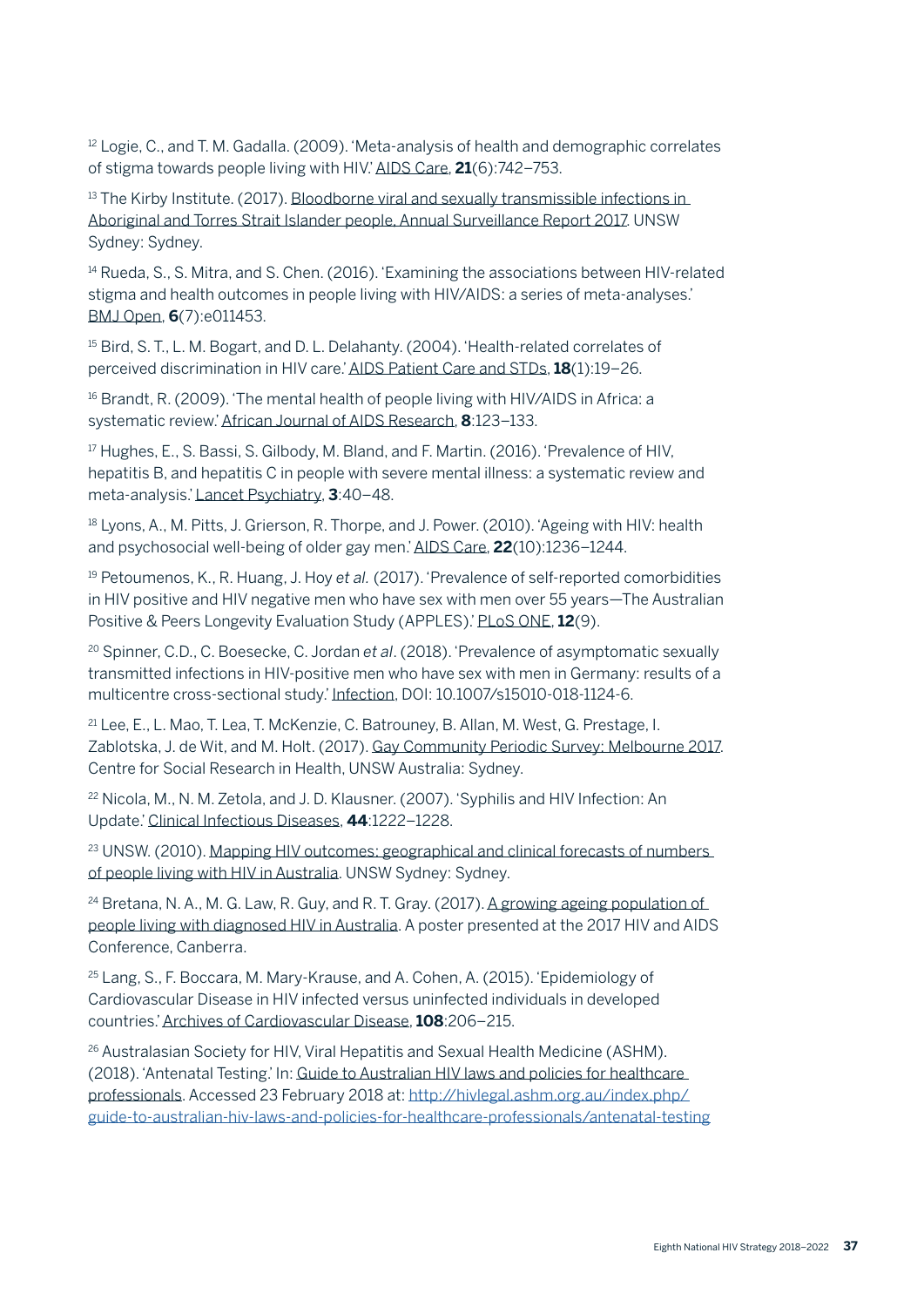<sup>12</sup> Logie, C., and T. M. Gadalla. (2009). 'Meta-analysis of health and demographic correlates of stigma towards people living with HIV.' AIDS Care, **21**(6):742–753.

<sup>13</sup> The Kirby Institute. (2017). Bloodborne viral and sexually transmissible infections in Aboriginal and Torres Strait Islander people, Annual Surveillance Report 2017. UNSW Sydney: Sydney.

<sup>14</sup> Rueda, S., S. Mitra, and S. Chen. (2016). 'Examining the associations between HIV-related stigma and health outcomes in people living with HIV/AIDS: a series of meta-analyses.' BMJ Open, **6**(7):e011453.

<sup>15</sup> Bird, S. T., L. M. Bogart, and D. L. Delahanty. (2004). 'Health-related correlates of perceived discrimination in HIV care.' AIDS Patient Care and STDs, **18**(1):19–26.

<sup>16</sup> Brandt, R. (2009). 'The mental health of people living with HIV/AIDS in Africa: a systematic review.' African Journal of AIDS Research, **8**:123–133.

<sup>17</sup> Hughes, E., S. Bassi, S. Gilbody, M. Bland, and F. Martin. (2016). 'Prevalence of HIV. hepatitis B, and hepatitis C in people with severe mental illness: a systematic review and meta-analysis.' Lancet Psychiatry, **3**:40–48.

<sup>18</sup> Lyons, A., M. Pitts, J. Grierson, R. Thorpe, and J. Power. (2010). 'Ageing with HIV: health and psychosocial well-being of older gay men.' AIDS Care, **22**(10):1236–1244.

19 Petoumenos, K., R. Huang, J. Hoy *et al.* (2017). 'Prevalence of self-reported comorbidities in HIV positive and HIV negative men who have sex with men over 55 years—The Australian Positive & Peers Longevity Evaluation Study (APPLES).' PLoS ONE, **12**(9).

20 Spinner, C.D., C. Boesecke, C. Jordan *et al*. (2018). 'Prevalence of asymptomatic sexually transmitted infections in HIV-positive men who have sex with men in Germany: results of a multicentre cross-sectional study.' Infection, DOI: 10.1007/s15010-018-1124-6.

21 Lee, E., L. Mao, T. Lea, T. McKenzie, C. Batrouney, B. Allan, M. West, G. Prestage, I. Zablotska, J. de Wit, and M. Holt. (2017). Gay Community Periodic Survey: Melbourne 2017. Centre for Social Research in Health, UNSW Australia: Sydney.

22 Nicola, M., N. M. Zetola, and J. D. Klausner. (2007). 'Syphilis and HIV Infection: An Update.' Clinical Infectious Diseases, **44**:1222–1228.

<sup>23</sup> UNSW. (2010). Mapping HIV outcomes: geographical and clinical forecasts of numbers of people living with HIV in Australia. UNSW Sydney: Sydney.

 $24$  Bretana, N. A., M. G. Law, R. Guy, and R. T. Gray. (2017). A growing ageing population of people living with diagnosed HIV in Australia. A poster presented at the 2017 HIV and AIDS Conference, Canberra.

25 Lang, S., F. Boccara, M. Mary-Krause, and A. Cohen, A. (2015). 'Epidemiology of Cardiovascular Disease in HIV infected versus uninfected individuals in developed countries.' Archives of Cardiovascular Disease, **108**:206–215.

26 Australasian Society for HIV, Viral Hepatitis and Sexual Health Medicine (ASHM). (2018). 'Antenatal Testing.' In: Guide to Australian HIV laws and policies for healthcare professionals. Accessed 23 February 2018 at: [http://hivlegal.ashm.org.au/index.php/](http://hivlegal.ashm.org.au/index.php/guide-to-australian-hiv-laws-and-policies-for-healthcare-profe) [guide-to-australian-hiv-laws-and-policies-for-healthcare-professionals/antenatal-testing](http://hivlegal.ashm.org.au/index.php/guide-to-australian-hiv-laws-and-policies-for-healthcare-profe)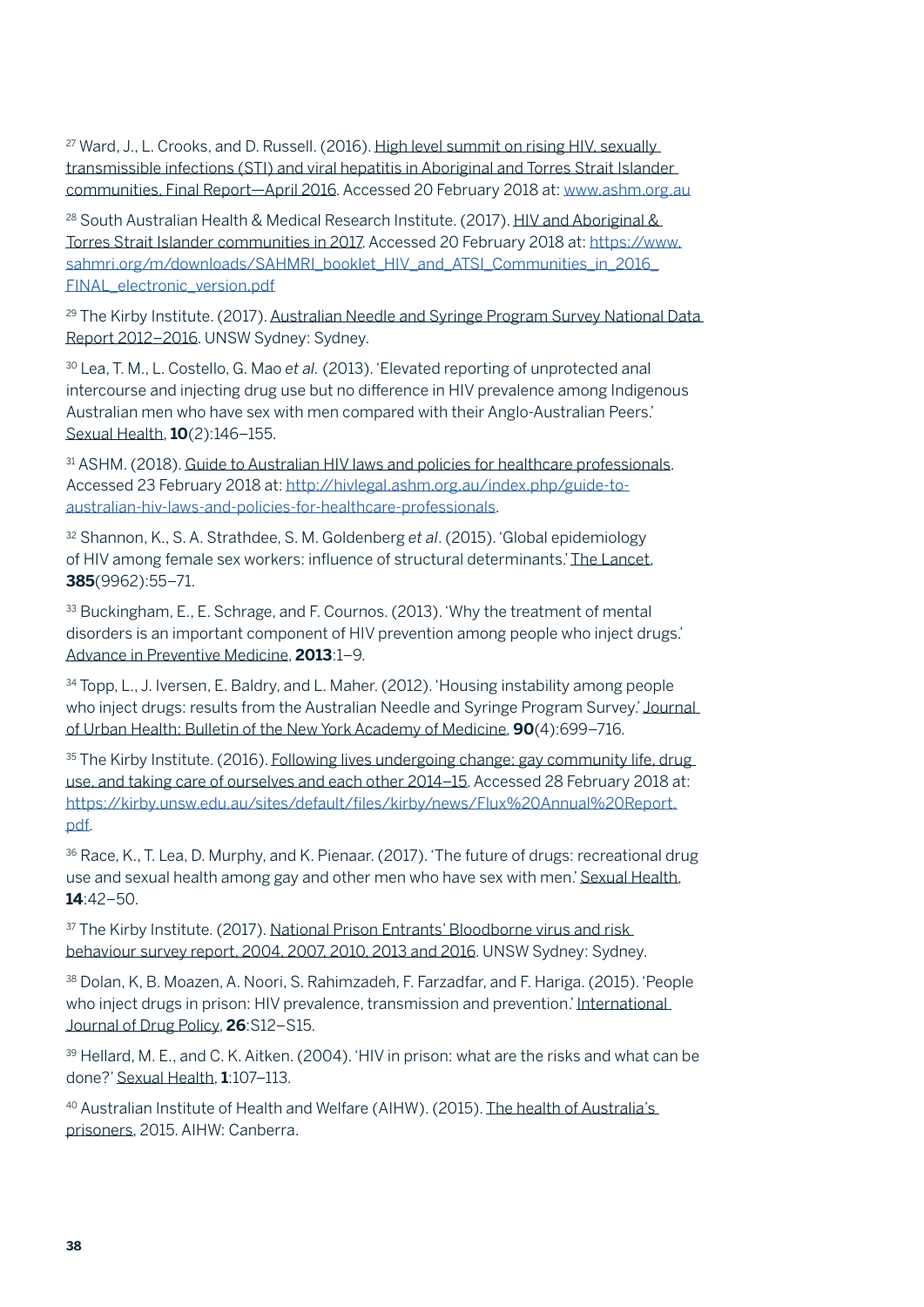<sup>27</sup> Ward, J., L. Crooks, and D. Russell. (2016). High level summit on rising HIV, sexually transmissible infections (STI) and viral hepatitis in Aboriginal and Torres Strait Islander communities, Final Report—April 2016. Accessed 20 February 2018 at: [www.ashm.org.au](http://www.ashm.org.au)

<sup>28</sup> South Australian Health & Medical Research Institute. (2017). HIV and Aboriginal & Torres Strait Islander communities in 2017. Accessed 20 February 2018 at: [https://www.](https://www.sahmri.org/m/downloads/SAHMRI_booklet_HIV_and_ATSI_Communities_in_2016_FINAL_electronic_) [sahmri.org/m/downloads/SAHMRI\\_booklet\\_HIV\\_and\\_ATSI\\_Communities\\_in\\_2016\\_](https://www.sahmri.org/m/downloads/SAHMRI_booklet_HIV_and_ATSI_Communities_in_2016_FINAL_electronic_) [FINAL\\_electronic\\_version.pdf](https://www.sahmri.org/m/downloads/SAHMRI_booklet_HIV_and_ATSI_Communities_in_2016_FINAL_electronic_)

<sup>29</sup> The Kirby Institute. (2017). Australian Needle and Syringe Program Survey National Data Report 2012–2016. UNSW Sydney: Sydney.

30 Lea, T. M., L. Costello, G. Mao *et al.* (2013). 'Elevated reporting of unprotected anal intercourse and injecting drug use but no difference in HIV prevalence among Indigenous Australian men who have sex with men compared with their Anglo-Australian Peers.' Sexual Health, **10**(2):146–155.

31 ASHM. (2018). Guide to Australian HIV laws and policies for healthcare professionals. Accessed 23 February 2018 at: [http://hivlegal.ashm.org.au/index.php/guide-to](http://hivlegal.ashm.org.au/index.php/guide-to-australian-hiv-laws-and-policies-for-healthcare-profe)[australian-hiv-laws-and-policies-for-healthcare-professionals](http://hivlegal.ashm.org.au/index.php/guide-to-australian-hiv-laws-and-policies-for-healthcare-profe).

32 Shannon, K., S. A. Strathdee, S. M. Goldenberg *et al*. (2015). 'Global epidemiology of HIV among female sex workers: influence of structural determinants.' The Lancet, **385**(9962):55–71.

33 Buckingham, E., E. Schrage, and F. Cournos. (2013). 'Why the treatment of mental disorders is an important component of HIV prevention among people who inject drugs.' Advance in Preventive Medicine, **2013**:1–9.

34 Topp, L., J. Iversen, E. Baldry, and L. Maher. (2012). 'Housing instability among people who inject drugs: results from the Australian Needle and Syringe Program Survey.' Journal of Urban Health: Bulletin of the New York Academy of Medicine, **90**(4):699–716.

<sup>35</sup> The Kirby Institute. (2016). Following lives undergoing change: gay community life, drug use, and taking care of ourselves and each other 2014–15. Accessed 28 February 2018 at: [https://kirby.unsw.edu.au/sites/default/files/kirby/news/Flux%20Annual%20Report.](https://kirby.unsw.edu.au/sites/default/files/kirby/news/Flux%20Annual%20Report.pdf) [pdf](https://kirby.unsw.edu.au/sites/default/files/kirby/news/Flux%20Annual%20Report.pdf).

36 Race, K., T. Lea, D. Murphy, and K. Pienaar. (2017). 'The future of drugs: recreational drug use and sexual health among gay and other men who have sex with men.' Sexual Health, **14**:42–50.

<sup>37</sup> The Kirby Institute. (2017). National Prison Entrants' Bloodborne virus and risk. behaviour survey report, 2004, 2007, 2010, 2013 and 2016. UNSW Sydney: Sydney.

38 Dolan, K, B. Moazen, A. Noori, S. Rahimzadeh, F. Farzadfar, and F. Hariga. (2015). 'People who inject drugs in prison: HIV prevalence, transmission and prevention.' International Journal of Drug Policy, **26**:S12–S15.

39 Hellard, M. E., and C. K. Aitken. (2004). 'HIV in prison: what are the risks and what can be done?' Sexual Health, **1**:107–113.

40 Australian Institute of Health and Welfare (AIHW). (2015). The health of Australia's prisoners, 2015. AIHW: Canberra.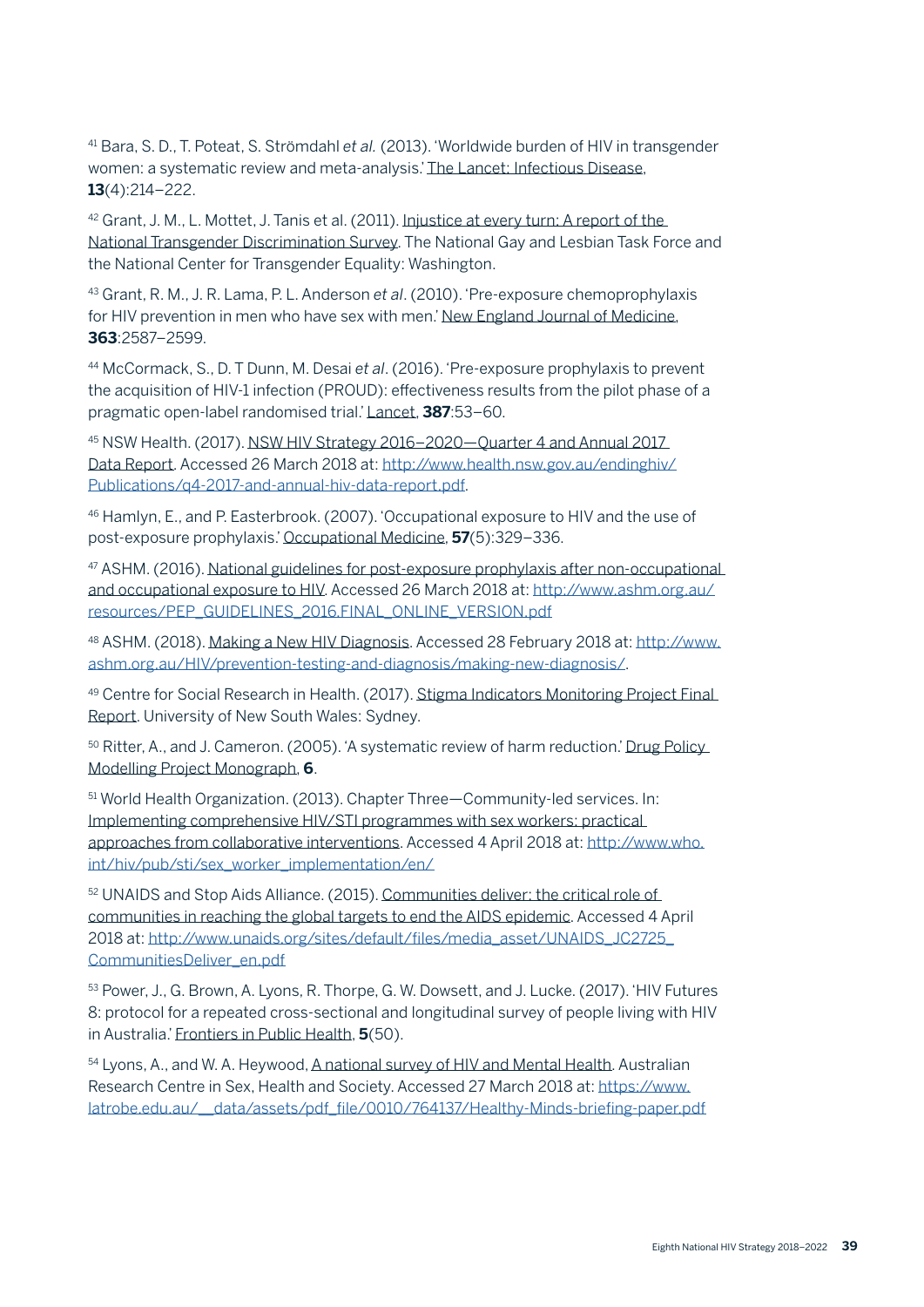41 Bara, S. D., T. Poteat, S. Strömdahl *et al.* (2013). 'Worldwide burden of HIV in transgender women: a systematic review and meta-analysis.' The Lancet: Infectious Disease, **13**(4):214–222.

42 Grant, J. M., L. Mottet, J. Tanis et al. (2011). Injustice at every turn: A report of the National Transgender Discrimination Survey. The National Gay and Lesbian Task Force and the National Center for Transgender Equality: Washington.

43 Grant, R. M., J. R. Lama, P. L. Anderson *et al*. (2010). 'Pre-exposure chemoprophylaxis for HIV prevention in men who have sex with men.' New England Journal of Medicine, **363**:2587–2599.

44 McCormack, S., D. T Dunn, M. Desai *et al*. (2016). 'Pre-exposure prophylaxis to prevent the acquisition of HIV-1 infection (PROUD): effectiveness results from the pilot phase of a pragmatic open-label randomised trial.' Lancet, **387**:53–60.

45 NSW Health. (2017). NSW HIV Strategy 2016–2020—Quarter 4 and Annual 2017 Data Report. Accessed 26 March 2018 at: [http://www.health.nsw.gov.au/endinghiv/](https://www.health.nsw.gov.au/endinghiv/Publications/q4-2017-and-annual-hiv-data-report.pdf) [Publications/q4-2017-and-annual-hiv-data-report.pdf](https://www.health.nsw.gov.au/endinghiv/Publications/q4-2017-and-annual-hiv-data-report.pdf).

46 Hamlyn, E., and P. Easterbrook. (2007). 'Occupational exposure to HIV and the use of post-exposure prophylaxis.' Occupational Medicine, **57**(5):329–336.

47 ASHM. (2016). National guidelines for post-exposure prophylaxis after non-occupational and occupational exposure to HIV. Accessed 26 March 2018 at: [http://www.ashm.org.au/](http://www.ashm.org.au/resources/PEP_GUIDELINES_2016.FINAL_ONLINE_VERSION.pdf) [resources/PEP\\_GUIDELINES\\_2016.FINAL\\_ONLINE\\_VERSION.pdf](http://www.ashm.org.au/resources/PEP_GUIDELINES_2016.FINAL_ONLINE_VERSION.pdf)

48 ASHM. (2018). Making a New HIV Diagnosis. Accessed 28 February 2018 at: [http://www.](http://www.ashm.org.au/HIV/prevention-testing-and-diagnosis/making-new-diagnosis/) [ashm.org.au/HIV/prevention-testing-and-diagnosis/making-new-diagnosis/.](http://www.ashm.org.au/HIV/prevention-testing-and-diagnosis/making-new-diagnosis/)

49 Centre for Social Research in Health. (2017). Stigma Indicators Monitoring Project Final Report. University of New South Wales: Sydney.

<sup>50</sup> Ritter, A., and J. Cameron. (2005). 'A systematic review of harm reduction.' Drug Policy Modelling Project Monograph, **6**.

51 World Health Organization. (2013). Chapter Three—Community-led services. In: Implementing comprehensive HIV/STI programmes with sex workers: practical approaches from collaborative interventions. Accessed 4 April 2018 at: [http://www.who.](http://www.who.int/hiv/pub/sti/sex_worker_implementation/en/) [int/hiv/pub/sti/sex\\_worker\\_implementation/en/](http://www.who.int/hiv/pub/sti/sex_worker_implementation/en/)

52 UNAIDS and Stop Aids Alliance. (2015). Communities deliver: the critical role of communities in reaching the global targets to end the AIDS epidemic. Accessed 4 April 2018 at: [http://www.unaids.org/sites/default/files/media\\_asset/UNAIDS\\_JC2725\\_](http://www.unaids.org/sites/default/files/media_asset/UNAIDS_JC2725_CommunitiesDeliver_en.pdf) [CommunitiesDeliver\\_en.pdf](http://www.unaids.org/sites/default/files/media_asset/UNAIDS_JC2725_CommunitiesDeliver_en.pdf)

53 Power, J., G. Brown, A. Lyons, R. Thorpe, G. W. Dowsett, and J. Lucke. (2017). 'HIV Futures 8: protocol for a repeated cross-sectional and longitudinal survey of people living with HIV in Australia.' Frontiers in Public Health, **5**(50).

54 Lyons, A., and W. A. Heywood, A national survey of HIV and Mental Health. Australian Research Centre in Sex, Health and Society. Accessed 27 March 2018 at: [https://www.](https://www.latrobe.edu.au/__data/assets/pdf_file/0010/764137/Healthy-Minds-briefing-paper.pdf) [latrobe.edu.au/\\_\\_data/assets/pdf\\_file/0010/764137/Healthy-Minds-briefing-paper.pdf](https://www.latrobe.edu.au/__data/assets/pdf_file/0010/764137/Healthy-Minds-briefing-paper.pdf)